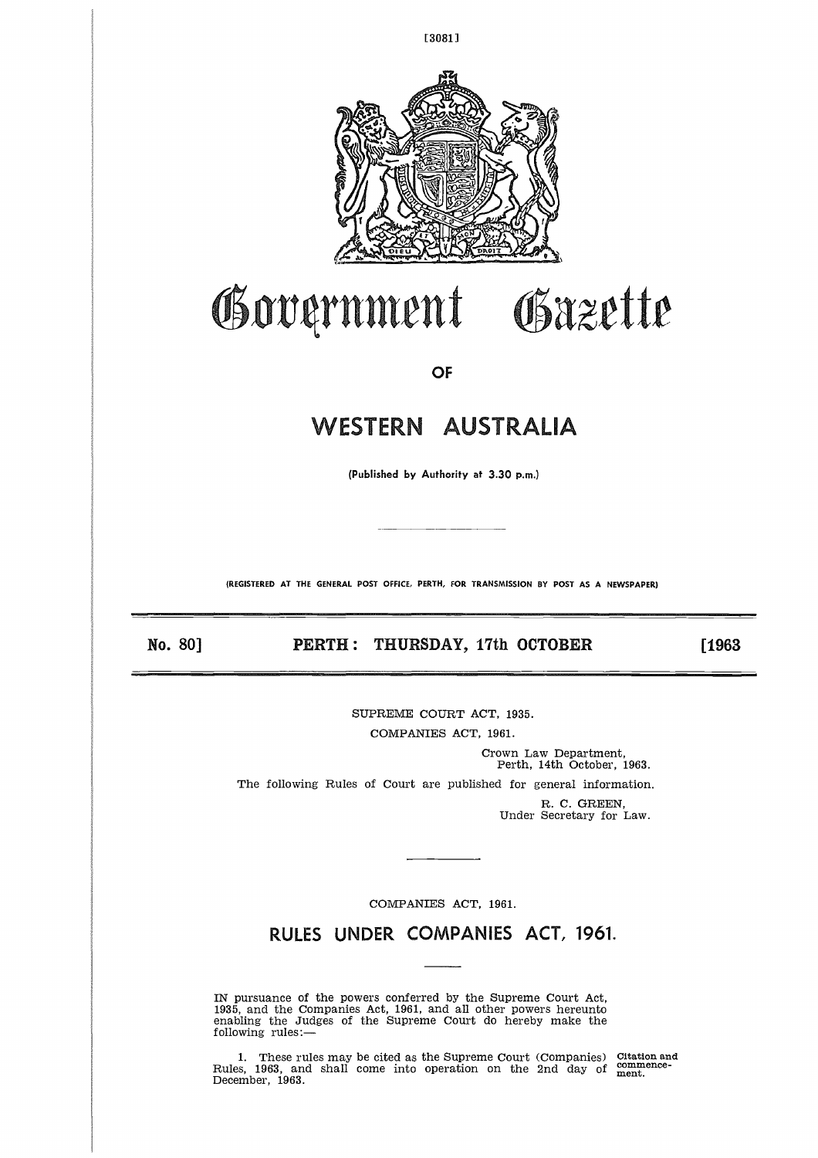

[3081]

## Government Obazette

OF

# WESTERN AUSTRALIA

(Published by Authority at 3.30 p.m.)

**(REGISTERED AT THE GENERAL POST OFFICE, PERTH, FOR TRANSMISSION BY POST AS A NEWSPAPER)** (Published by Authority at 3.30 p.m.)<br>
(Published by Authority at 3.30 p.m.)<br>
(REGISTERED AT THE GENERAL POST OFFICE, PERTH, FOR TRANSMISSION BY POST AS A NEWSPAPER)<br> **No. 80] PERTH : THURSDAY, 17th OCTOBER** [1963]

SUPREME COURT ACT, 1935.

COMPANIES ACT, 1961.

Crown Law Department, Perth, 14th October, 1963. The following Rules of Court are published for general information. R. C. GREEN,

Under Secretary for Law.

COMPANIES ACT, 1961.

RULES UNDER COMPANIES ACT, 1961.

IN pursuance of the powers conferred by the Supreme Court Act, 1935, and the Companies Act, 1961, and all other powers hereunto enabling the Judges of the Supreme Court do hereby make the following rules:—

1. These rules may be cited as the Supreme Court (Companies) Citation and Rules, 1963, and shall come into operation on the 2nd day of ment. December, 1963.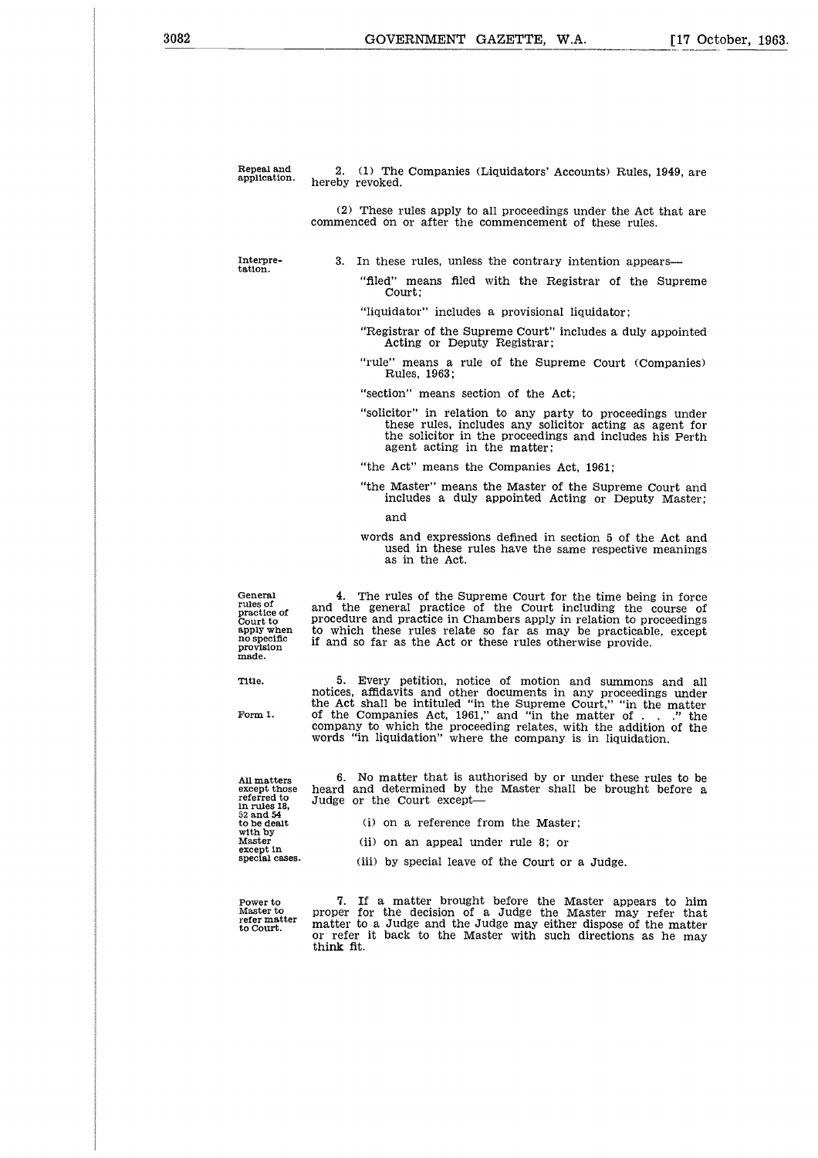Repeal and<br>application.

2. (1) The Companies (Liquidators' Accounts) Rules, 1949, are hereby revoked.

(2) These rules apply to all proceedings under the Act that are commenced on or after the commencement of these rules.

Interpretation.

3. In these rules, unless the contrary intention appears

"filed" means filed with the Registrar of the Supreme Court;

"liquidator" includes a provisional liquidator;

"Registrar of the Supreme Court" includes a duly appointed Acting or Deputy Registrar;

"rule" means a rule of the Supreme Court (Companies) Rules, 1963;

"section" means section of the Act;

"solicitor" in relation to any party to proceedings under these rules, includes any solicitor acting as agent for the solicitor in the proceedings and includes his Perth agent acting in the matter;

"the Act" means the Companies Act, 1961;

"the Master" means the Master of the Supreme Court and includes a duly appointed Acting or Deputy Master;

and

words and expressions defined in section 5 of the Act and used in these rules have the same respective meanings as in the Act.

General rules of practice of Court to apply when no specific provision made.

Title.  $\begin{array}{lll} \text{5.} & \text{Every}\text{~petition,~notice of~motion~and~summons and all} \\\text{notes.} & \text{4ffidavits and other documents in any proceedings under the Act shall be intitiled "in the Supreme Court," "in the matter of the Companies Act, 1961," and "in the matter of . . .." the\n\end{array}$ company to which the proceeding relates, with the addition of the words "in liquidation" where the company is in liquidation.

4. The rules of the Supreme Court for the time being in force and the general practice of the Court including the course of procedure and practice in Chambers apply in relation to proceedings to which these rules relate so far as may be practicable, except

if and so far as the Act or these rules otherwise provide.

All matters except those referred to in rules 18, 52 and 54 to be dealt with by Master except in special cases.

6. No matter that is authorised by or under these rules to be heard and determined by the Master shall be brought before a Judge or the Court except-

- (i) on a reference from the Master;
- (ii) on an appeal under rule 8; or
- (iii) by special leave of the Court or a Judge.

Power to Master to refer matter to Court.

7. If a matter brought before the Master appears to him proper for the decision of a Judge the Master may refer that matter to a Judge and the Judge may either dispose of the matter or refer it back to the Master with such directions as he may think fit.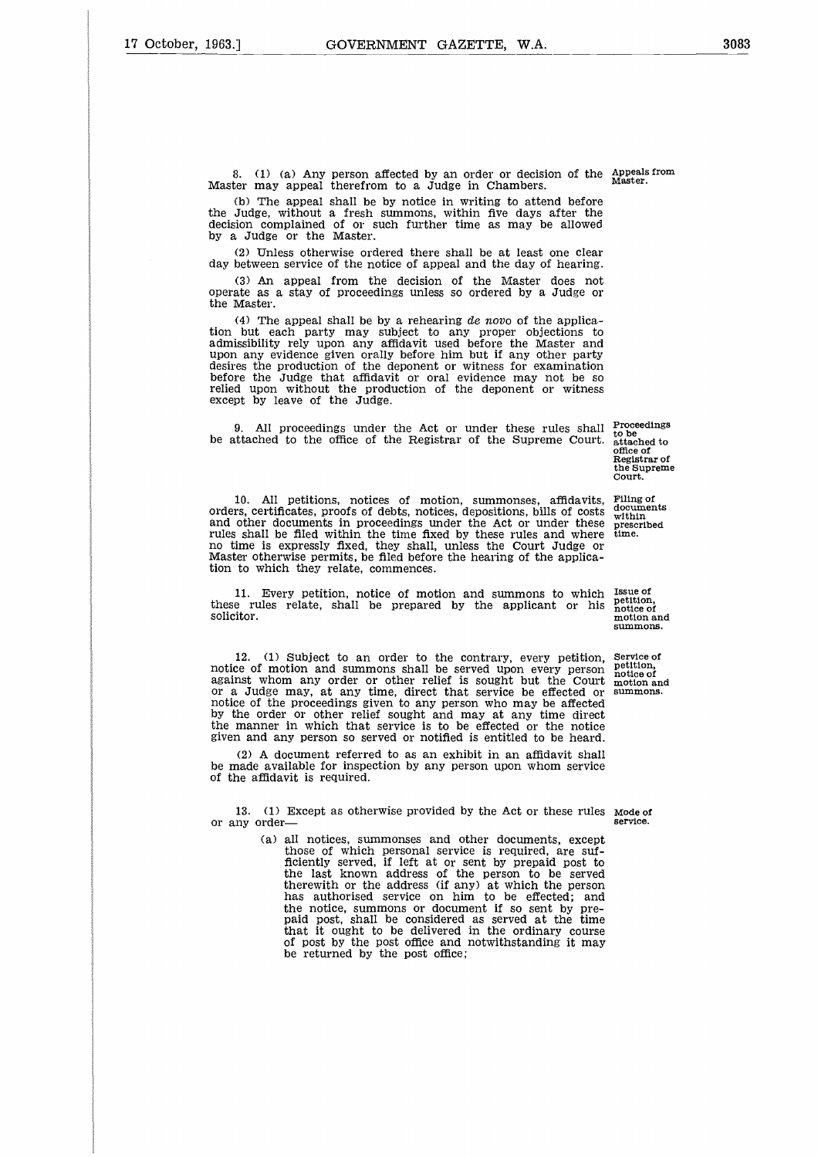8. (1) (a) Any person affected by an order or decision of the Appeals from Master may appeal therefrom to a Judge in Chambers.

(b) The appeal shall be by notice in writing to attend before the Judge, without a fresh summons, within five days after the decision complained of or such further time as may be allowed by a Judge or the Master.

(2) Unless otherwise ordered there shall be at least one clear day between service of the notice of appeal and the day of hearing.

(3) An appeal from the decision of the Master does not operate as a stay of proceedings unless so ordered by a Judge or the Master.

(4) The appeal shall be by a rehearing *de novo* of the application but each party may subject to any proper objections to admissibility rely upon any affidavit used before the Master and upon any evidence given orally before him but if any other party desires the production of the deponent or witness for examination before the Judge that affidavit or oral evidence may not be so relied upon without the production of the deponent or witness except by leave of the Judge.

9. All proceedings under the Act or under these rules shall be attached to the office of the Registrar of the Supreme Court.

10. All petitions, notices of motion, summonses, affidavits, orders, certificates, proofs of debts, notices, depositions, bills of costs and other documents in proceedings under the Act or under these rules shall be filed within the time fixed by these rules and where no time is expressly fixed, they shall, unless the Court Judge or Master otherwise permits, be filed before the hearing of the applica-tion to which they relate, commences.

11. Every petition, notice of motion and summons to which these rules relate, shall be prepared by the applicant or his solicitor.

12. (1) Subject to an order to the contrary, every petition, notice of motion and summons shall be served upon every person against whom any order or other relief is sought but the Court or a Judge may, at any time, direct that service be effected or notice of the proceedings given to any person who may be affected by the order or other relief sought and may at any time direct the manner in which that service is to be effected or the notice given and any person so served or notified is entitled to be heard. 12. (1) Subject to an order to the contrary, every petition, Service of motion and summons shall be served upon every person poiton against whom any order or other relief is sought but the Court motion or a Judge may, at

(2) A document referred to as an exhibit in an affidavit shall be made available for inspection by any person upon whom service of the affidavit is required.

13. (1) Except as otherwise provided by the Act or these rules Mode of or any order—

(a) all notices, summonses and other documents, except those of which personal service is required, are sufficiently served, if left at or sent by prepaid post to the last known address of the person to be served therewith or the address (if any) at which the person has authorised service on him to be effected; and the notice, summons or document if so sent by pre-paid post, shall be considered as served at the time that it ought to be delivered in the ordinary course of post by the post office and notwithstanding it may be returned by the post office;

Proceedings to be attached to office of Registrar of the Supreme Court.

Filing of documents within prescribed time.

Issue of petition, notice of motion and summons.

Service of petition, notice of motion and summons.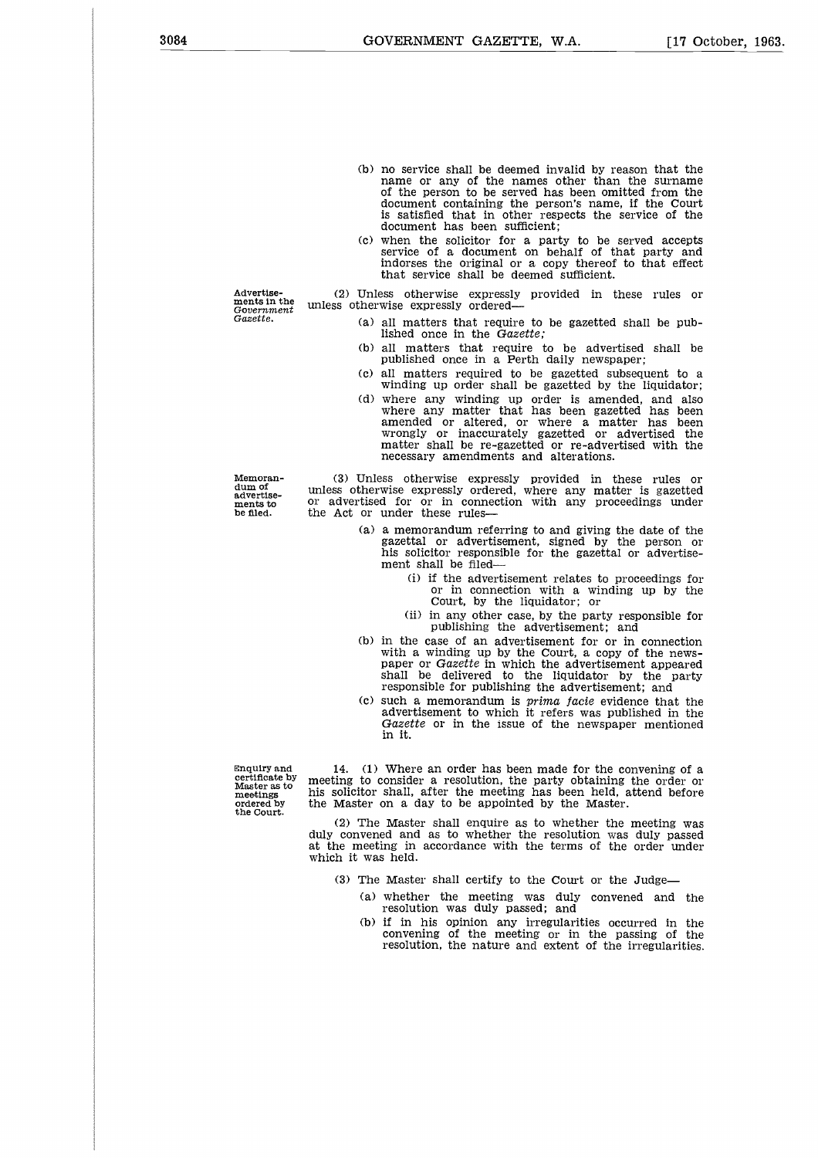- (b) no service shall be deemed invalid by reason that the name or any of the names other than the surname of the person to be served has been omitted from the document containing the person's name, if the Court is satisfied that in other respects the service of the document has been sufficient;
- (c) when the solicitor for a party to be served accepts service of a document on behalf of that party and indorses the original or a copy thereof to that effect that service shall be deemed sufficient.

Advertisements in the Government *Gazette.*

(2) Unless otherwise expressly provided in these rules or unless otherwise expressly ordered

- (a) all matters that require to be gazetted shall be published once in the *Gazette;*
- (b) all matters that require to be advertised shall be published once in a Perth daily newspaper;
- (c) all matters required to be gazetted subsequent to a winding up order shall be gazetted by the liquidator;
- (d) where any winding up order is amended, and also where any matter that has been gazetted has been amended or altered, or where a matter has been wrongly or inaccurately gazetted or advertised the matter shall be re-gazetted or re-advertised with the necessary amendments and alterations.

Memorandum of advertisements to be filed.

(3) Unless otherwise expressly provided in these rules or unless otherwise expressly ordered, where any matter is gazetted or advertised for or in connection with any proceedings under the Act or under these rules

- (a) a memorandum referring to and giving the date of the gazettal or advertisement, signed by the person or his solicitor responsible for the gazettal or advertisement shall be filed-
	- (i) if the advertisement relates to proceedings for or in connection with a winding up by the Court, by the liquidator; or
	- (ii) in any other case, by the party responsible for publishing the advertisement; and
- (b) in the case of an advertisement for or in connection with a winding up by the Court, a copy of the newspaper or *Gazette* in which the advertisement appeared shall be delivered to the liquidator by the party responsible for publishing the advertisement; and
- (c) such a memorandum is *prima facie* evidence that the advertisement to which it refers was published in the *Gazette* or in the issue of the newspaper mentioned in it.

Enquiry and certificate by Master as to meetings ordered by the Court.

14. (1) Where an order has been made for the convening of a meeting to consider a resolution, the party obtaining the order or his solicitor shall, after the meeting has been held, attend before the Master on a day to be appointed by the Master.

(2) The Master shall enquire as to whether the meeting was duly convened and as to whether the resolution was duly passed at the meeting in accordance with the terms of the order under which it was held.

- (3) The Master shall certify to the Court or the Judge
	- (a) whether the meeting was duly convened and the resolution was duly passed; and
	- (b) if in his opinion any irregularities occurred in the convening of the meeting or in the passing of the convening of the meeting or in the passing of resolution, the nature and extent of the irregularities.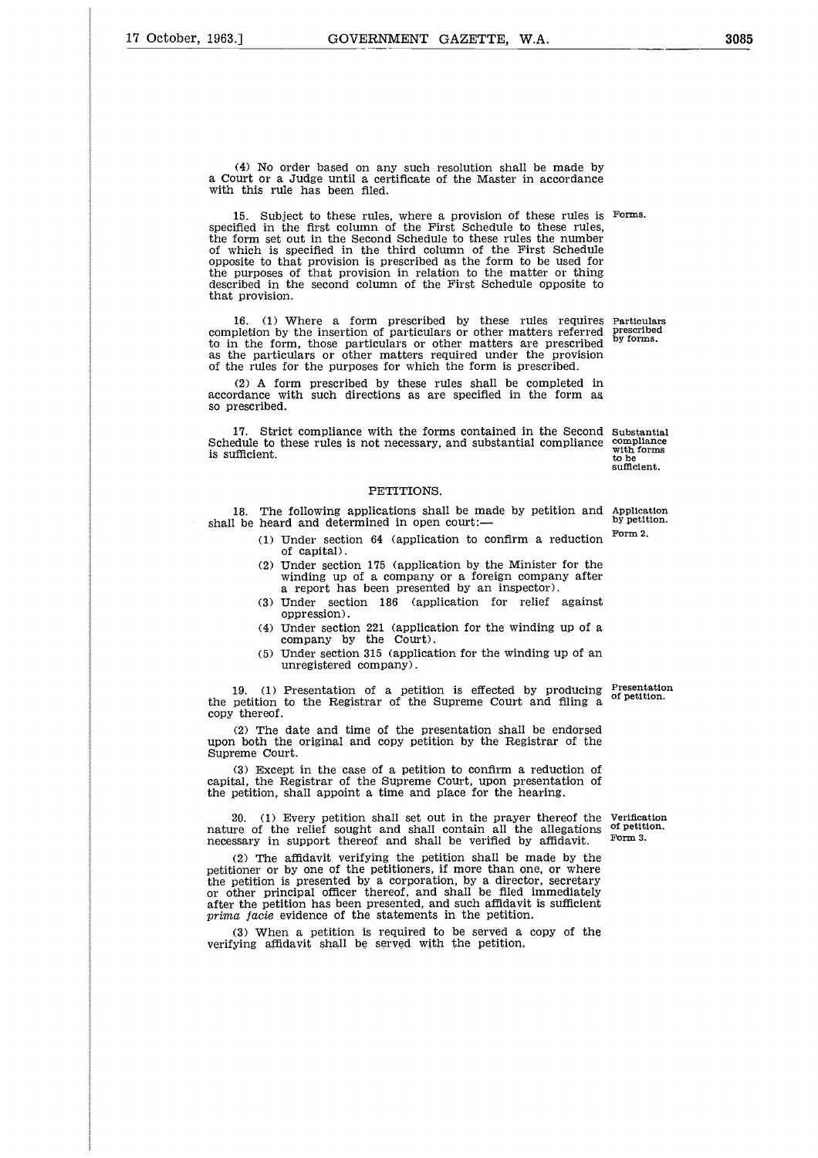(4) No order based on any such resolution shall be made by a Court or a Judge until a certificate of the Master in accordance with this rule has been filed.

15. Subject to these rules, where a provision of these rules is Forms. specified in the first column of the First Schedule to these rules, the form set out in the Second Schedule to these rules the number of which is specified in the third column of the First Schedule opposite to that provision is prescribed as the form to be used for the purposes of that provision in relation to the matter or thing described in the second column of the First Schedule opposite to that provision.

16. (1) Where a form prescribed by these rules requires Particulars completion by the insertion of particulars or other matters referred prescribed to in the form, those particulars or other matters are prescribed as the particulars or other matters required under the provision of the rules for the purposes for which the form is prescribed.

(2) A form prescribed by these rules shall be completed in accordance with such directions as are specified in the form as so prescribed.

17. Strict compliance with the forms contained in the Second Substantial Schedule to these rules is not necessary, and substantial compliance is sufficient. as the particulars or other matters required un<br>of the rules for the purposes for which the form<br>(2) A form prescribed by these rules shall<br>accordance with such directions as are specified<br>so prescribed.<br>IT. Strict complia

#### PETITIONS.

18. The following applications shall be made by petition and Application<br>by petition.

- (1) Under section 64 (application to confirm a reduction of capital).
- (2) Under section 175 (application by the Minister for the winding up of a company or a foreign company after a report has been presented by an inspector).
- (3) Under section 186 (application for relief against oppression).
- (4) Under section 221 (application for the winding up of a company by the Court).
- (5) Under section 315 (application for the winding up of an unregistered company).

19. (1) Presentation of a petition is effected by producing the petition to the Registrar of the Supreme Court and filing a copy thereof. Presentation of petition.

(2) The date and time of the presentation shall be endorsed upon both the original and copy petition by the Registrar of the Supreme Court.

(3) Except in the case of a petition to confirm a reduction of capital, the Registrar of the Supreme Court, upon presentation of the petition, shall appoint a time and place for the hearing.

20. (1) Every petition shall set out in the prayer thereof the nature of the relief sought and shall contain all the allegations of petition. necessary in support thereof and shall be verified by affidavit.

(2) The affidavit verifying the petition shall be made by the petitioner or by one of the petitioners, if more than one, or where the petition is presented by a corporation, by a director, secretary or other principal officer thereof, and shall be filed immediately after the petition has been presented, and such affidavit is sufficient *prima facie* evidence of the statements in the petition.

(3) When a petition is required to be served a copy of the verifying affidavit shall be served with the petition,

Verification Form 3.

prescribed<br>by forms.

compliance with forms to be sufficient.

Form 2.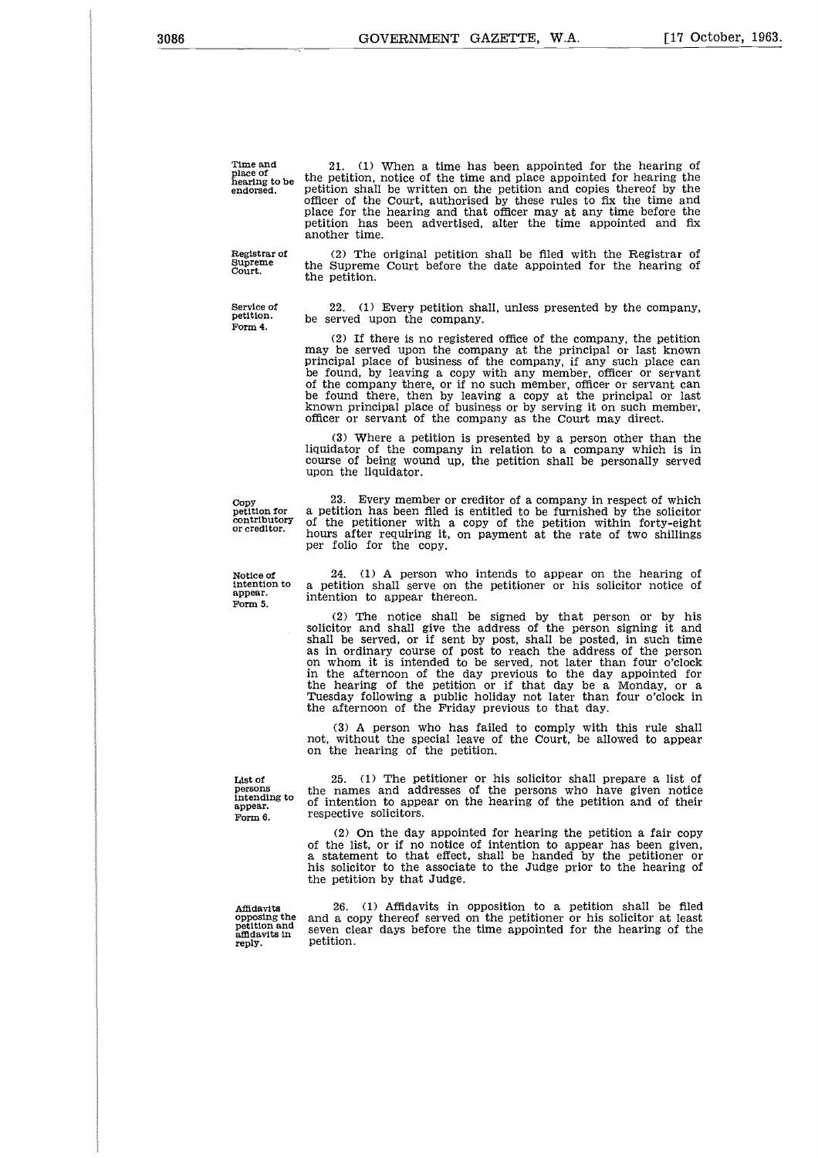Time and place of hearing to be endorsed.

Supreme Court.

(2) The original petition shall be filed with the Registrar of the Supreme Court before the date appointed for the hearing of the petition.

21. (1) When a time has been appointed for the hearing of the petition, notice of the time and place appointed for hearing the petition shall be written on the petition and copies thereof by the officer of the Court, authorised by these rules to fix the time and place for the hearing and that officer may at any time before the petition has been advertised, alter the time appointed and fix

22. (1) Every petition shall, unless presented by the company, be served upon the company.

(2) If there is no registered office of the company, the petition may be served upon the company at the principal or last known principal place of business of the company, if any such place can be found, by leaving a copy with any member, officer or servant of the company there, or if no such member, officer or servant can be found there, then by leaving a copy at the principal or last known principal place of business or by serving it on such member, officer or servant of the company as the Court may direct.

(3) Where a petition is presented by a person other than the liquidator of the company in relation to a company which is in course of being wound up, the petition shall be personally served upon the liquidator.

23. Every member or creditor of a company in respect of which a petition has been filed is entitled to be furnished by the solicitor of the petitioner with a copy of the petition within forty-eight hours after requiring it, on payment at the rate of two shillings

24. (1) A person who intends to appear on the hearing of a petition shall serve on the petitioner or his solicitor notice of

(2) The notice shall be signed by that person or by his solicitor and shall give the address of the person signing it and shall be served, or if sent by post, shall be posted, in such time as in ordinary course of post to reach the address of the person on whom it is intended to be served, not later than four o'clock in the afternoon of the day previous to the day appointed for the hearing of the petition or if that day be a Monday, or a Tuesday following a public holiday not later than four o'clock in

(3) A person who has failed to comply with this rule shall not, without the special leave of the Court, be allowed to appear

25. (1) The petitioner or his solicitor shall prepare a list of the names and addresses of the persons who have given notice of intention to appear on the hearing of the petition and of their

Copy petition for contributory or creditor.

Notice of intention to appear. Form 5.

List of persons intending to appear. Form 6.

respective solicitors. (2) On the day appointed for hearing the petition a fair copy of the list, or if no notice of intention to appear has been given, a statement to that effect, shall be handed by the petitioner or his solicitor to the associate to the Judge prior to the hearing of the petition by that Judge.

the afternoon of the Friday previous to that day.

Affidavits opposing the petition and affidavits in reply.

26. (1) Affidavits in opposition to a petition shall be filed and a copy thereof served on the petitioner or his solicitor at least seven clear days before the time appointed for the hearing of the petition.

another time.

per folio for the copy.

intention to appear thereon.

on the hearing of the petition.

Registrar of

Service of petition. Form 4.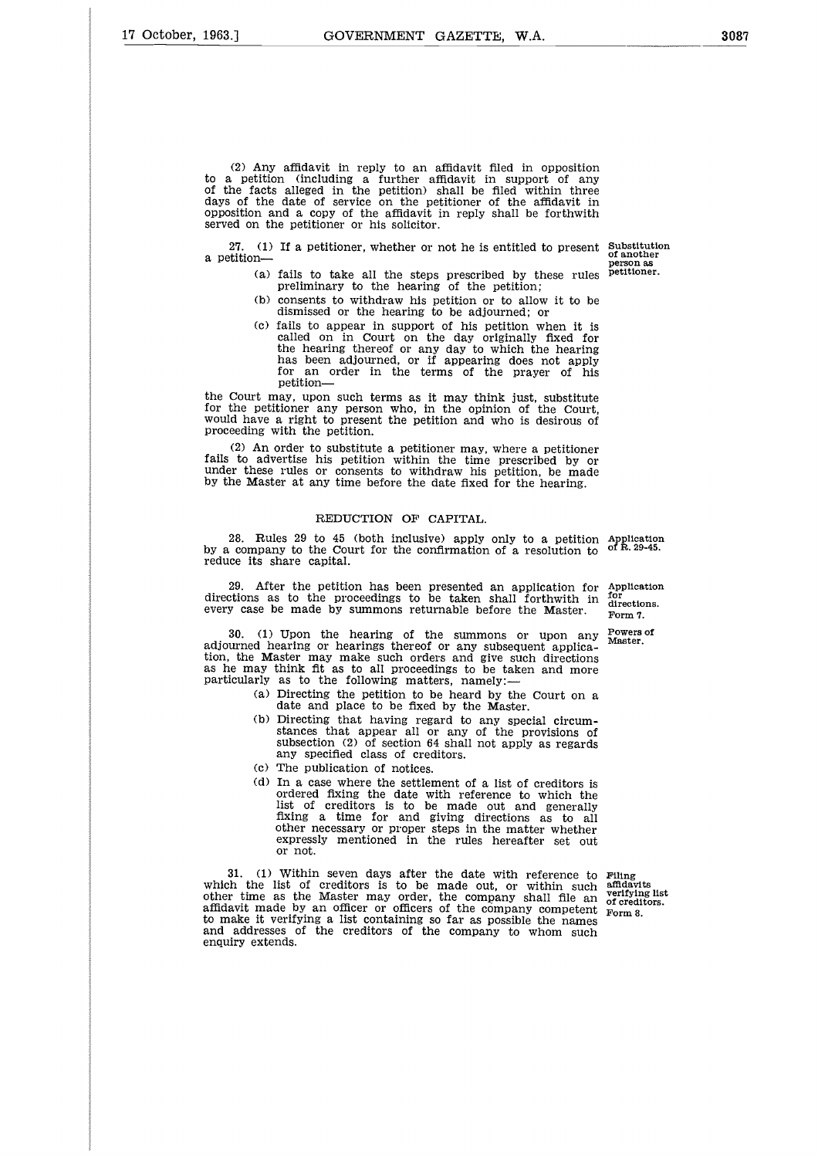(2) Any affidavit in reply to an affidavit filed in opposition to a petition (including a further affidavit in support of any of the facts alleged in the petition) shall be filed within three days of the date of service on the petitioner of the affidavit in opposition and a copy of the affidavit in reply shall be forthwith served on the petitioner or his solicitor.

27. (1) If a petitioner, whether or not he is entitled to present Substitution a petition

of another person as petitioner.

- (a) fails to take all the steps prescribed by these rules preliminary to the hearing of the petition;
- (b) consents to withdraw his petition or to allow it to be dismissed or the hearing to be adjourned; or
- (c) fails to appear in support of his petition when it is called on in Court on the day originally fixed for the hearing thereof or any day to which the hearing has been adjourned, or if appearing does not apply for an order in the terms of the prayer of his petition

the Court may, upon such terms as it may think just, substitute for the petitioner any person who, in the opinion of the Court would have a right to present the petition and who is desirous of proceeding with the petition.

(2) An order to substitute a petitioner may, where a petitioner fails to advertise his petition within the time prescribed by or under these rules or consents to withdraw his petition, be made by the Master at any time before the date fixed for the hearing.

#### REDUCTION OF CAPITAL.

28. Rules 29 to 45 (both inclusive) apply only to a petition 28. Rules 29 to 45 (both inclusive) apply only to a petition Application by a company to the Court for the confirmation of a resolution to  $\sigma$  R. 29-45. reduce its share capital.

After the petition has been presented an application for directions as to the proceedings to be taken shall forthwith in every case be made by summons returnable before the Master. Application for directions.

Form 7. Powers of Master.

30. (1) Upon the hearing of the summons or upon any adjourned hearing or hearings thereof or any subsequent applica-tion, the Master may make such orders and give such directions as he may think fit as to all proceedings to be taken and more particularly as to the following matters, namely:

- (a) Directing the petition to be heard by the Court on a date and place to be fixed by the Master.
- (b) Directing that having regard to any special circumstances that appear all or any of the provisions of subsection (2) of section 64 shall not apply as regards any specified class of creditors.
- (c) The publication of notices.
- (d) In a case where the settlement of a list of creditors is ordered fixing the date with reference to which the list of creditors is to be made out and generally fixing a time for and giving directions as to all other necessary or proper steps in the matter whether expressly mentioned in the rules hereafter set out or not.

31. (1) Within seven days after the date with reference to which the list of creditors is to be made out, or within such other time as the Master may order, the company shall file an affidavit made by an officer or officers of the company competent to make it verifying a list containing so far as possible the names and addresses of the creditors of the company to whom such enquiry extends.

Filing affidavits verifying list of creditors. Form 8.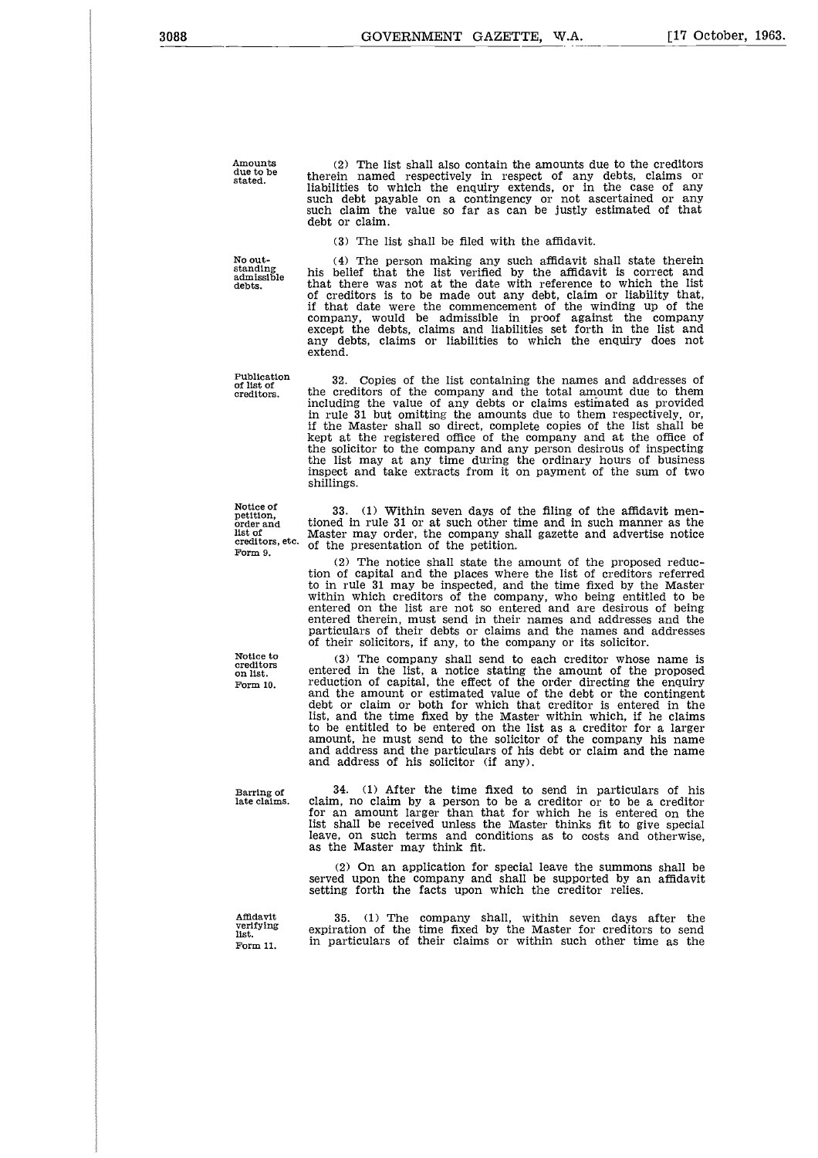Amounts due to be stated.

(2) The list shall also contain the amounts due to the creditors therein named respectively in respect of any debts, claims or liabilities to which the enquiry extends, or in the case of any such debt payable on a contingency or not ascertained or any such claim the value so far as can be justly estimated of that debt or claim.

(3) The list shall be filed with the affidavit.

No outstanding admissible debts.

(4) The person making any such affidavit shall state therein his belief that the list verified by the affidavit is correct and that there was not at the date with reference to which the list of creditors is to be made out any debt, claim or liability that, if that date were the commencement of the winding up of the company, would be admissible in proof against the company except the debts, claims and liabilities set forth in the list and any debts, claims or liabilities to which the enquiry does not extend.

32. Copies of the list containing the names and addresses of the creditors of the company and the total amount due to them including the value of any debts or claims estimated as provided in rule 31 but omitting the amounts due to them respectively, or, if the Master shall so direct, complete copies of the list shall be kept at the registered office of the company and at the office of the solicitor to the company and any person desirous of inspecting the list may at any time during the ordinary hours of business inspect and take extracts from it on payment of the sum of two shillings.

33. (1) Within seven days of the filing of the affidavit mentioned in rule 31 or at such other time and in such manner as the Master may order, the company shall gazette and advertise notice of the presentation of the petition.

(2) The notice shall state the amount of the proposed reduction of capital and the places where the list of creditors referred to in rule 31 may be inspected, and the time fixed by the Master within which creditors of the company, who being entitled to be entered on the list are not so entered and are desirous of being entered therein, must send in their names and addresses and the particulars of their debts or claims and the names and addresses of their solicitors, if any, to the company or its solicitor.

(3) The company shall send to each creditor whose name is entered in the list, a notice stating the amount of the proposed reduction of capital, the effect of the order directing the enquiry and the amount or estimated value of the debt or the contingent debt or claim or both for which that creditor is entered in the list, and the time fixed by the Master within which, if he claims to be entitled to be entered on the list as a creditor for a larger amount, he must send to the solicitor of the company his name and address and the particulars of his debt or claim and the name and address of his solicitor (if any).

34. (1) After the time fixed to send in particulars of his late claims. claim, no claim by a person to be a creditor or to be a creditor for an amount larger than that for which he is entered on the list shall be received unless the Master thinks fit to give special leave, on such terms and conditions as to costs and otherwise, as the Master may think fit.

> (2) On an application for special leave the summons shall be served upon the company and shall be supported by an affidavit setting forth the facts upon which the creditor relies.

Affidavit verifying list. Form 11.

35. (1) The company shall, within seven days after the expiration of the time fixed by the Master for creditors to send in particulars of their claims or within such other time as the

Publication of list of creditors.

Notice of petition, order and list of creditors, etc. Form 9.

Notice to creditors on list. Form 10.

Barring of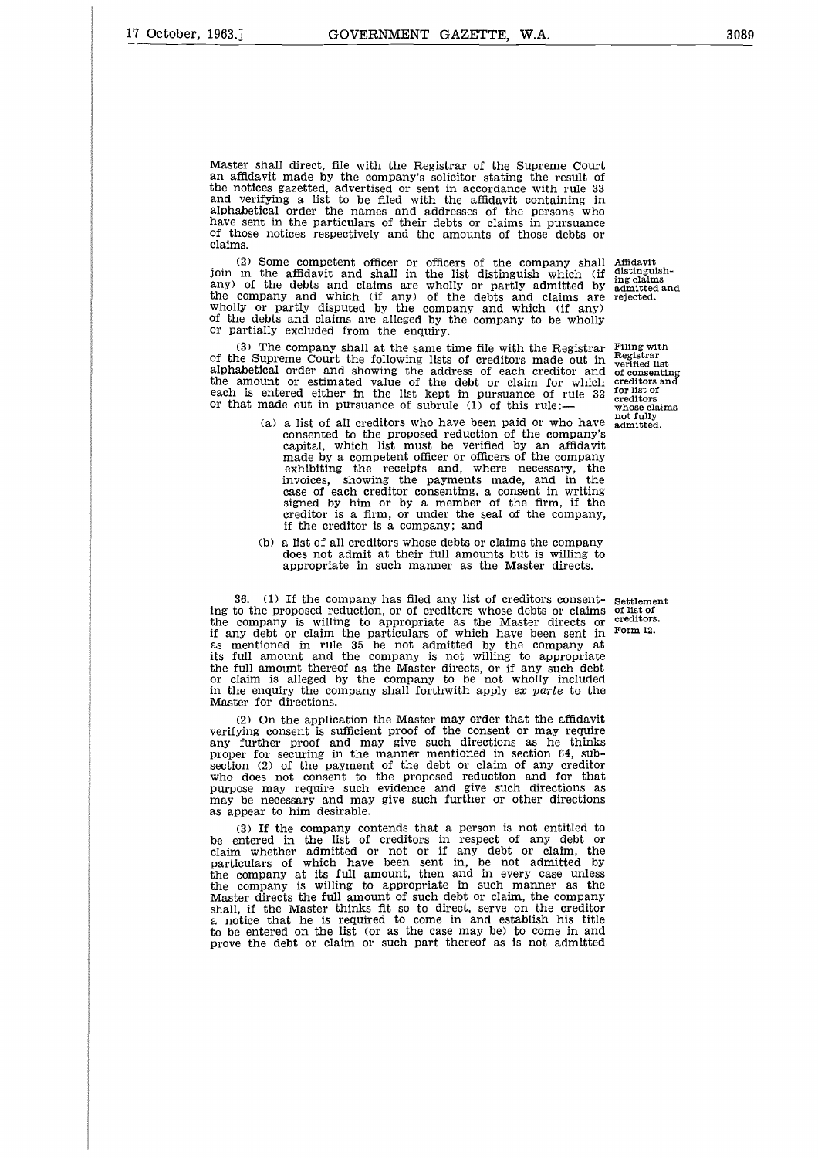Master shall direct, file with the Registrar of the Supreme Court an affidavit made by the company's solicitor stating the result of the notices gazetted, advertised or sent in accordance with rule 33 and verifying a list to be filed with the affidavit containing in alphabetical order the names and addresses of the persons who have sent in the particulars of their debts or claims in pursuance of those notices respectively and the amounts of those debts or claims.

(2) Some competent officer or officers of the company shall join in the affidavit and shall in the list distinguish which (if any) of the debts and claims are wholly or partly admitted by the company and which (if any) of the debts and claims are wholly or partly disputed by the company and which (if any) of the debts and claims are alleged by the company to be wholly or partially excluded from the enquiry.

(3) The company shall at the same time file with the Registrar of the Supreme Court the following lists of creditors made out in alphabetical order and showing the address of each creditor and the amount or estimated value of the debt or claim for which each is entered either in the list kept in pursuance of rule 32 or that made out in pursuance of subrule  $(1)$  of this rule

- (a) a list of all creditors who have been paid or who have consented to the proposed reduction of the company's capital, which list must be verified by an affidavit made by a competent officer or officers of the company exhibiting the receipts and, where necessary, the invoices, showing the payments made, and in the case of each creditor consenting, a consent in writing signed by him or by a member of the firm, if the creditor is a firm, or under the seal of the company, if the creditor is a company; and
- (b) a list of all creditors whose debts or claims the company does not admit at their full amounts but is willing to appropriate in such manner as the Master directs.

36. (1) If the company has filed any list of creditors consenting to the proposed reduction, or of creditors whose debts or claims the company is willing to appropriate as the Master directs or if any debt or claim the particulars of which have been sent in as mentioned in rule 35 be not admitted by the company at its full amount and the company is not willing to appropriate the full amount thereof as the Master directs, or if any such debt or claim is alleged by the company to be not wholly included in the enquiry the company shall forthwith apply *ex parte* to the Master for directions.

(2) On the application the Master may order that the affidavit verifying consent is sufficient proof of the consent or may require any further proof and may give such directions as he thinks proper for securing in the manner mentioned in section 64, subsection (2) of the payment of the debt or claim of any creditor who does not consent to the proposed reduction and for that purpose may require such evidence and give such directions as may be necessary and may give such further or other directions as appear to him desirable.

(3) If the company contends that a person is not entitled to be entered in the list of creditors in respect of any debt or claim whether admitted or not or if any debt or claim, the particulars of which have been sent in, be not admitted by the company at its full amount, then and in every case unless the company is willing to appropriate in such manner as the Master directs the full amount of such debt or claim, the company shall, if the Master thinks fit so to direct, serve on the creditor a notice that he is required to come in and establish his title to be entered on the list (or as the case may be) to come in and prove the debt or claim or such part thereof as is not admitted

Affidavit distinguish-ing claims admitted and rejected.

Filing with Registrar verified list of consenting creditors and for list of creditors whose claims not fully admitted.

Settlement of list of creditors. Form 12.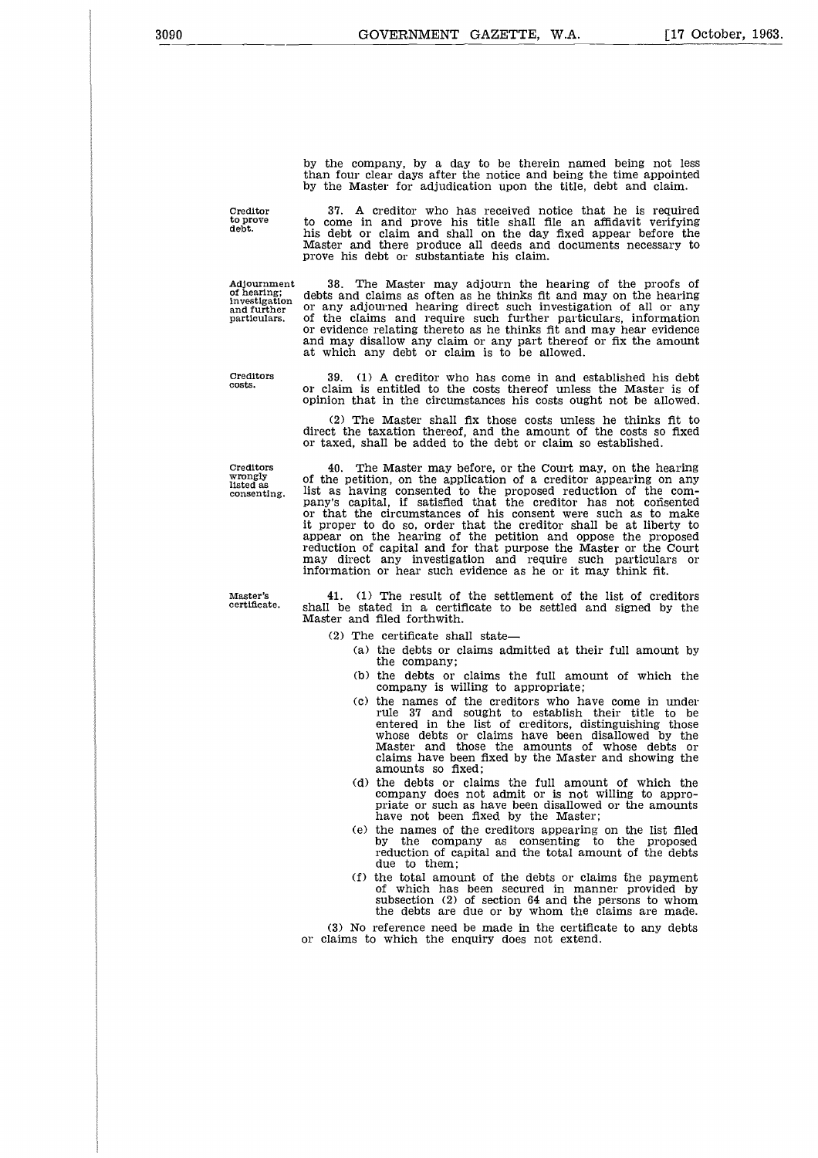by the company, by a day to be therein named being not less than four clear days after the notice and being the time appointed by the Master for adjudication upon the title, debt and claim.

Creditor to prove debt.

37. A creditor who has received notice that he is required to come in and prove his title shall file an affidavit verifying his debt or claim and shall on the day fixed appear before the Master and there produce all deeds and documents necessary to prove his debt or substantiate his claim.

Adjournment of hearing; investigation and further particulars. 38. The Master may adjourn the hearing of the proofs of debts and claims as often as he thinks fit and may on the hearing or any adjourned hearing direct such investigation of all or any of the claims and require such further particulars, information or evidence relating thereto as he thinks fit and may hear evidence and may disallow any claim or any part thereof or fix the amount at which any debt or claim is to be allowed.

Creditors costs.

Creditors wrongly listed as consenting.

40. The Master may before, or the Court may, on the hearing of the petition, on the application of a creditor appearing on any list as having consented to the proposed reduction of the company's capital, if satisfied that the creditor has not consented or that the circumstances of his consent were such as to make it proper to do so, order that the creditor shall be at liberty to appear on the hearing of the petition and oppose the proposed reduction of capital and for that purpose the Master or the Court may direct any investigation and require such particulars or information or hear such evidence as he or it may think fit.

39. (1) A creditor who has come in and established his debt or claim is entitled to the costs thereof unless the Master is of opinion that in the circumstances his costs ought not be allowed. (2) The Master shall fix those costs unless he thinks fit to direct the taxation thereof, and the amount of the costs so fixed or taxed, shall be added to the debt or claim so established.

Master's certificate.

41. (1) The result of the settlement of the list of creditors shall be stated in a certificate to be settled and signed by the Master and filed forthwith.

- (2) The certificate shall state
	- (a) the debts or claims admitted at their full amount by the company;
	- (b) the debts or claims the full amount of which the company is willing to appropriate;
	- (c) the names of the creditors who have come in under rule 37 and sought to establish their title to be entered in the list of creditors, distinguishing those whose debts or claims have been disallowed by the Master and those the amounts of whose debts or claims have been fixed by the Master and showing the amounts so fixed;
	- (d) the debts or claims the full amount of which the company does not admit or is not willing to appro-priate or such as have been disallowed or the amounts have not been fixed by the Master;
	- (e) the names of the creditors appearing on the list filed by the company as consenting to the proposed reduction of capital and the total amount of the debts due to them;
	- (f) the total amount of the debts or claims the payment of which has been secured in manner provided by subsection (2) of section 64 and the persons to whom the debts are due or by whom the claims are made.

(3) No reference need be made in the certificate to any debts Or claims to which the enquiry does not extend.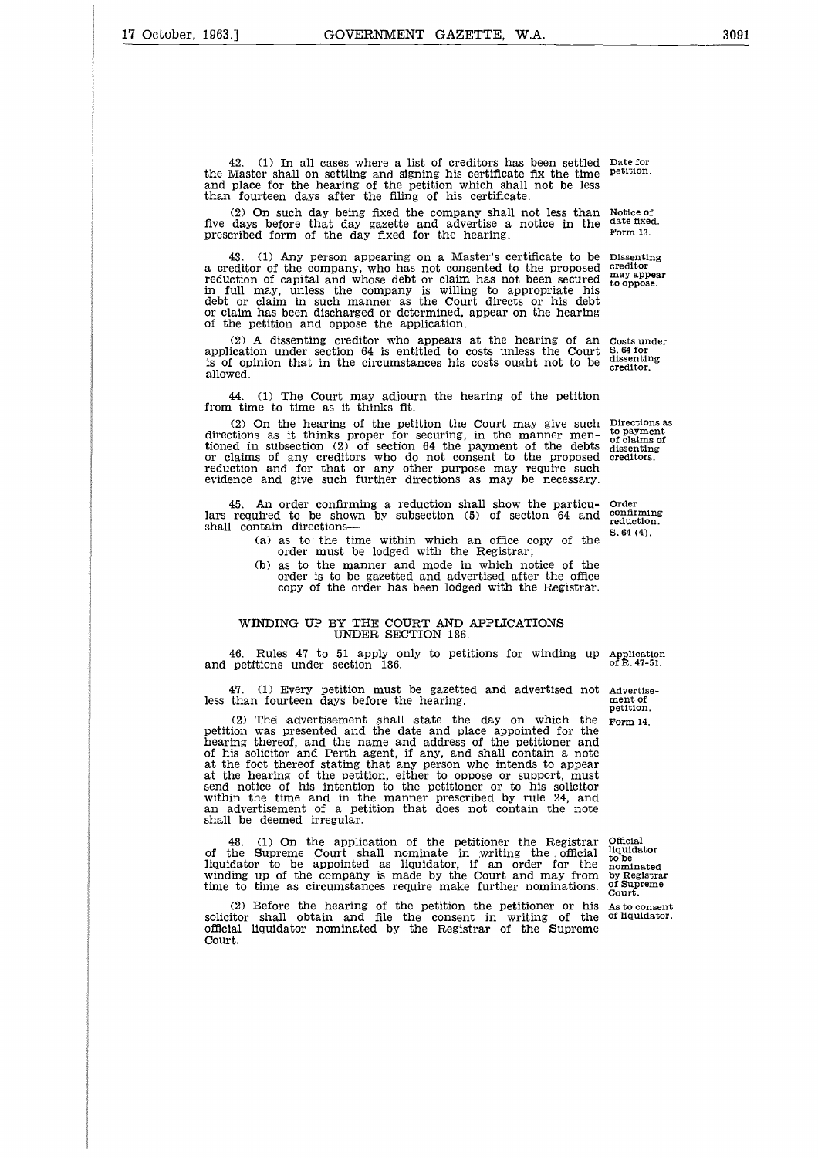42. (1) In all cases where a list of creditors has been settled Date for the Master shall on settling and signing his certificate fix the time and place for the hearing of the petition which shall not be less than fourteen days after the filing of his certificate.

(2) On such day being fixed the company shall not less than five days before that day gazette and advertise a notice in the prescribed form of the day fixed for the hearing.

43. (1) Any person appearing on a Master's certificate to be a creditor of the company, who has not consented to the proposed reduction of capital and whose debt or claim has not been secured in full may, unless the company is willing to appropriate his debt or claim in such manner as the Court directs or his debt or claim has been discharged or determined, appear on the hearing of the petition and oppose the application.

(2) A dissenting creditor who appears at the hearing of an (2) A dissenting creditor who appears at the hearing of an costs under<br>application under section 64 is entitled to costs unless the Court 5.64 for<br>is of opinion that in the circumstances bis costs qught not to be dissenti is of opinion that in the circumstances his costs ought not to be allowed.

44. (1) The Court may adjourn the hearing of the petition from time to time as it thinks fit.

(2) On the hearing of the petition the Court may give such directions as it thinks proper for securing, in the manner mentioned in subsection (2) of section 64 the payment of the debts or claims of any creditors who do not consent to the proposed reduction and for that or any other purpose may require such evidence and give such further directions as may be necessary.

45. An order confirming a reduction shall show the particu-lars required to be shown by subsection (5) of section 64 and shall contain directions-45. An order confirming a reduction shall show the particu- Order<br>lars required to be shown by subsection (5) of section 64 and confirming<br>shall contain directions—<br>(a) as to the time within which an office copy of the  $8$ 

(a) as to the time within which an office copy of the order must be lodged with the Registrar;

(b) as to the manner and mode in which notice of the order is to be gazetted and advertised after the office copy of the order has been lodged with the Registrar.

#### WINDING UP BY THE COURT AND APPLICATIONS UNDER SECTION 186.

46. Rules 47 to 51 apply only to petitions for winding up Application and petitions under section 186.

47. (1) Every petition must be gazetted and advertised not Advertise-

(a) as to the time within which an office copy of the  $^{8.64}$  order must be lodged with the Registrar;<br>
(b) as to the manner and mode in which notice of the order is to be gazetted and advertised after the office copy of (2) The advertisement shall state the day on which the Form 14. petition was presented and the date and place appointed for the hearing thereof, and the name and address of the petitioner and of his solicitor and Perth agent, if any, and shall contain a note at the foot thereof stating that any person who intends to appear at the hearing of the petition, either to oppose or support, must send notice of his intention to the petitioner or to his solicitor within the time and in the manner prescribed by rule 24, and an advertisement of a petition that does not contain the note shall be deemed irregular.

48. (1) On the application of the petitioner the Registrar of the Supreme Court shall nominate in writing the official liquidator to be appointed as liquidator, if an order for the winding up of the company is made by the Court and may from time to time as circumstances require make further nominations.

(2) Before the hearing of the petition the petitioner or his solicitor shall obtain and file the consent in writing of the official liquidator nominated by the Registrar of the Supreme Court.

petition.

Notice of date fixed. Form 13.

Dissenting creditor may appear to oppose.

creditor.

Directions as to payment of claims of dissenting creditors.

Order confirming reduction. S.64 (4).

ment of<br>petition.

Official liquidator to be nominated by Registrar of Supreme Court.

As to consent of liquidator.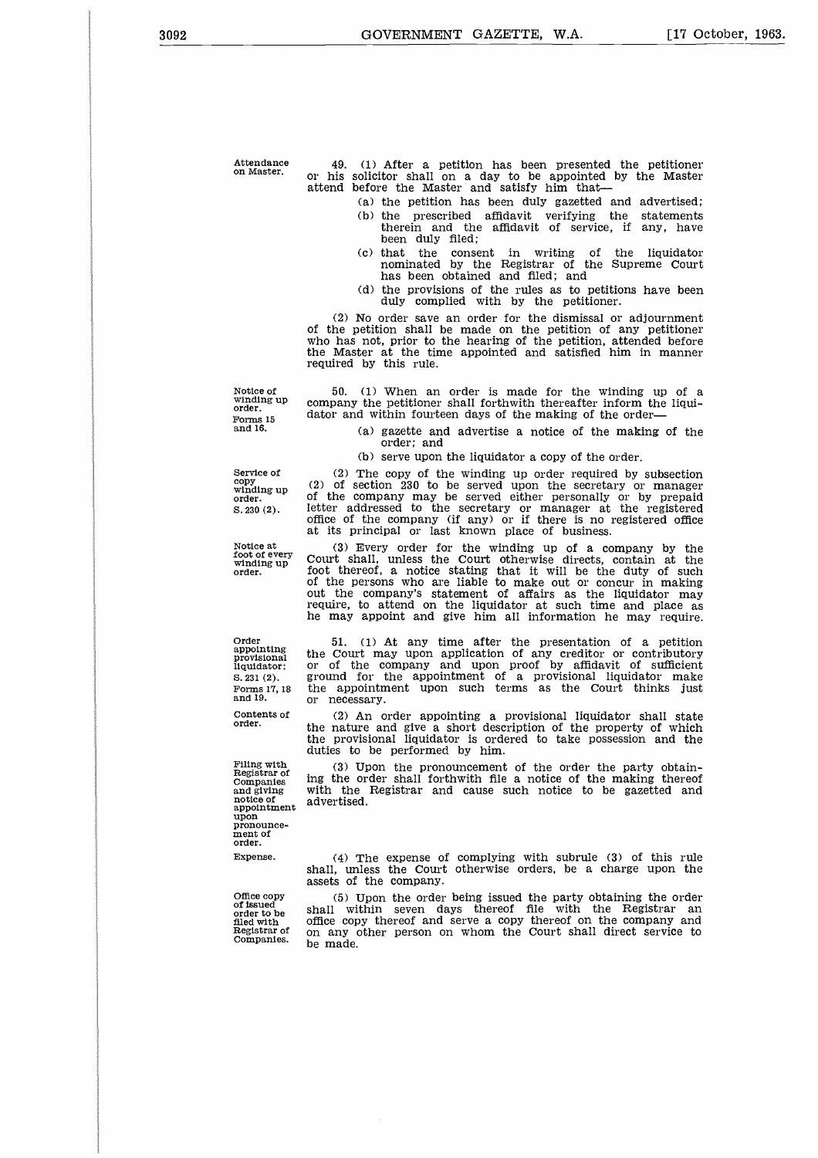Attendance on Master.

49. (1) After a petition has been presented the petitioner or his solicitor shall on a day to be appointed by the Master attend before the Master and satisfy him that

- (a) the petition has been duly gazetted and advertised; (b) the prescribed affidavit verifying the statements therein and the affidavit of service, if any, have been duly filed;
- (c) that the consent in writing of the liquidator nominated by the Registrar of the Supreme Court has been obtained and filed; and
- (d) the provisions of the rules as to petitions have been duly complied with by the petitioner.

(2) No order save an order for the dismissal or adjournment of the petition shall be made on the petition of any petitioner who has not, prior to the hearing of the petition, attended before the Master at the time appointed and satisfied him in manner required by this rule.

Notice of winding up order. Forms 15 and 16.

50. (1) When an order is made for the winding up of a company the petitioner shall forthwith thereafter inform the liquidator and within fourteen days of the making of the order

> (a) gazette and advertise a notice of the making of the order; and

(b) serve upon the liquidator a copy of the order.

(2) The copy of the winding up order required by subsection (2) of section 230 to be served upon the secretary or manager of the company may be served either personally or by prepaid letter addressed to the secretary or manager at the registered office of the company (if any) or if there is no registered office at its principal or last known place of business.

(3) Every order for the winding up of a company by the Court shall, unless the Court otherwise directs, contain at the foot thereof, a notice stating that it will be the duty of such of the persons who are liable to make out or concur in making out the company's statement of affairs as the liquidator may require, to attend on the liquidator at such time and place as he may appoint and give him all information he may require.

51. (1) At any time after the presentation of a petition the Court may upon application of any creditor or contributory or of the company and upon proof by affidavit of sufficient ground for the appointment of a provisional liquidator make the appointment upon such terms as the Court thinks just or necessary.

(2) An order appointing a provisional liquidator shall state the nature and give a short description of the property of which the provisional liquidator is ordered to take possession and the duties to be performed by him.

(3) Upon the pronouncement of the order the party obtaining the order shall forthwith file a notice of the making thereof with the Registrar and cause such notice to be gazetted and advertised.

(4) The expense of complying with subrule (3) of this rule shall, unless the Court otherwise orders, be a charge upon the assets of the company.

(5) Upon the order being issued the party obtaining the order shall within seven days thereof file with the Registrar an office copy thereof and serve a copy thereof on the company and on any other person on whom the Court shall direct service to be made.

Service of copy winding up order. S.230 (2).

Notice at foot of every winding up order.

Order appointing provisional liquidator: S.231 (2). Forms 17, 18 and 19.

Contents of order.

Filing with Registrar of Companies and giving notice of appointment upon pronouncement of order. Expense.

Office copy of issued order to be filed with Registrar of Companies.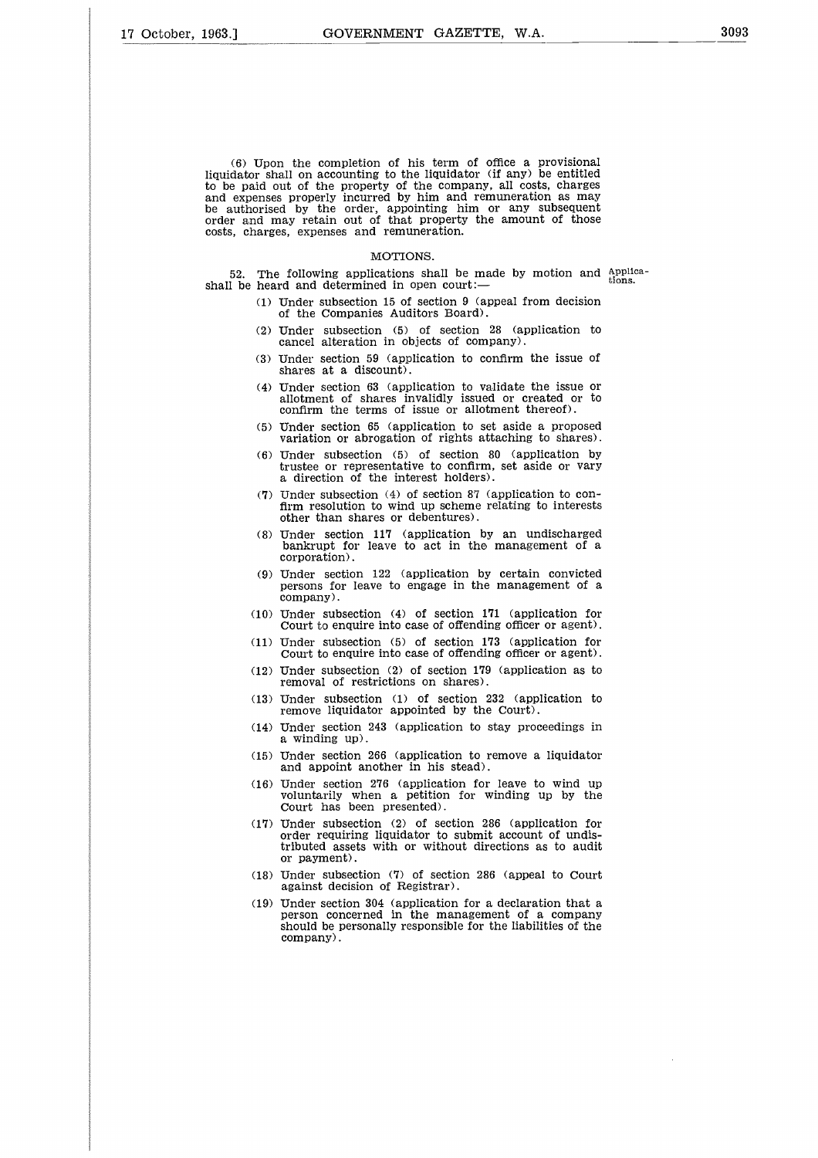(6) Upon the completion of his term of office a provisional liquidator shall on accounting to the liquidator (if any) be entitled to be paid out of the property of the company, all costs, charges and expenses properly incurred by him and remuneration as may be authorised by the order, appointing him or any subsequent order and may retain out of that property the amount of those costs, charges, expenses and remuneration.

#### MOTIONS.

52. The following applications shall be made by motion and applications. shall be heard and determined in open court:

- (1) Under subsection 15 of section 9 (appeal from decision of the Companies Auditors Board).
- (2) Under subsection (5) of section 28 (application to cancel alteration in objects of company).
- (3) Under section 59 (application to confirm the issue of shares at a discount).
- (4) Under section 63 (application to validate the issue or allotment of shares invalidly issued or created or to confirm the terms of issue or allotment thereof).
- (5) Under section 65 (application to set aside a proposed variation or abrogation of rights attaching to shares).
- (6) Under subsection (5) of section 80 (application by trustee or representative to confirm, set aside or vary a direction of the interest holders).
- (7) Under subsection (4) of section 87 (application to confirm resolution to wind up scheme relating to interests other than shares or debentures).
- (8) Under section 117 (application by an undischarged bankrupt for leave to act in the management of a corporation).
- (9) Under section 122 (application by certain convicted persons for leave to engage in the management of a company).
- (10) Under subsection (4) of section 171 (application for Court to enquire into case of offending officer or agent).
- (11) Under subsection (5) of section 173 (application for Court to enquire into case of offending officer or agent).
- (12) Under subsection (2) of section 179 (application as to removal of restrictions on shares).
- (13) Under subsection (1) of section 232 (application to remove liquidator appointed by the Court).
- (14) Under section 243 (application to stay proceedings in a winding up).
- (15) Under section 266 (application to remove a liquidator and appoint another in his stead).
- (16) Under section 276 (application for leave to wind up voluntarily when a petition for winding up by the Court has been presented).
- (17) Under subsection (2) of section 286 (application for order requiring liquidator to submit account of undistributed assets with or without directions as to audit or payment).
- (18) Under subsection (7) of section 286 (appeal to Court against decision of Registrar).
- (19) Under section 304 (application for a declaration that a person concerned in the management of a company should be personally responsible for the liabilities of the company).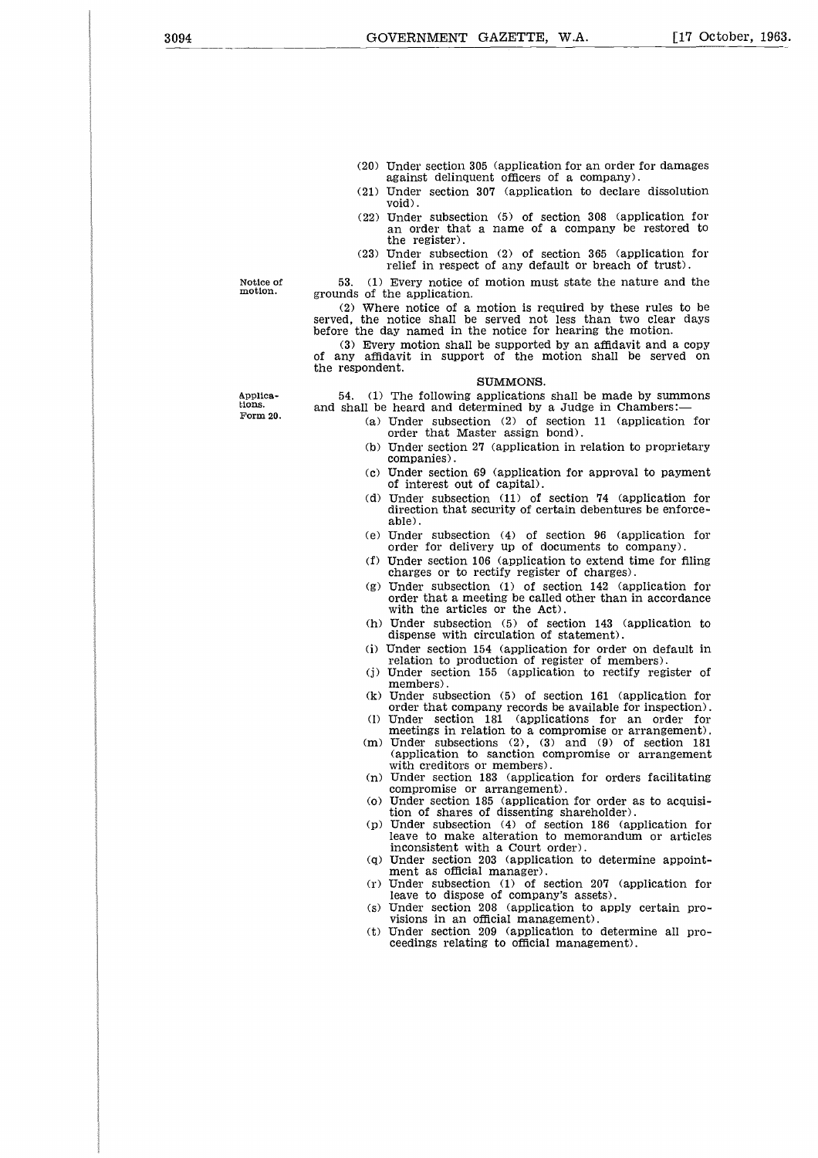- (20) Under section 305 (application for an order for damages against delinquent officers of a company).
- (21) Under section 307 (application to declare dissolution void).
- (22) Under subsection (5) of section 308 (application for an order that a name of a company be restored to the register).
- (23) Under subsection (2) of section 365 (application for relief in respect of any default or breach of trust).

53. (1) Every notice of motion must state the nature and the grounds of the application.

(2) Where notice of a motion is required by these rules to be served, the notice shall be served not less than two clear days before the day named in the notice for hearing the motion.

(3) Every motion shall be supported by an affidavit and a copy of any affidavit in support of the motion shall be served on the respondent.

#### SUMMONS.

54. (1) The following applications shall be made by summons and shall be heard and determined by a Judge in Chambers:

- (a) Under subsection (2) of section 11 (application for order that Master assign bond).
- (b) Under section 27 (application in relation to proprietary companies).
- (c) Under section 69 (application for approval to payment of interest out of capital).
- (d) Under subsection (11) of section 74 (application for direction that security of certain debentures be enforceable).
- (e) Under subsection (4) of section 96 (application for order for delivery up of documents to company).
- (f) Under section 106 (application to extend time for filing charges or to rectify register of charges).
- (g) Under subsection (1) of section 142 (application for order that a meeting be called other than in accordance with the articles or the Act).
- (h) Under subsection (5) of section 143 (application to dispense with circulation of statement).
- (i) Under section 154 (application for order on default in relation to production of register of members).
- (j) Under section 155 (application to rectify register of members).
- (k) Under subsection (5) of section 161 (application for order that company records be available for inspection). (1) Under section 181 (applications for an order for
- meetings in relation to a compromise or arrangement).
- (m) Under subsections (2), (3) and (9) of section 181 (application to sanction compromise or arrangement with creditors or members).
- (n) Under section 183 (application for orders facilitating compromise or arrangement).
- (o) Under section 185 (application for order as to acquisition of shares of dissenting shareholder).
- (p) Under subsection (4) of section 186 (application for leave to make alteration to memorandum or articles inconsistent with a Court order).
- (q) Under section 203 (application to determine appointment as official manager).
- (r) Under subsection (1) of section 207 (application for leave to dispose of company's assets).
- (s) Under section 208 (application to apply certain provisions in an official management).
- (t) Under section 209 (application to determine all proceedings relating to official management).

Applications. Form 20.

Notice of motion.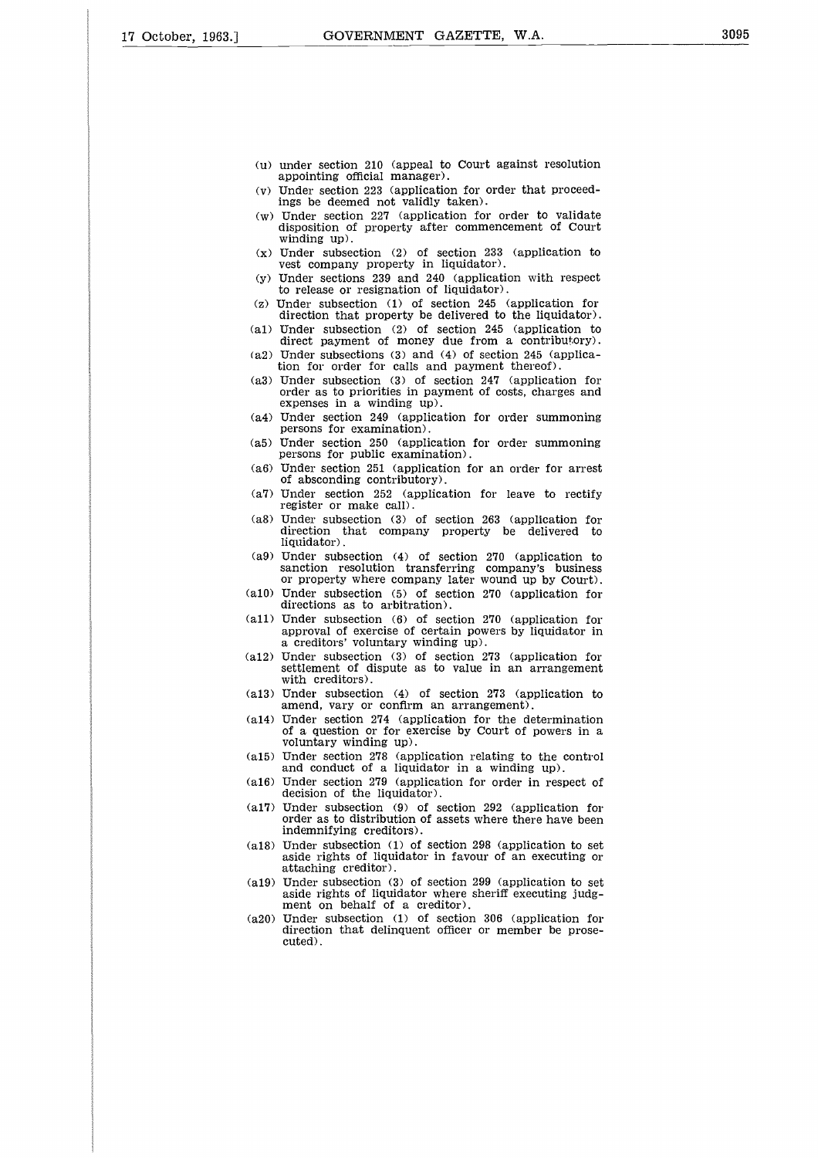- (u) under section 210 (appeal to Court against resolution appointing official manager).
- (v) Under section 223 (application for order that proceedings be deemed not validly taken).
- (w) Under section 227 (application for order to validate disposition of property after commencement of Court winding up).
- (x) Under subsection (2) of section 233 (application to vest company property in liquidator).
- (y) Under sections 239 and 240 (application with respect to release or resignation of liquidator).
- (z) Under subsection (1) of section 245 (application for direction that property be delivered to the liquidator).
- (al) Under subsection (2) of section 245 (application to direct payment of money due from a contributory). (a2) Under subsections (3) and (4) of section 245 (applica-
- tion for order for calls and payment thereof).
- (a3) Under subsection (3) of section 247 (application for order as to priorities in payment of costs, charges and expenses in a winding up).
- (a4) Under section 249 (application for order summoning persons for examination).
- (a5) Under section 250 (application for order summoning persons for public examination).
- (a6) Under section 251 (application for an order for arrest of absconding contributory).
- (a7) Under section 252 (application for leave to rectify register or make call).
- (a8) Under subsection (3) of section 263 (application for direction that company property be delivered to liquidator).
- (a9) Under subsection (4) of section 270 (application to sanction resolution transferring company's business or property where company later wound up by Court).
- (a10) Under subsection (5) of section 270 (application for directions as to arbitration).
- (all) Under subsection (6) of section 270 (application for approval of exercise of certain powers by liquidator in a creditors' voluntary winding up).
- (a12) Under subsection (3) of section 273 (application for settlement of dispute as to value in an arrangement with creditors).
- (a13) Under subsection (4) of section 273 (application to amend, vary or confirm an arrangement).
- (a14) Under section 274 (application for the determination of a question or for exercise by Court of powers in a voluntary winding up).
- (a15) Under section 278 (application relating to the control and conduct of a liquidator in a winding up).
- (a16) Under section 279 (application for order in respect of decision of the liquidator).
- (a17) Under subsection (9) of section 292 (application for order as to distribution of assets where there have been indemnifying creditors).
- (a18) Under subsection (1) of section 298 (application to set aside rights of liquidator in favour of an executing or attaching creditor).
- (a19) Under subsection (3) of section 299 (application to set aside rights of liquidator where sheriff executing judgment on behalf of a creditor).
- (a20) Under subsection (1) of section 306 (application for direction that delinquent officer or member be prosecuted).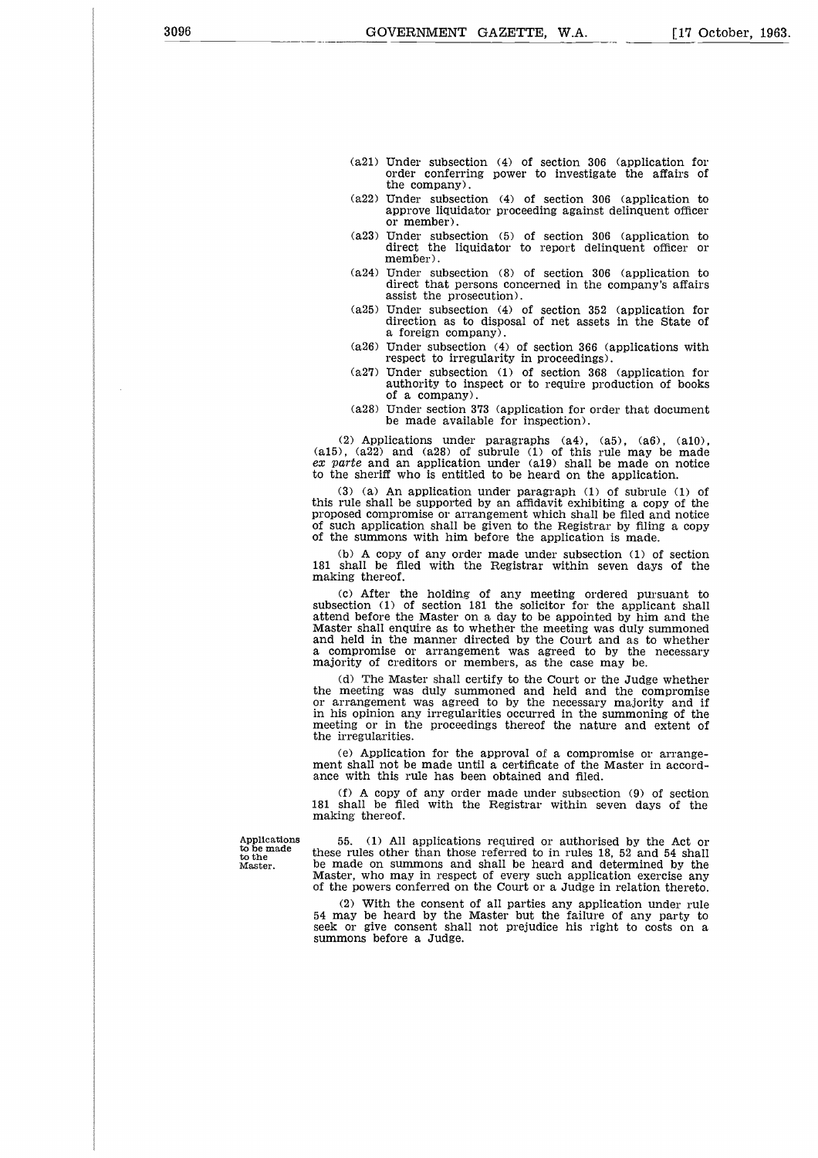- (a21) Under subsection (4) of section 306 (application for order conferring power to investigate the affairs of the company).
- (a22) Under subsection (4) of section 306 (application to approve liquidator proceeding against delinquent officer or member).
- (a23) Under subsection (5) of section 306 (application to direct the liquidator to report delinquent officer or member).
- (a24) Under subsection (8) of section 306 (application to direct that persons concerned in the company's affairs assist the prosecution).
- (a25) Under subsection (4) of section 352 (application for direction as to disposal of net assets in the State of a foreign company).
- (a26) Under subsection (4) of section 366 (applications with respect to irregularity in proceedings).
- (a27) Under subsection (1) of section 368 (application for authority to inspect or to require production of books of a company).
- (a28) Under section 373 (application for order that document be made available for inspection).

(2) Applications under paragraphs  $(a4)$ ,  $(a5)$ ,  $(a6)$ ,  $(a10)$ (a15), (a22) and (a28) of subrule (1) of this rule may be made *ex parte* and an application under (a19) shall be made on notice to the sheriff who is entitled to be heard on the application.

(3) (a) An application under paragraph (1) of subrule (1) of this rule shall be supported by an affidavit exhibiting a copy of the proposed compromise or arrangement which shall be filed and notice of such application shall be given to the Registrar by filing a copy of the summons with him before the application is made.

(b) A copy of any order made under subsection (1) of section 181 shall be filed with the Registrar within seven days of the making thereof.

(c) After the holding of any meeting ordered pursuant to subsection (1) of section 181 the solicitor for the applicant shall attend before the Master on a day to be appointed by him and the Master shall enquire as to whether the meeting was duly summoned and held in the manner directed by the Court and as to whether a compromise or arrangement was agreed to by the necessary majority of creditors or members, as the case may be.

(d) The Master shall certify to the Court or the Judge whether the meeting was duly summoned and held and the compromise or arrangement was agreed to by the necessary majority and if in his opinion any irregularities occurred in the summoning of the meeting or in the proceedings thereof the nature and extent of the irregularities.

(e) Application for the approval of a compromise or arrangement shall not be made until a certificate of the Master in accordance with this rule has been obtained and filed.

(f) A copy of any order made under subsection (9) of section 181 shall be filed with the Registrar within seven days of the making thereof.

Applications to be made to the Master.

55. (1) All applications required or authorised by the Act or these rules other than those referred to in rules 18, 52 and 54 shall be made on summons and shall be heard and determined by the Master, who may in respect of every such application exercise any of the powers conferred on the Court or a Judge in relation thereto.

(2) With the consent of all parties any application under rule 54 may be heard by the Master but the failure of any party to seek or give consent shall not prejudice his right to costs on a summons before a Judge.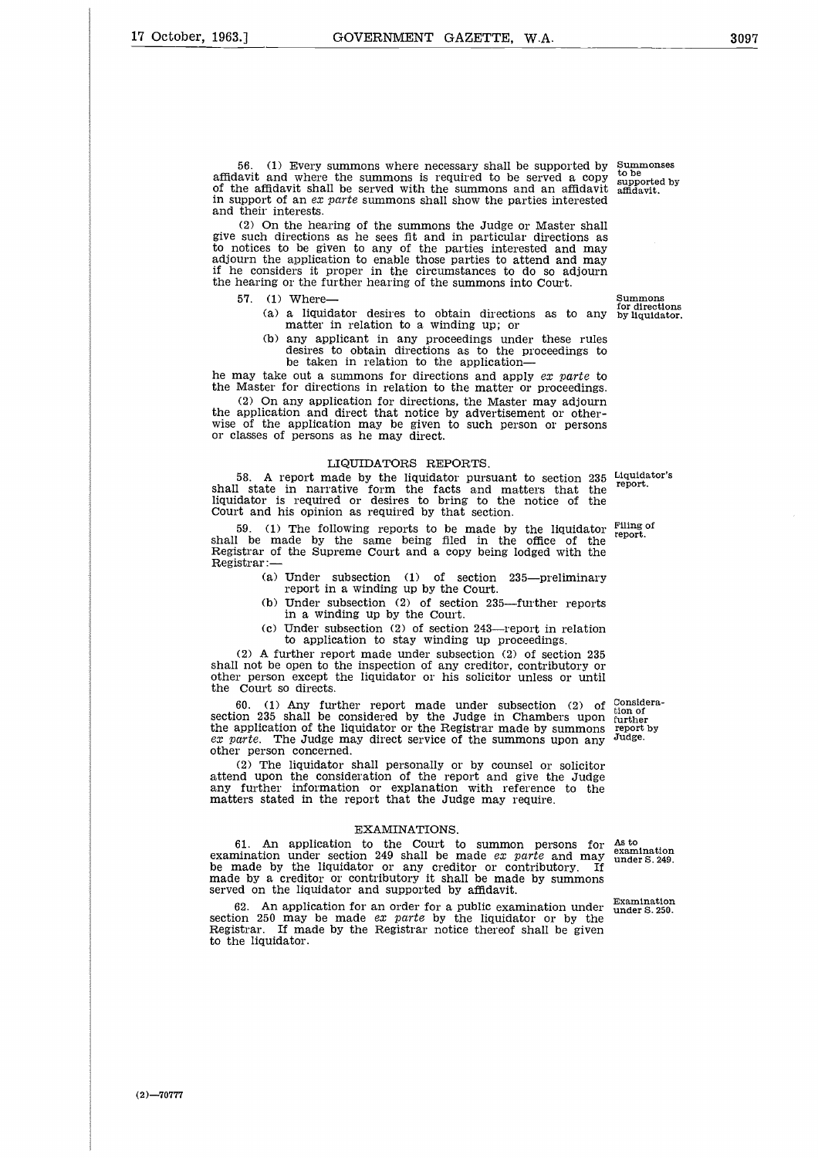56. (1) Every summons where necessary shall be supported by affidavit and where the summons is required to be served a copy of the affidavit shall be served with the summons and an affidavit in support of an *ex parte* summons shall show the parties interested and their interests. Summonses to be supported by affidavit.

(2) On the hearing of the summons the Judge or Master shall give such directions as he sees fit and in particular directions as to notices to be given to any of the parties interested and may adjourn the application to enable those parties to attend and may if he considers it proper in the circumstances to do so adjourn the hearing or the further hearing of the summons into Court.

- 
- 57. (1) Where— Summons for directions of the state of the state of the state of the state of the state of the state of the state of the state of the state of the state of the state of the state of the state of the state of for directions (a) a liquidator desires to obtain directions as to any by liquidator. matter in relation to a winding up; or
	- (b) any applicant in any proceedings under these rules desires to obtain directions as to the proceedings to be taken in relation to the application

he may take out a summons for directions and apply *ex parte* to the Master for directions in relation to the matter or proceedings.

(2) On any application for directions, the Master may adjourn the application and direct that notice by advertisement or otherwise of the application may be given to such person or persons or classes of persons as he may direct.

#### LIQUIDATORS REPORTS.

58. A report made by the liquidator pursuant to section 235 Liquidator's shall state in narrative form the facts and matters that the liquidator is required or desires to bring to the notice of the Court and his opinion as required by that section.

59. (1) The following reports to be made by the liquidator shall be made by the same being filed in the office of the Registrar of the Supreme Court and a copy being lodged with the Registrar :— Filing of report.

- (a) Under subsection (1) of section 235—preliminary report in a winding up by the Court.
- (b) Under subsection (2) of section 235—further reports in a winding up by the Court.
- (c) Under subsection (2) of section 243—report in relation to application to stay winding up proceedings.

(2) A further report made under subsection (2) of section 235 shall not be open to the inspection of any creditor, contributory or other person except the liquidator or his solicitor unless or until the Court so directs.

60. (1) Any further report made under subsection (2) of section 235 shall be considered by the Judge in Chambers upon the application of the liquidator or the Registrar made by summons *ex parte.* The Judge may direct service of the summons upon any other person concerned.

(2) The liquidator shall personally or by counsel or solicitor attend upon the consideration of the report and give the Judge any further information or explanation with reference to the matters stated in the report that the Judge may require.

#### EXAMINATIONS.

61. An application to the Court to summon persons for examination under section 249 shall be made *ex parte* and may be made by the liquidator or any creditor or contributory. If made by a creditor or contributory it shall be made by summons served on the liquidator and supported by affidavit.

62. An application for an order for a public examination under section 250 may be made *ex parte* by the liquidator or by the Registrar. If made by the Registrar notice thereof shall be given to the liquidator.

Consideration of further report by Judge.

As to examination under S. 249.

Examination under S. 250.

report.

 $(2) - 70777$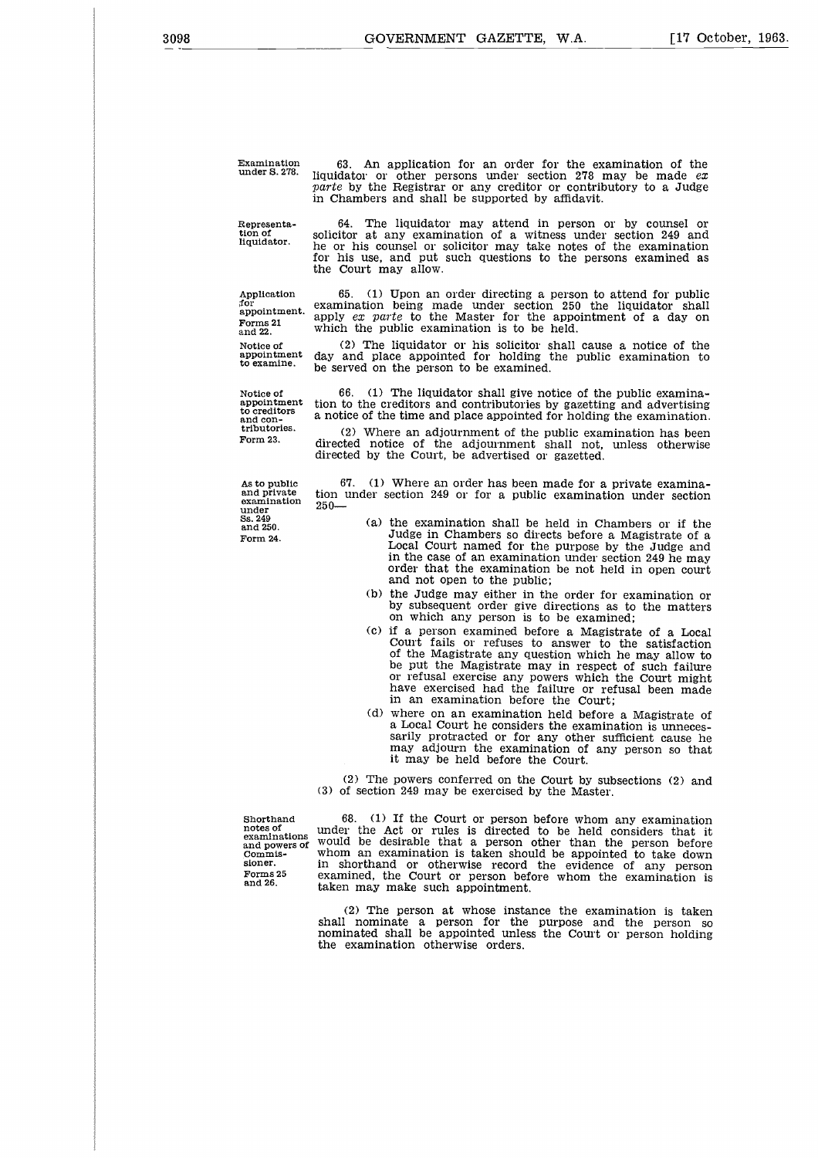in Chambers and shall be supported by affidavit.

[17 October, 1963.

Examination under S. 278.

Representation of liquidator.

64. The liquidator may attend in person or by counsel or solicitor at any examination of a witness under section 249 and he or his counsel or solicitor may take notes of the examination for his use, and put such questions to the persons examined as the Court may allow.

63. An application for an order for the examination of the liquidator or other persons under section 278 may be made *ex parte* by the Registrar or any creditor or contributory to a Judge

Application for appointment. Forms 21 and 22. Notice of appointment to examine.

Notice of appointment to creditors and contributories. Form 23.

As to public and private examination under Ss. 249 and 250. Form 24.

examination being made under section 250 the liquidator shall<br>apply *ex parte* to the Master for the appointment of a day on<br>which the public examination is to be held. (2) The liquidator or his solicitor shall cause a notice of the

65. (1) Upon an order directing a person to attend for public

day and place appointed for holding the public examination to be served on the person to be examined.

66. (1) The liquidator shall give notice of the public examination to the creditors and contributories by gazetting and advertising a notice of the time and place appointed for holding the examination.

(2) Where an adjournment of the public examination has been directed notice of the adjournment shall not, unless otherwise directed by the Court, be advertised or gazetted.

67. (1) Where an order has been made for a private examination under section 249 or for a public examination under section  $250-$ 

- (a) the examination shall be held in Chambers or if the Judge in Chambers so directs before a Magistrate of a Local Court named for the purpose by the Judge and in the case of an examination under section 249 he may order that the examination be not held in open court and not open to the public;
- (b) the Judge may either in the order for examination or by subsequent order give directions as to the matters on which any person is to be examined;
- (c) if a person examined before a Magistrate of a Local Court fails or refuses to answer to the satisfaction of the Magistrate any question which he may allow to be put the Magistrate may in respect of such failure or refusal exercise any powers which the Court might have exercised had the failure or refusal been made in an examination before the Court;
- (d) where on an examination held before a Magistrate of a Local Court he considers the examination is unnecessarily protracted or for any other sufficient cause he may adjourn the examination of any person so that it may be held before the Court.

(2) The powers conferred on the Court by subsections (2) and (3) of section 249 may be exercised by the Master.

Shorthand notes of examinations and powers of Commissioner. Forms 25 and 26.

68. (1) If the Court or person before whom any examination under the Act or rules is directed to be held considers that it would be desirable that a person other than the person before whom an examination is taken should be appointed to take down in shorthand or otherwise record the evidence of any person examined, the Court or person before whom the examination is taken may make such appointment.

(2) The person at whose instance the examination is taken shall nominate a person for the purpose and the person so nominated shall be appointed unless the Court or person holding the examination otherwise orders.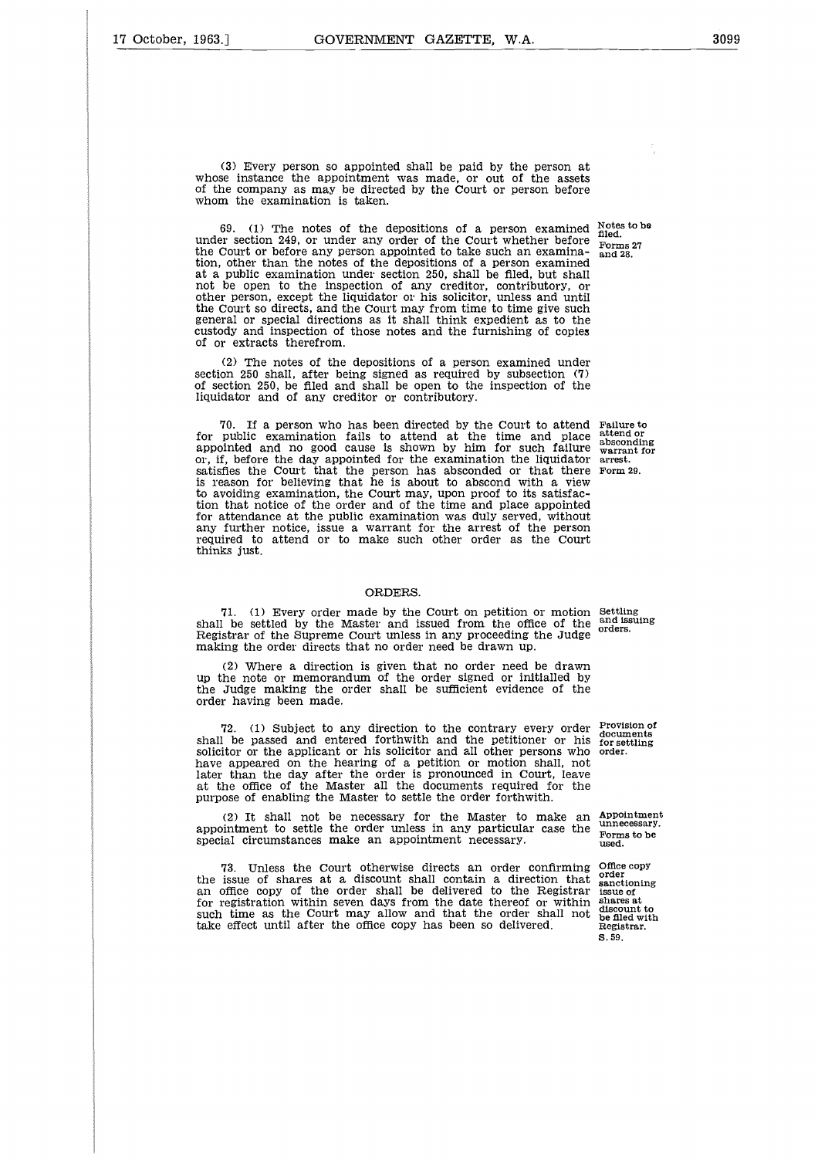(3) Every person so appointed shall be paid by the person at whose instance the appointment was made, or out of the assets of the company as may be directed by the Court or person before whom the examination is taken.

69. (1) The notes of the depositions of a person examined Notes to be  $\frac{1}{2}$ under section 249, or under any order of the Court whether before the Court or before any person appointed to take such an examination, other than the notes of the depositions of a person examined at a public examination under section 250, shall be filed, but shall not be open to the inspection of any creditor, contributory, or other person, except the liquidator or his solicitor, unless and until the Court so directs, and the Court may from time to time give such general or special directions as it shall think expedient as to the custody and inspection of those notes and the furnishing of copies of or extracts therefrom.

(2) The notes of the depositions of a person examined under<br>on 250 shall, after being signed as required by subsection  $(7)$ section 250 shall, after being signed as required by subsection of section 250, be filed and shall be open to the inspection of the liquidator and of any creditor or contributory.

70. If a person who has been directed by the Court to attend Failure to for public examination fails to attend at the time and place appointed and no good cause is shown by him for such failure or, if, before the day appointed for the examination the liquidator satisfies the Court that the person has absconded or that there satisfies the Court that the person has absconded or that there Form29.<br>is reason for believing that he is about to abscond with a view to avoiding examination, the Court may, upon proof to its satisfaction that notice of the order and of the time and place appointed for attendance at the public examination was duly served, without any further notice, issue a warrant for the arrest of the person required to attend or to make such other order as the Court thinks just.

#### ORDERS.

71. (1) Every order made by the Court on petition or motion shall be settled by the Master and issued from the office of the Registrar of the Supreme Court unless in any proceeding the Judge making the order directs that no order need be drawn up.

(2) Where a direction is given that no order need be drawn up the note or memorandum of the order signed or initialled by the Judge making the order shall be sufficient evidence of the order having been made.

72. (1) Subject to any direction to the contrary every order shall be passed and entered forthwith and the petitioner or his solicitor or the applicant or his solicitor and all other persons who have appeared on the hearing of a petition or motion shall, not later than the day after the order is pronounced in Court, leave at the office of the Master all the documents required for the purpose of enabling the Master to settle the order forthwith.

(2) It shall not be necessary for the Master to make an Appointment<br>integration to estile the order unless in any porticular case the unnecessary. appointment to settle the order unless in any particular case the special circumstances make an appointment necessary.

73. Unless the Court otherwise directs an order confirming the issue of shares at a discount shall contain a direction that an office copy of the order shall be delivered to the Registrar for registration within seven days from the date thereof or within such time as the Court may allow and that the order shall not take effect until after the office copy has been so delivered.

Forms 27 and 28.

attend or absconding warrant for arrest.

Settling and issuing orders.

Provision of documents for settling order.

Forms to be used.

Office copy order sanctioning issue of shares at discount to be filed with Registrar. S. 59.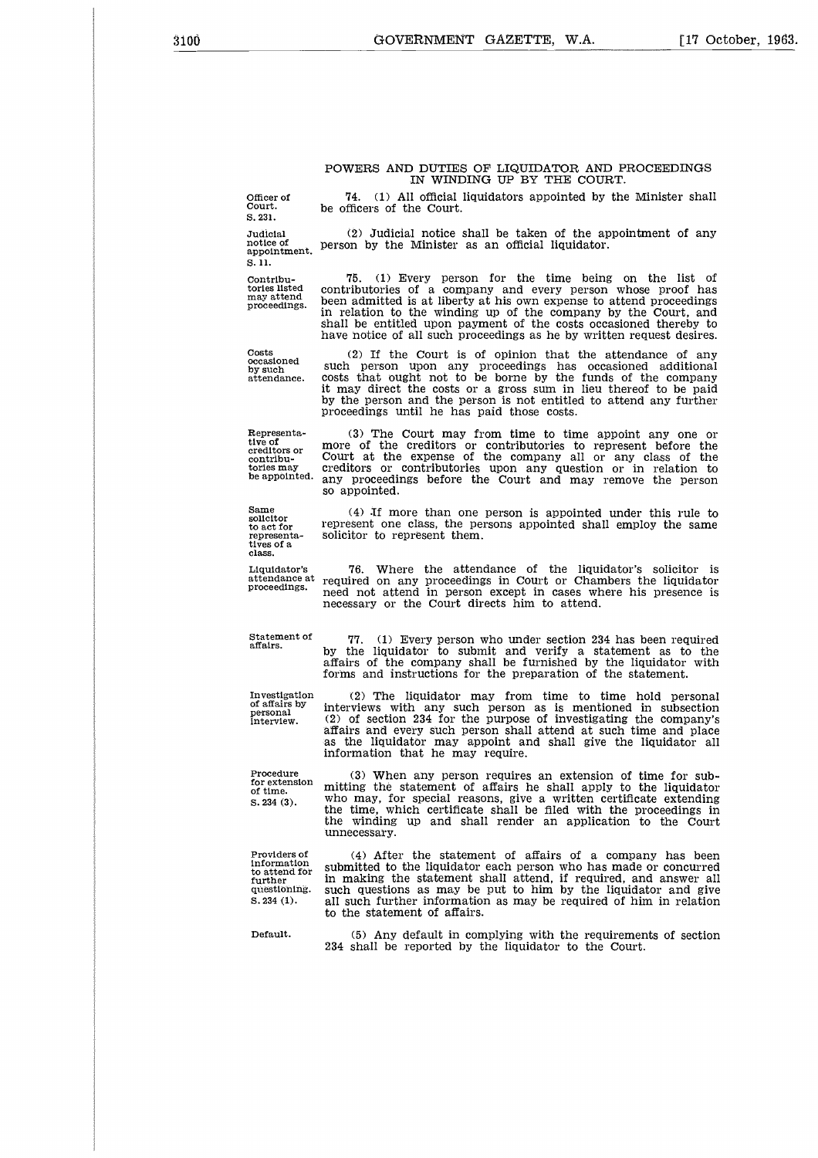#### POWERS AND DUTIES OF LIQUIDATOR AND PROCEEDINGS IN WINDING UP BY THE COURT.

Officer<br>Court.<br>S. 231.<br>Judicia S. 231.

POWERS AND DUTIES OF LIQUIDATOR AND PROCEEDINGS<br>
IN WINDING UP BY THE COURT.<br>
Officer of T4. (1) All official liquidators appointed by the Minister shall<br>
S. 231.<br>
Judicial (2) Judicial notice shall be taken of the appoint be officers of the Court. POWERS AND DUTIES OF LIQUIDATOR AND PROCEEDINGS<br>
IN WINDING UP BY THE COURT.<br>
Officer of the appointment of any<br>
1.8.231.<br>
1.231.<br>
2.231.<br>
2.231.<br>
2.231.<br>
2.231.<br>
2.231.<br>
2.231.<br>
2.23.<br>
2.23.<br>
2.23.<br>
2.23.<br>
2.23.<br>
2.23.<br>
2

75. (1) Every person for the time being on the list of contributories of a company and every person whose proof has been admitted is at liberty at his own expense to attend proceedings in relation to the winding up of the company by the Court, and shall be entitled upon payment of the costs occasioned thereby to have notice of all such proceedings as he by written request desires.

notice of person by the Minister as an official liquidator.  $\overline{\mathbf{s}}$ . 11.

Contributories listed may attend proceedings.

Costs occasioned by such

(2) If the Court is of opinion that the attendance of any such person upon any proceedings has occasioned additional costs that ought not to be borne by the funds of the company it may direct the costs or a gross sum in lieu thereof to be paid by the person and the person is not entitled to attend any further proceedings until he has paid those costs.

Representative of creditors or contribu-tories may be appointed.

Same solicitor to act for representa-tives of a class.

Liquidator's attendance at proceedings.

Statement o affairs.

Investigation of affairs by personal personal-<br>interview.

Procedure for extension of time. S. 234 (3).

Providers of information to attend for further questioning. S. 234 (1).

(4) After the statement of affairs of a company has been submitted to the liquidator each person who has made or concurred in making the statement shall attend, if required, and answer all such questions as may be put to him by the liquidator and give all such further information as may be required of him in relation to the statement of affairs. Defeative mitting the statement of affairs he shall apply to the liquidator<br>
S. 234 (3). Who may, for special reasons, give a written certificate exheding<br>
the time, which certificate shall be filed with the proceedings i

234 shall be reported by the liquidator to the Court.

(3) The Court may from time to time appoint any one or more of the creditors or contributories to represent before the Court at the expense of the company all or any class of the creditors or contributories upon any question or in relation to any proceedings before the Court and may remove the person so appointed.

(4) If more than one person is appointed under this rule to represent one class, the persons appointed shall employ the same solicitor to represent them.

76. Where the attendance of the liquidator's solicitor is required on any proceedings in Court or Chambers the liquidator need not attend in person except in cases where his presence is necessary or the Court directs him to attend.

77. (1) Every person who under section 234 has been required by the liquidator to submit and verify a statement as to the affairs of the company shall be furnished by the liquidator with forms and instructions for the preparation of the statement.

(2) The liquidator may from time to time hold personal interviews with any such person as is mentioned in subsection (2) of section 234 for the purpose of investigating the company's affairs and every such person shall attend at such time and place as the liquidator may appoint and shall give the liquidator all information that he may require.

(3) When any person requires an extension of time for submitting the statement of affairs he shall apply to the liquidator who may, for special reasons, give a written certificate extending the time, which certificate shall be filed with the proceedings in the winding up and shall render an application to the Court unnecessary.

attendance.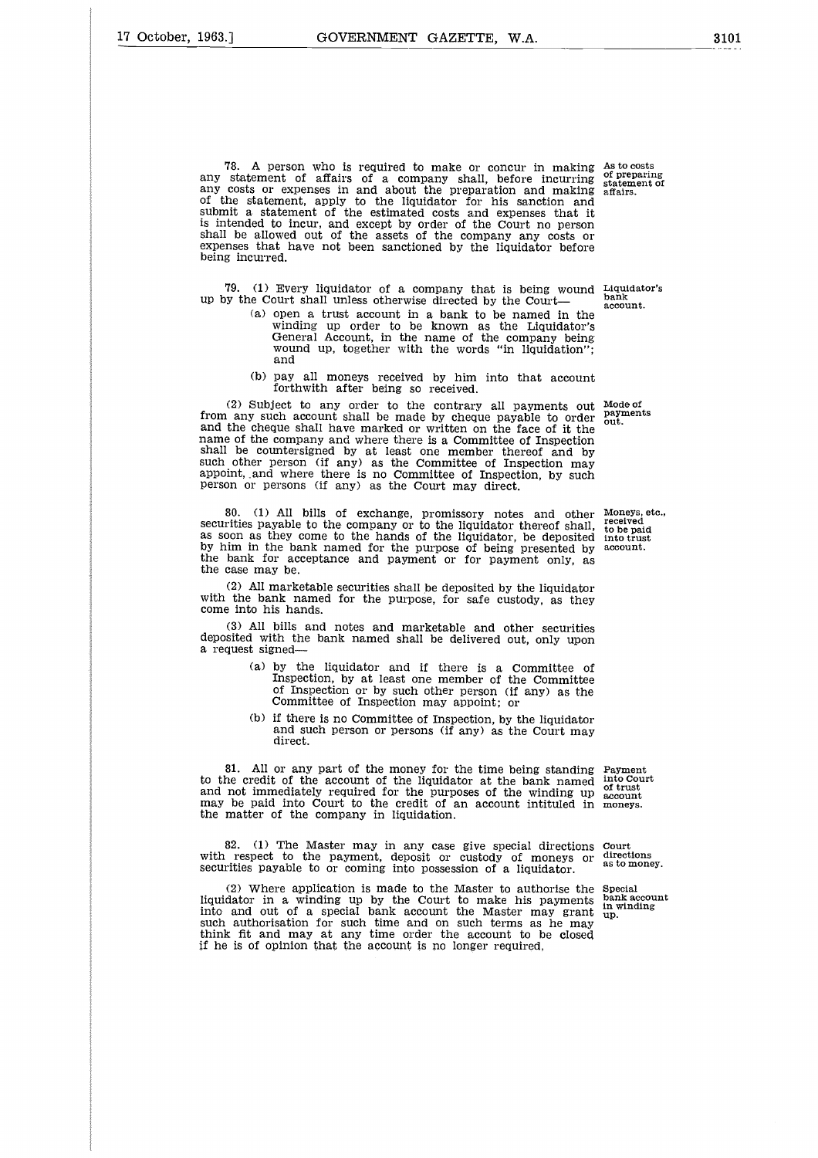being incurred.

78. A person who is required to make or concur in making any statement of affairs of a company shall, before incurring any costs or expenses in and about the preparation and making of the statement, apply to the liquidator for his sanction and submit a statement of the estimated costs and expenses that it is intended to incur, and except by order of the Court no person shall be allowed out of the assets of the company any costs or

79. (1) Every liquidator of a company that is being wound Liquidator's up by the Court shall unless otherwise directed by the Court bank account.

expenses that have not been sanctioned by the liquidator before

- (a) open a trust account in a bank to be named in the winding up order to be known as the Liquidator's General Account, in the name of the company being wound up, together with the words "in liquidation"; and
- (b) pay all moneys received by him into that account forthwith after being so received.

(2) Subject to any order to the contrary all payments out from any such account shall be made by cheque payable to order and the cheque shall have marked or written on the face of it the name of the company and where there is a Committee of Inspection shall be countersigned by at least one member thereof and by such other person (if any) as the Committee of Inspection may appoint, and where there is no Committee of Inspection, by such person or persons (if any) as the Court may direct.

80. (1) All bills of exchange, promissory notes and other securities payable to the company or to the liquidator thereof shall, as soon as they come to the hands of the liquidator, be deposited as soon as they come to the hands of the liquidator, be deposited by him in the bank named for the purpose of being presented by the bank for acceptance and payment or for payment only, as the case may be.

(2) All marketable securities shall be deposited by the liquidator with the bank named for the purpose, for safe custody, as they come into his hands.

(3) All bills and notes and marketable and other securities deposited with the bank named shall be delivered out, only upon a request signed

- (a) by the liquidator and if there is a Committee of Inspection, by at least one member of the Committee of Inspection or by such other person (if any) as the Committee of Inspection may appoint; or
- (b) if there is no Committee of Inspection, by the liquidator and such person or persons (if any) as the Court may direct.

81. All or any part of the money for the time being standing Payment  $he$  credit of the account of the liquidator at the bank named into Court to the credit of the account of the liquidator at the bank named into Court and not immediately required for the purposes of the winding up  $\frac{1}{2}$  of trust may be paid into Court to the credit of an account intituled in the matter of the company in liquidation.

82. (1) The Master may in any case give special directions with respect to the payment, deposit or custody of moneys or securities payable to or coming into possession of a liquidator.

(2) Where application is made to the Master to authorise the liquidator in a winding up by the Court to make his payments into and out of a special bank account the Master may grant such authorisation for such time and on such terms as he may think fit and may at any time order the account to be closed if he is of opinion that the account is no longer required,

Moneys, etc., received to be paid into trust account.

Court directions as to money.

Special bank account in winding up.

As to costs of preparing statement of affairs.

Mode of payments<br>out. out.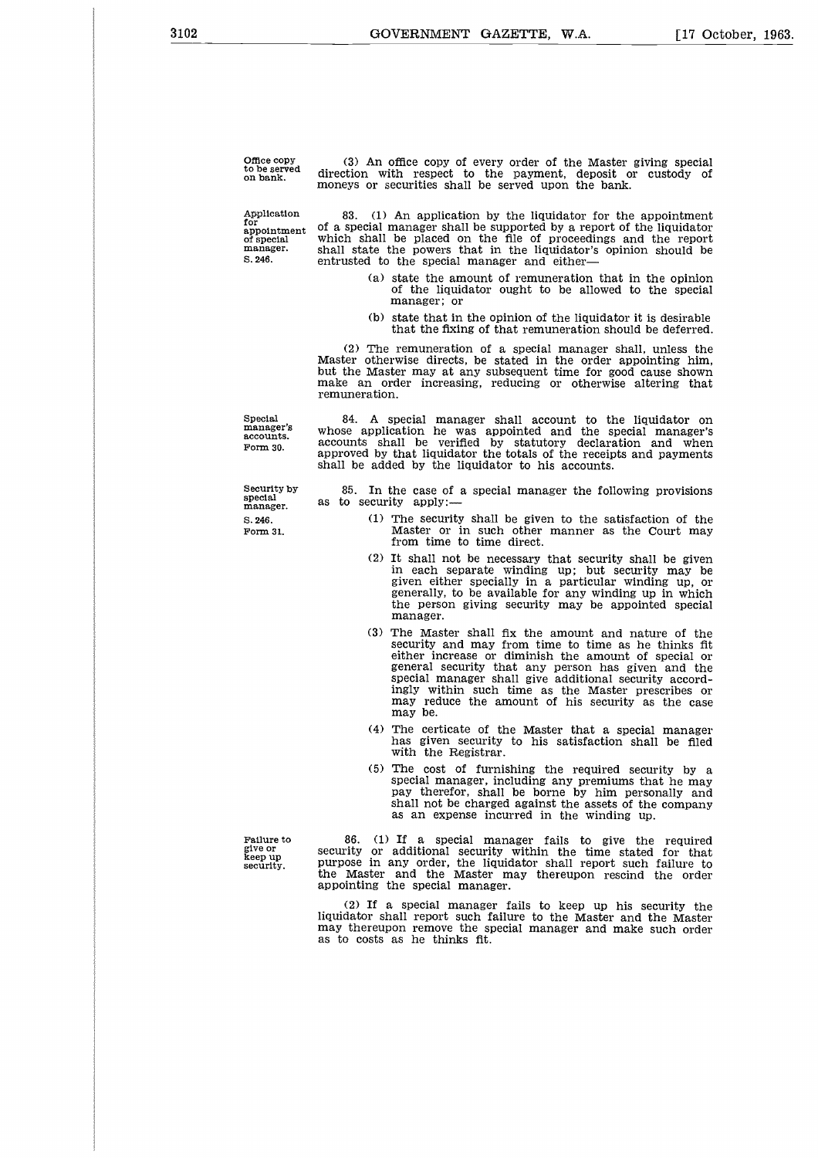Office copy to be served on bank. (3) An office copy of every order of the Master giving special direction with respect to the payment, deposit or custody of moneys or securities shall be served upon the bank.

Application for appointment of special manager. S. 248.

83. (1) An application by the liquidator for the appointment of a special manager shall be supported by a report of the liquidator which shall be placed on the file of proceedings and the report shall state the powers that in the liquidator's opinion should be entrusted to the special manager and either

- (a) state the amount of remuneration that in the opinion of the liquidator ought to be allowed to the special manager; or
- (b) state that in the opinion of the liquidator it is desirable that the fixing of that remuneration should be deferred.

(2) The remuneration of a special manager shall, unless the Master otherwise directs, be stated in the order appointing him, but the Master may at any subsequent time for good cause shown make an order increasing, reducing or otherwise altering that remuneration.

84. A special manager shall account to the liquidator on whose application he was appointed and the special manager's accounts shall be verified by statutory declaration and when

Special manager's accounts. Form 30.

Security by special manager. S. 246. Form 31.

approved by that liquidator the totals of the receipts and payments shall be added by the liquidator to his accounts. 85. In the case of a special manager the following provisions

- as to security apply: (1) The security shall be given to the satisfaction of the Master or in such other manner as the Court may
	- from time to time direct. (2) It shall not be necessary that security shall be given in each separate winding up; but security may be given either specially in a particular winding up, or
	- generally, to be available for any winding up in which the person giving security may be appointed special manager.
	- (3) The Master shall fix the amount and nature of the security and may from time to time as he thinks fit either increase or diminish the amount of special or general security that any person has given and the special manager shall give additional security accordingly within such time as the Master prescribes or may reduce the amount of his security as the case may be.
	- (4) The certicate of the Master that a special manager has given security to his satisfaction shall be filed with the Registrar.
	- (5) The cost of furnishing the required security by a special manager, including any premiums that he may pay therefor, shall be borne by him personally and shall not be charged against the assets of the company as an expense incurred in the winding up.

Failure to give or keep up security.

86. (1) If a special manager fails to give the required security or additional security within the time stated for that purpose in any order, the liquidator shall report such failure to the Master and the Master may thereupon rescind the order appointing the special manager.

(2) If a special manager fails to keep up his security the liquidator shall report such failure to the Master and the Master may thereupon remove the special manager and make such order as to costs as he thinks fit.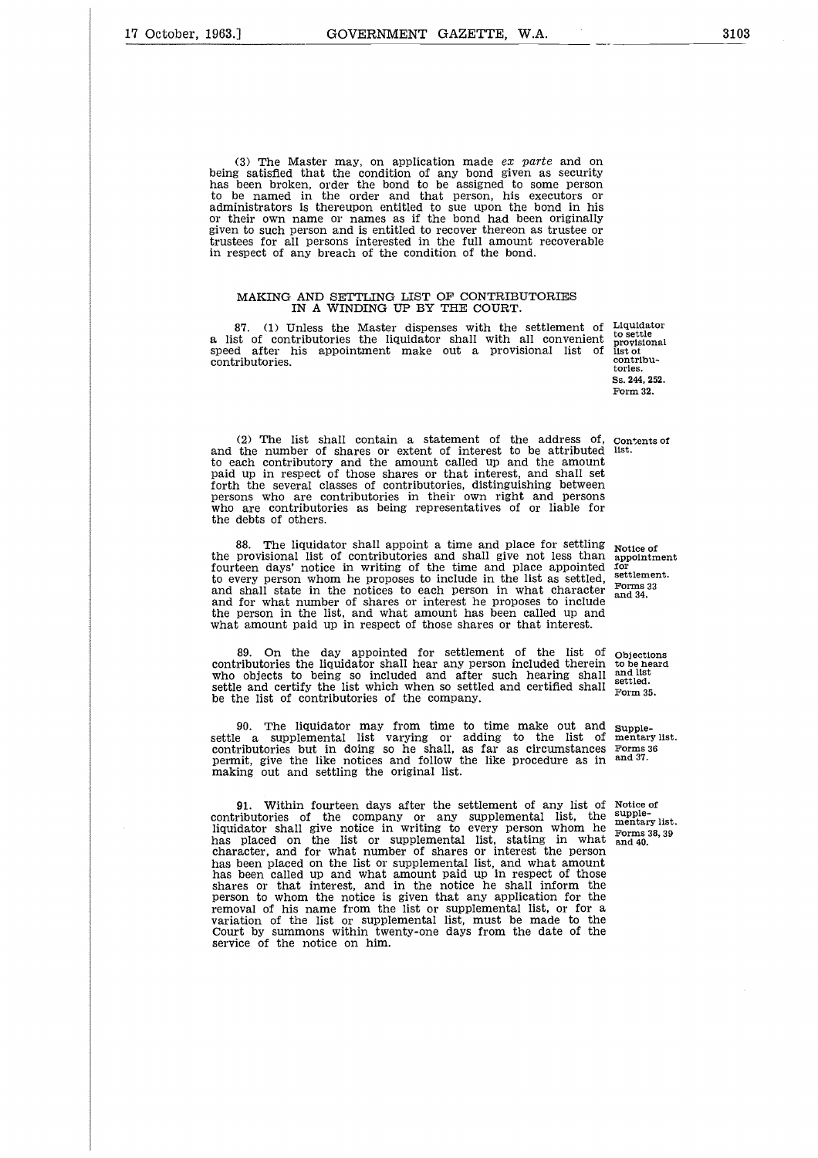(3) The Master may, on application made *ex parte* and on being satisfied that the condition of any bond given as security has been broken, order the bond to be assigned to some person to be named in the order and that person, his executors or administrators is thereupon entitled to sue upon the bond in his or their own name or names as if the bond had been originally given to such person and is entitled to recover thereon as trustee or trustees for all persons interested in the full amount recoverable in respect of any breach of the condition of the bond.

#### MAKING AND SETTLING LIST OF CONTRIBUTORIES IN A WINDING UP BY THE COURT.

87. (1) Unless the Master dispenses with the settlement of Liquidator 87. (1) Unless the Master dispenses with the settlement of a list of contributories the liquidator shall with all convenient speed after his appointment make out a provisional list of contributories.

to settle provisional list of contributories. Ss. 244, 252, Form 32.

(2) The list shall contain a statement of the address of, (2) The list shall contain a statement of the address of, contents of and the number of shares or extent of interest to be attributed list. to each contributory and the amount called up and the amount paid up in respect of those shares or that interest, and shall set forth the several classes of contributories, distinguishing between persons who are contributories in their own right and persons who are contributories as being representatives of or liable for the debts of others.

The liquidator shall appoint a time and place for settling the provisional list of contributories and shall give not less than fourteen days' notice in writing of the time and place appointed to every person whom he proposes to include in the list as settled, and shall state in the notices to each person in what character and for what number of shares or interest he proposes to include the person in the list, and what amount has been called up and what amount paid up in respect of those shares or that interest. 88. The liquidator shall appoint a time as<br>the provisional list of contributories and shall<br>fourteen days' notice in writing of the time at<br>and shall state in the norposes to include i<br>and shall state in the notices to eac

89. On the day appointed for settlement of the list of Objections contributories the liquidator shall hear any person included therein to be heard 89. On the day appointed for settlement of the list of  $_{\text{Objections}}$  contributories the liquidator shall hear any person included therein to be heard who objects to being so included and after such hearing shall and list settle and certify the list which when so settled and certified shall be the list of contributories of the company.

90. The liquidator may from time to time make out and settle a supplemental list varying or adding to the list of contributories but in doing so he shall, as far as circumstances permit, give the like notices and follow the like procedure as in making out and settling the original list.

91. Within fourteen days after the settlement of any list of contributories of the company or any supplemental list, the liquidator shall give notice in writing to every person whom he has placed on the list or supplemental list, stating in what character, and for what number of shares or interest the person has been placed on the list or supplemental list, and what amount has been called up and what amount paid up in respect of those shares or that interest, and in the notice he shall inform the person to whom the notice is given that any application for the removal of his name from the list or supplemental list, or for a variation of the list or supplemental list, must be made to the Court by summons within twenty-one days from the date of the service of the notice on him.

Notice of appointment for settlement. Forms 33 and 34.

Form 35.

Supplementary list. Forms 36 and 37.

Notice of supplesupple-<br>mentary list. Forms 38, 39 and 40.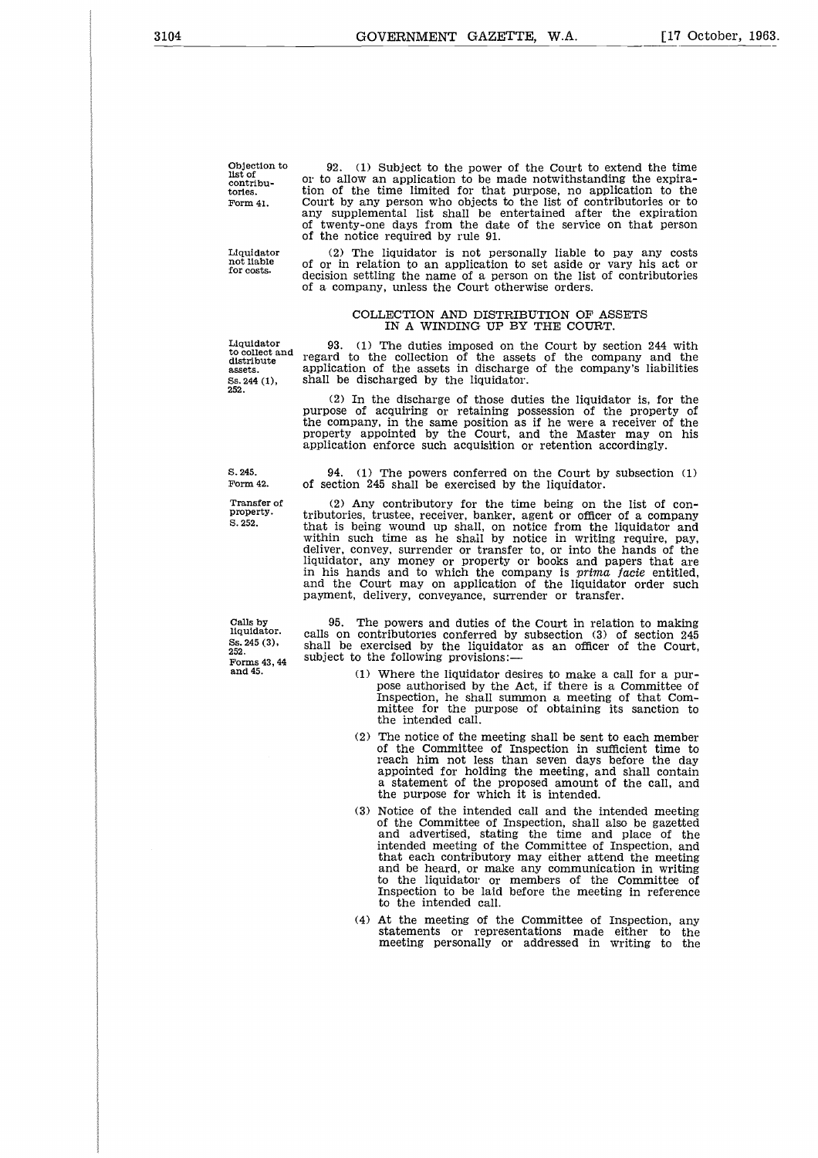Objection to list of contributories. Form 41.

Liquidator not liable for costs.

252.

S. 245. Form 42.

Transfer of property. S. 252.

Calls by liquidator. Ss. 245 (3), 252. Forms 43, 44 and 45.

92. (1) Subject to the power of the Court to extend the time or to allow an application to be made notwithstanding the expira-tion of the time limited for that purpose, no application to the Court by any person who objects to the list of contributories or to any supplemental list shall be entertained after the expiration of twenty-one days from the date of the service on that person twenty-one days from the date of the service on that person of the notice required by rule 91. Example 1. Court by any person who objects to the list of contributories or to any supplemental list shall be entertained after the expiration of twenty-one days from the date of the service on that person of the notice re

(2) The liquidator is not personally liable to pay any costs of or in relation to an application to set aside or vary his act or decision settling the name of a person on the list of contributories of a company, unless the Court otherwise orders.

#### COLLECTION AND DISTRIBUTION OF ASSETS IN A WINDING UP BY THE COURT.

Liquidator 93. (1) The duties imposed on the Court by section 244 with distribute regard to the collection of the assets of the company and the assets. application of the assets in discharge of the company's liabilities of twenty-one days from the date of the service on that person<br>of the notice required by rule 91.<br>Liquidator (2) The liquidator is not nessets in the presentation of the presentation of a company, unless the Court of<br>therw

(2) In the discharge of those duties the liquidator is, for the purpose of acquiring or retaining possession of the property of the company, in the same position as if he were a receiver of the property appointed by the Court, and the Master may on his application enforce such acquisition or retention accordingly.

94. (1) The powers conferred on the Court by subsection (1) of section 245 shall be exercised by the liquidator.

(2) Any contributory for the time being on the list of contributories, trustee, receiver, banker, agent or officer of a company that is being wound up shall, on notice from the liquidator and within such time as he shall by notice in writing require, pay, deliver, convey, surrender or transfer to, or into the hands of the liquidator, any money or property or books and papers that are in his hands and to which the company is *prima facie* entitled, and the Court may on application of the liquidator order such payment, delivery, conveyance, surrender or transfer.

95. The powers and duties of the Court in relation to making calls on contributories conferred by subsection (3) of section 245 shall be exercised by the liquidator as an officer of the Court, subject to the following provisions:-

- (1) Where the liquidator desires to make a call for a purpose authorised by the Act, if there is a Committee of Inspection, he shall summon a meeting of that Com-mittee for the purpose of obtaining its sanction to the intended call.
- (2) The notice of the meeting shall be sent to each member of the Committee of Inspection in sufficient time to reach him not less than seven days before the day appointed for holding the meeting, and shall contain a statement of the proposed amount of the call, and the purpose for which it is intended.
- (3) Notice of the intended call and the intended meeting of the Committee of Inspection, shall also be gazetted and advertised, stating the time and place of the intended meeting of the Committee of Inspection, and that each contributory may either attend the meeting and be heard, or make any communication in writing to the liquidator or members of the Committee of Inspection to be laid before the meeting in reference to the intended call.
- (4) At the meeting of the Committee of Inspection, any statements or representations made either to the meeting personally or addressed in writing to the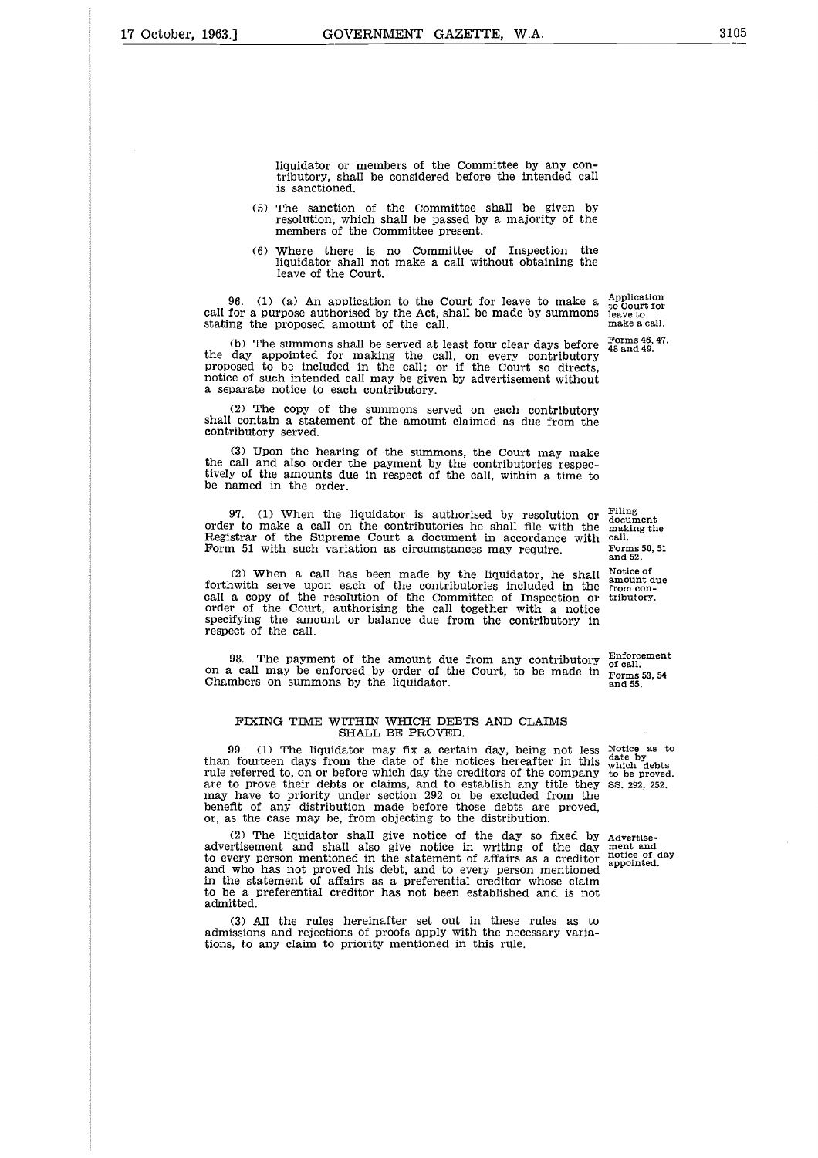liquidator or members of the Committee by any contributory, shall be considered before the intended call is sanctioned.

- (5) The sanction of the Committee shall be given by resolution, which shall be passed by a majority of the members of the Committee present.
- (6) Where there is no Committee of Inspection the liquidator shall not make a call without obtaining the leave of the Court.

96. (1) (a) An application to the Court for leave to make a call for a purpose authorised by the Act, shall be made by summons stating the proposed amount of the call.

(b) The summons shall be served at least four clear days before the day appointed for making the call, on every contributory proposed to be included in the call; or if the Court so directs, notice of such intended call may be given by advertisement without a separate notice to each contributory.

(2) The copy of the summons served on each contributory shall contain a statement of the amount claimed as due from the contributory served.

(3) Upon the hearing of the summons, the Court may make the call and also order the payment by the contributories respec-tively of the amounts due in respect of the call, within a time to be named in the order.

97. (1) When the liquidator is authorised by resolution or order to make a call on the contributories he shall file with the Registrar of the Supreme Court a document in accordance with Form 51 with such variation as circumstances may require.

(2) When a call has been made by the liquidator, he shall forthwith serve upon each of the contributories included in the call a copy of the resolution of the Committee of Inspection or order of the Court, authorising the call together with a notice specifying the amount or balance due from the contributory in respect of the call. 97. (1) When the liquidator is authorised by resolution or  $\frac{1}{100}$ <br>
order to make a call on the contributories he shall file with the making the<br>
Form 51 with such variation as circumstances may require.<br>  $\frac{1}{1000}$ 

#### FIXING TIME WITHIN WHICH DEBTS AND CLAIMS SHALL BE PROVED.

99. (1) The liquidator may fix a certain day, being not less than fourteen days from the date of the notices hereafter in this rule referred to, on or before which day the creditors of the company are to prove their debts or claims, and to establish any title they may have to priority under section 292 or be excluded from the benefit of any distribution made before those debts are proved, or, as the case may be, from objecting to the distribution.

(2) The liquidator shall give notice of the day so fixed by advertisement and shall also give notice in writing of the day to every person mentioned in the statement of affairs as a creditor and who has not proved his debt, and to every person mentioned in the statement of affairs as a preferential creditor whose claim to be a preferential creditor has not been established and is not admitted.

(3) All the rules hereinafter set out in these rules as to admissions and rejections of proofs apply with the necessary variations, to any claim to priority mentioned in this rule.

Application to Court for leave to make a call.

Forms 46, 47, 48 and 49.

Filing document making the call. Forms 50, 51 and 52.

Notice of amount due from contributory.

Notice as to date by which debts to be proved. SS. 292, 252.

Advertise-ment and notice of day appointed.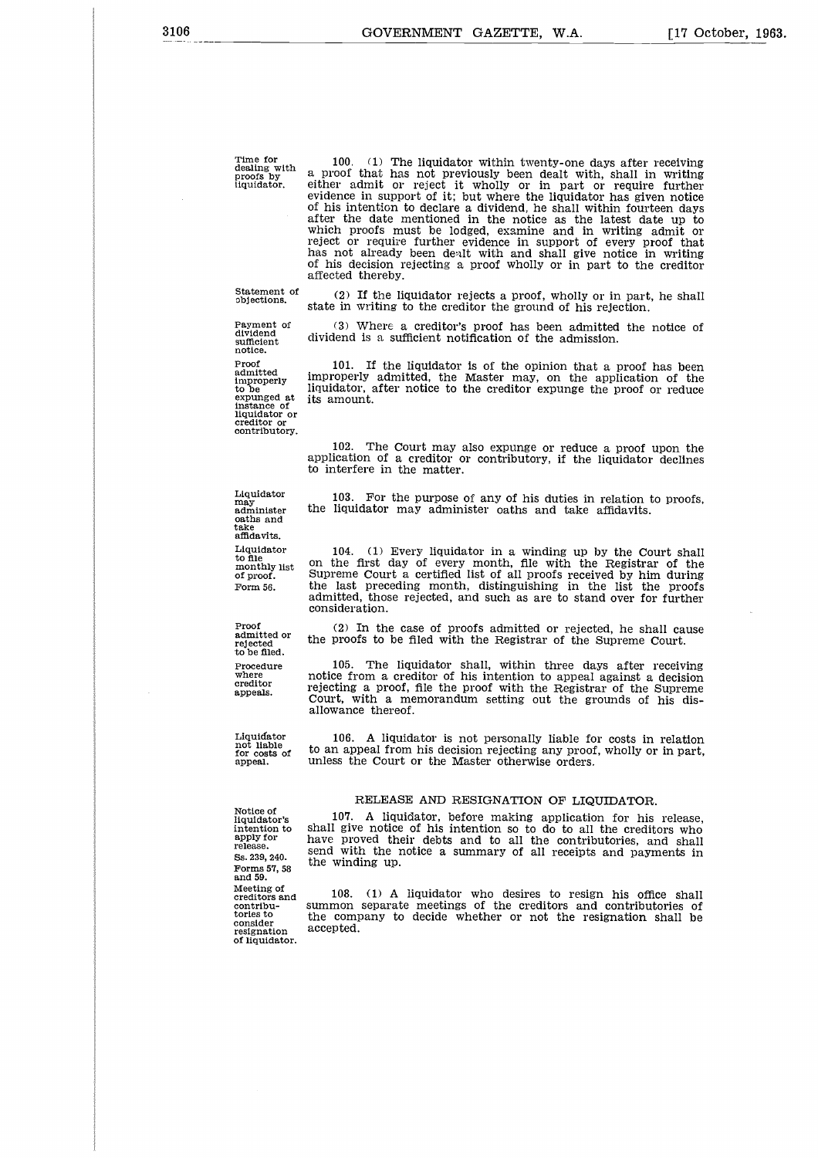Time for dealing with proofs by liquidator.

Statement of objections.

Payment of dividend sufficient notice. Proof admitted improperly to be expunged at instance of liquidator or creditor or contributory.

100. (1) The liquidator within twenty-one days after receiving a proof that has not previously been dealt with, shall in writing either admit or reject it wholly or in part or require further evidence in support of it; but where the liquidator has given notice of his intention to declare a dividend, he shall within fourteen days after the date mentioned in the notice as the latest date up to which proofs must be lodged, examine and in writing admit or reject or require further evidence in support of every proof that has not already been dealt with and shall give notice in writing of his decision rejecting a proof wholly or in part to the creditor affected thereby.

(2) If the liquidator rejects a proof, wholly or in part, he shall state in writing to the creditor the ground of his rejection.

(3) Where a creditor's proof has been admitted the notice of dividend is a sufficient notification of the admission.

101. If the liquidator is of the opinion that a proof has been improperly admitted, the Master may, on the application of the liquidator, after notice to the creditor expunge the proof or reduce its amount.

102. The Court may also expunge or reduce a proof upon the application of a creditor or contributory, if the liquidator declines to interfere in the matter.

103. For the purpose of any of his duties in relation to proofs, the liquidator may administer oaths and take affidavits.

104. (1) Every liquidator in a winding up by the Court shall on the first day of every month, file with the Registrar of the Supreme Court a certified list of all proofs received by him during the last preceding month, distinguishing in the list the proofs admitted, those rejected, and such as are to stand over for further consideration.

(2) In the case of proofs admitted or rejected, he shall cause the proofs to be filed with the Registrar of the Supreme Court.

105. The liquidator shall, within three days after receiving notice from a creditor of his intention to appeal against a decision rejecting a proof, file the proof with the Registrar of the Supreme Court, with a memorandum setting out the grounds of his disallowance thereof.

106. A liquidator is not personally liable for costs in relation to an appeal from his decision rejecting any proof, wholly or in part, unless the Court or the Master otherwise orders.

#### RELEASE AND RESIGNATION OF LIQUIDATOR.

Notice of liquidator's intention to apply for release. Ss. 239, 240. Forms 57, 58 and 59. Meeting of creditors and contribu-tories to consider resignation of liquidator.

107. A liquidator, before making application for his release, shall give notice of his intention so to do to all the creditors who have proved their debts and to all the contributories, and shall send with the notice a summary of all receipts and payments in the winding up.

108. (1) A liquidator who desires to resign his office shall summon separate meetings of the creditors and contributories of the company to decide whether or not the resignation shall be accepted.

Liquidator may administer oaths and take affidavits. Liquidator to file monthly list of proof. Form 56.

Proof admitted or rejected to be filed. Procedure where creditor appeals.

Liquidator not liable for costs of appeal.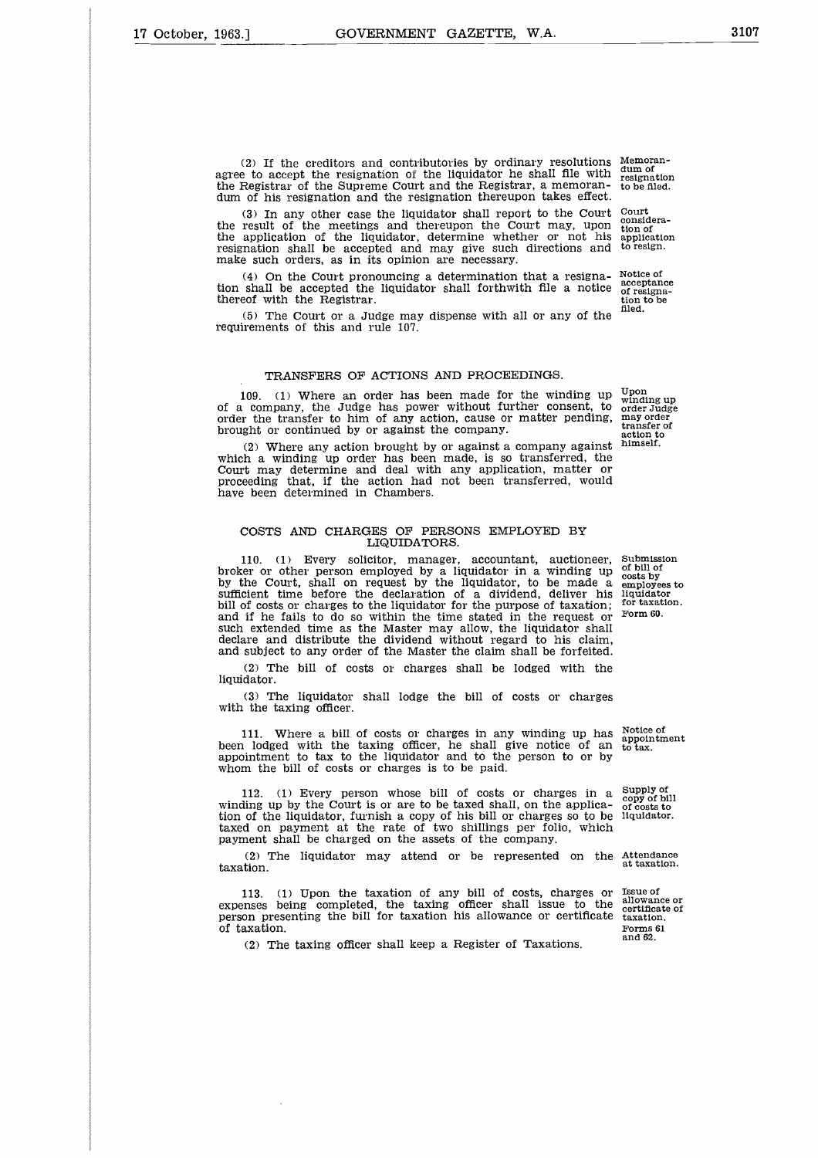(2) If the creditors and contributories by ordinary resolutions Memoranagree to accept the resignation of the liquidator he shall file with the Registrar of the Supreme Court and the Registrar, a memorandum of his resignation and the resignation thereupon takes effect.

(3) In any other case the liquidator shall report to the Court the result of the meetings and thereupon the Court may, upon the application of the liquidator, determine whether or not his resignation shall be accepted and may give such directions and make such orders, as in its opinion are necessary.

(4) On the Court pronouncing a determination that a resignation shall be accepted the liquidator shall forthwith file a notice thereof with the Registrar.

(5) The Court or a Judge may dispense with all or any of the requirements of this and rule 107.

#### TRANSFERS OF ACTIONS AND PROCEEDINGS.

109. (1) Where an order has been made for the winding up of a company, the Judge has power without further consent, to order the transfer to him of any action, cause or matter pending, brought or continued by or against the company. Upon winding up order Judge may order transfer of action to himself.

(2) Where any action brought by or against a company against which a winding up order has been made, is so transferred, the Court may determine and deal with any application, matter or proceeding that, if the action had not been transferred, would have been determined in Chambers.

#### COSTS AND CHARGES OF PERSONS EMPLOYED BY LIQUIDATORS.

110. (1) Every solicitor, manager, accountant, auctioneer, broker or other person employed by a liquidator in a winding up by the Court, shall on request by the liquidator, to be made a sufficient time before the declaration of a dividend, deliver his bill of costs or charges to the liquidator for the purpose of taxation; and if he fails to do so within the time stated in the request or such extended time as the Master may allow, the liquidator shall declare and distribute the dividend without regard to his claim, and subject to any order of the Master the claim shall be forfeited.

(2) The bill of costs or charges shall be lodged with the liquidator.

(3) The liquidator shall lodge the bill of costs or charges with the taxing officer.

111. Where a bill of costs or charges in any winding up has been lodged with the taxing officer, he shall give notice of an appointment to tax to the liquidator and to the person to or by whom the bill of costs or charges is to be paid.

112. (1) Every person whose bill of costs or charges in a winding up by the Court is or are to be taxed shall, on the application of the liquidator, furnish a copy of his bill or charges so to be taxed on payment at the rate of two shillings per folio, which payment shall be charged on the assets of the company.

(2) The liquidator may attend or be represented on the Attendance taxation.

113. (1) Upon the taxation of any bill of costs, charges or expenses being completed, the taxing officer shall issue to the person presenting the bill for taxation his allowance or certificate of taxation.

(2) The taxing officer shall keep a Register of Taxations.

Submission of bill of costs by employees to liquidator for taxation. Form 60.

Notice of appointment to tax.

Supply of copy of bill of costs to liquidator.

at taxation.

Issue of allowance or certificate of taxation. Forms 61 and 62.

dum of resignation to be filed.

Court considera-tion of application to resign.

Notice of acceptance of resignation to be flied.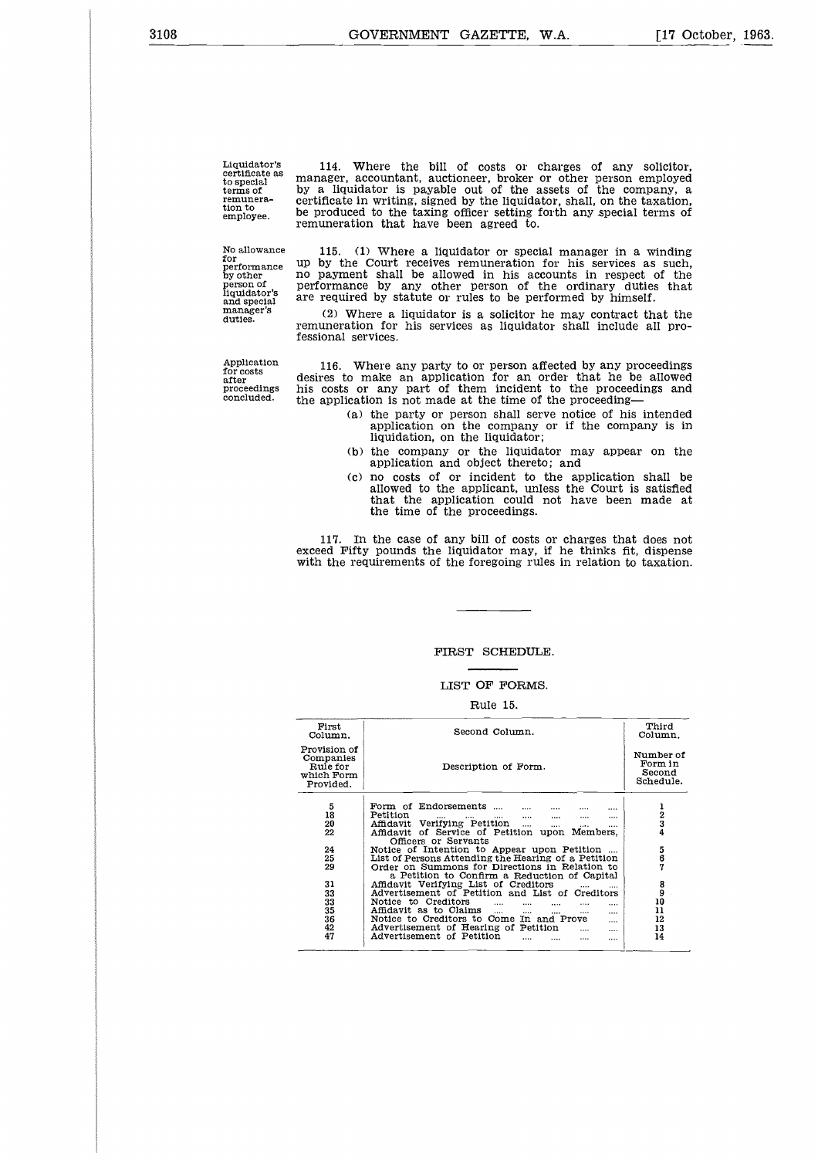Liquidator's certificate as to special terms of remunera-tion to employee.

114. Where the bill of costs or charges of any solicitor, manager, accountant, auctioneer, broker or other person employed by a liquidator is payable out of the assets of the company, a certificate in writing, signed by the liquidator, shall, on the taxation, be produced to the taxing officer setting forth any special terms of remuneration that have been agreed to.

No allowance for performance by other person of liquidator's and special manager's duties.

Application for costs after proceedings concluded.

115. (1) Where a liquidator or special manager in a winding up by the Court receives remuneration for his services as such, no payment shall be allowed in his accounts in respect of the performance by any other person of the ordinary duties that are required by statute or rules to be performed by himself.

(2) Where a liquidator is a solicitor he may contract that the remuneration for his services as liquidator shall include all professional services.

116. Where any party to or person affected by any proceedings desires to make an application for an order that he be allowed his costs or any part of them incident to the proceedings and the application is not made at the time of the proceeding

- (a) the party or person shall serve notice of his intended application on the company or if the company is in liquidation, on the liquidator;
- (b) the company or the liquidator may appear on the application and object thereto; and
- (c) no costs of or incident to the application shall be allowed to the applicant, unless the Court is satisfied that the application could not have been made at the time of the proceedings.

117. In the case of any bill of costs or charges that does not exceed Fifty pounds the liquidator may, if he thinks fit, dispense with the requirements of the foregoing rules in relation to taxation.

#### FIRST SCHEDULE.

#### LIST OF FORMS.

#### Rule 15.

| First<br>Column.                                                 | Second Column.                                                                                   | Third<br>Column.                            |
|------------------------------------------------------------------|--------------------------------------------------------------------------------------------------|---------------------------------------------|
| Provision of<br>Companies<br>Rule for<br>which Form<br>Provided. | Description of Form.                                                                             | Number of<br>Form in<br>Second<br>Schedule. |
| 5<br>18                                                          | Form of Endorsements<br><br>Petition<br>and the state of<br>$\cdots$<br>$\cdots$<br>$\cdots$<br> | $\frac{1}{2}$                               |
| 20                                                               | Affidavit Verifying Petition<br>$\cdots$<br>$\cdots$<br>                                         |                                             |
| 22                                                               | Affidavit of Service of Petition upon Members,                                                   |                                             |
|                                                                  | Officers or Servants                                                                             |                                             |
| 24                                                               | Notice of Intention to Appear upon Petition                                                      |                                             |
| 25                                                               | List of Persons Attending the Hearing of a Petition                                              | 5<br>6<br>7                                 |
| 29                                                               | Order on Summons for Directions in Relation to                                                   |                                             |
|                                                                  |                                                                                                  |                                             |
|                                                                  | a Petition to Confirm a Reduction of Capital                                                     |                                             |
| 31                                                               | Affidavit Verifying List of Creditors                                                            | $\begin{smallmatrix}8\9\end{smallmatrix}$   |
| 33                                                               | Advertisement of Petition and List of Creditors                                                  |                                             |
| 33                                                               | Notice to Creditors<br>$\cdots$<br>$\cdots$                                                      | 10                                          |
| 35                                                               | Affidavit as to Claims<br>$\cdots$<br>$\cdots$<br>$\cdots$<br>$\cdots$<br>$\cdots$               | 11                                          |
| 36                                                               | Notice to Creditors to Come In and Prove<br>                                                     | 12                                          |
| 42                                                               | Advertisement of Hearing of Petition<br>$\cdots$<br>                                             | 13                                          |
| 47                                                               | Advertisement of Petition<br><br>                                                                | 14                                          |
|                                                                  |                                                                                                  |                                             |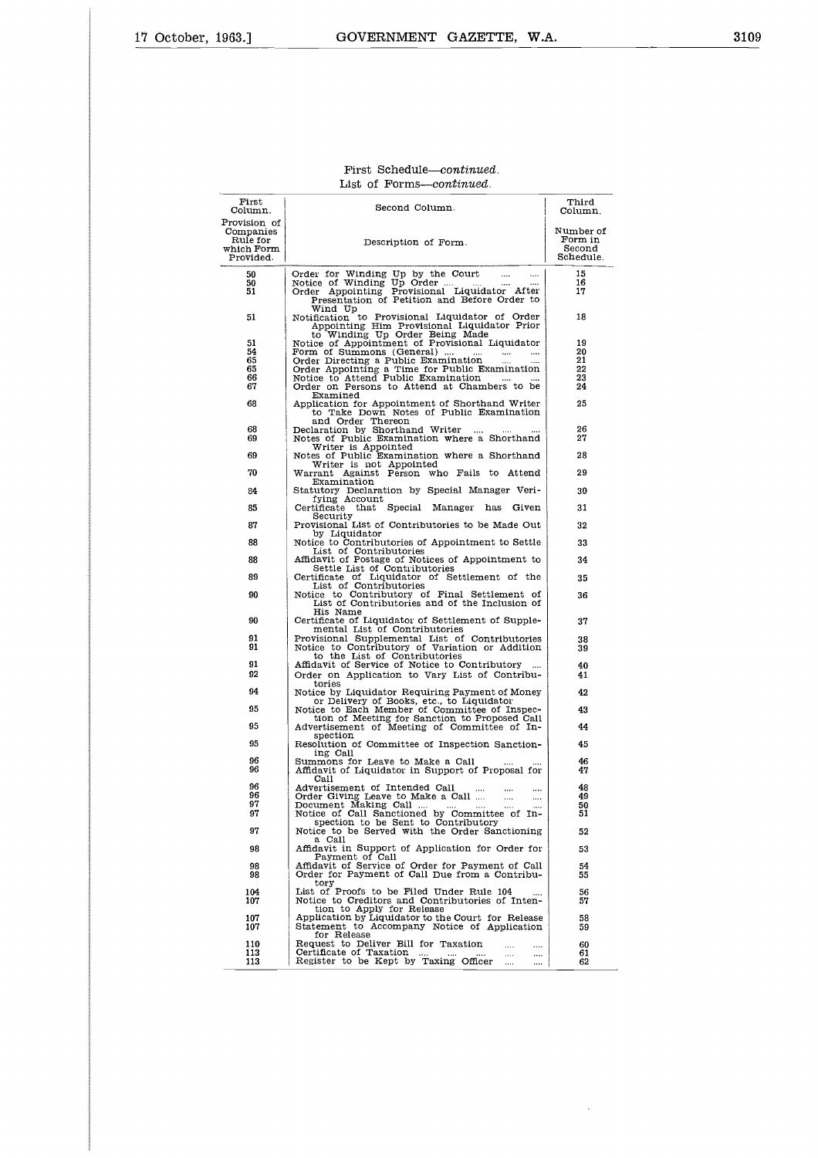#### First Schedule—continued. List of Forms—continued.

| First<br>Column.                                                 | Second Column.                                                                                                                                                                          | Third<br>Column.                            |
|------------------------------------------------------------------|-----------------------------------------------------------------------------------------------------------------------------------------------------------------------------------------|---------------------------------------------|
| Provision of<br>Companies<br>Rule for<br>which Form<br>Provided. | Description of Form.                                                                                                                                                                    | Number of<br>Form in<br>Second<br>Schedule. |
| 50<br>50<br>51                                                   | Order for Winding Up by the Court<br>$\cdots$<br>Notice of Winding Up Order<br>Order Appointing Provisional Liquidator After<br>Presentation of Petition and Before Order to<br>Wind Up | 15<br>16<br>17                              |
| 51                                                               | Notification to Provisional Liquidator of Order<br>Appointing Him Provisional Liquidator Prior<br>to Winding Up Order Being Made<br>Notice of Appointment of Provisional Liquidator     | 18                                          |
| 51                                                               |                                                                                                                                                                                         | 19                                          |
| 54<br>65                                                         | Form of Summons (General)<br>$\cdots$<br>$\cdots$<br>Order Directing a Public Examination                                                                                               | 20<br>21                                    |
| 65                                                               | Order Appointing a Time for Public Examination                                                                                                                                          | 22                                          |
| 66<br>67                                                         | Notice to Attend Public Examination<br>$\cdots$<br>$\cdots$<br>Order on Persons to Attend at Chambers to be                                                                             | 23<br>24                                    |
| 68                                                               | Examined<br>Application for Appointment of Shorthand Writer<br>to Take Down Notes of Public Examination                                                                                 | 25                                          |
| 68<br>69                                                         | and Order Thereon<br>Declaration by Shorthand Writer<br>$\cdots$<br>$\cdots$<br>$\cdots$<br>Notes of Public Examination where a Shorthand                                               | 26<br>27                                    |
| 69                                                               | Writer is Appointed<br>Notes of Public Examination where a Shorthand                                                                                                                    | 28                                          |
| 70                                                               | Writer is not Appointed<br>Warrant Against Person who Fails to Attend                                                                                                                   | 29                                          |
| 84                                                               | Examination<br>Statutory Declaration by Special Manager Veri-                                                                                                                           | 30                                          |
| 85                                                               | fying Account<br>Certificate that Special<br>Manager<br>has<br>Given                                                                                                                    | 31                                          |
| 87                                                               | Security<br>Provisional List of Contributories to be Made Out                                                                                                                           | 32                                          |
| 88                                                               | by Liquidator<br>Notice to Contributories of Appointment to Settle                                                                                                                      | 33                                          |
| 88                                                               | List of Contributories<br>Affidavit of Postage of Notices of Appointment to                                                                                                             | 34                                          |
| 89                                                               | Settle List of Contributories                                                                                                                                                           | 35                                          |
| 90                                                               | Certificate of Liquidator of Settlement of the<br>List of Contributories<br>Notice to Contributory of Final Settlement of<br>List of Contributories and of the Inclusion of             | 36                                          |
|                                                                  | His Name                                                                                                                                                                                |                                             |
| 90                                                               | Certificate of Liquidator of Settlement of Supple-<br>mental List of Contributories                                                                                                     | 37                                          |
| 91<br>91                                                         | Provisional Supplemental List of Contributories<br>Notice to Contributory of Variation or Addition<br>to the List of Contributories                                                     | 38<br>39                                    |
| 91                                                               | Affidavit of Service of Notice to Contributory                                                                                                                                          | 40                                          |
| 92                                                               | Order on Application to Vary List of Contribu-<br>tories                                                                                                                                | 41                                          |
| 94                                                               | Notice by Liquidator Requiring Payment of Money<br>or Delivery of Books, etc., to Liquidator                                                                                            | 42                                          |
| 95                                                               | Notice to Each Member of Committee of Inspec-<br>tion of Meeting for Sanction to Proposed Call                                                                                          | 43                                          |
| 95                                                               | Advertisement of Meeting of Committee of In-<br>spection                                                                                                                                | 44                                          |
| 95                                                               | Resolution of Committee of Inspection Sanction-<br>ing Call                                                                                                                             | 45                                          |
| 96<br>96                                                         | Summons for Leave to Make a Call<br>Affidavit of Liquidator in Support of Proposal for<br>Call                                                                                          | 46<br>47                                    |
| 96<br>96                                                         | Advertisement of Intended Call<br>$\cdots$                                                                                                                                              | 48                                          |
| 97                                                               | Order Giving Leave to Make a Call<br>$\cdots$<br>$\cdots$<br>Document Making Call                                                                                                       | 49<br>50                                    |
| 97                                                               | spection to be Sent to Contributory                                                                                                                                                     | ่อะ                                         |
| 97                                                               | Notice to be Served with the Order Sanctioning<br>a Call                                                                                                                                | 52                                          |
| 98                                                               | Affidavit in Support of Application for Order for<br>Payment of Call                                                                                                                    | 53                                          |
| 98<br>98                                                         | Affidavit of Service of Order for Payment of Call<br>Order for Payment of Call Due from a Contribu-<br>tory                                                                             | 54<br>55                                    |
| 104<br>107                                                       | List of Proofs to be Filed Under Rule 104<br>Notice to Creditors and Contributories of Inten-<br>tion to Apply for Release                                                              | 56<br>57                                    |
| 107<br>107                                                       | Application by Liquidator to the Court for Release<br>Statement to Accompany Notice of Application<br>for Release                                                                       | 58<br>59                                    |
| 110                                                              | Request to Deliver Bill for Taxation<br>$\cdots$<br>                                                                                                                                    | 60                                          |
| 113<br>113                                                       | Certificate of Taxation<br>Register to be Kept by Taxing Officer<br>$\cdots$<br><br>$\cdots$<br>$\cdots$                                                                                | 61<br>62                                    |

 $\hat{\mathcal{A}}$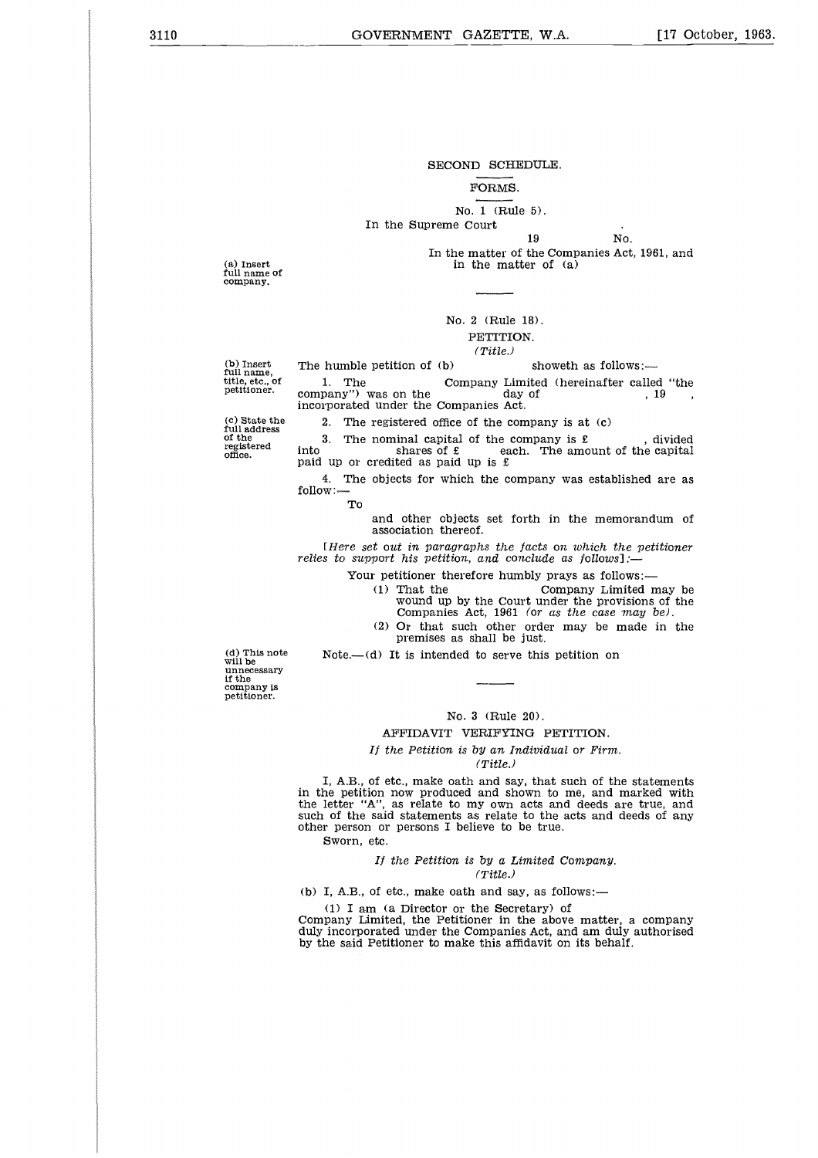3110 GOVERNMENT GAZETTE, W.A. [17 October, 1963.

#### SECOND SCHEDULE.

#### FORMS.

#### No. 1 (Rule 5).

#### In the Supreme Court

PULE.<br>
5).<br>
19 No.<br>
the Companies Act<br>
er of (a) In the matter of the Companies Act, 1961, and in the matter of (a)

(a) Insert full name of company.

#### No. 2 (Rule 18). PETITION.

#### *(Title.)*

(b) Insert full name, title, etc., of petitioner.

 $\begin{array}{r} \text{No. 1 (Rule 5).} \\ \text{In the Supreme Court} \\ \text{In the matter of the Companies, Act, 196 in the matter of (a) \\ \text{in the matter of (a)} \\ \text{N0. 2 (Rule 18).} \\ \text{PETITION.} \\ \text{The humble pettion of (b) \\ \text{1. The } \text{ Company Limited (hereinafter called)} \\ \text{company''} \text{ was on the } \text{day of} \\ \text{incorporated under the Companies.} \\ \text{A1} \end{array}$ 1. In the Supreme Court<br>
19 No.<br>
1. The matter of the Companies Act, 1961, and<br>
in the matter of (a)<br>
1. PETITION.<br>
(Title.)<br>
1. The Company Limited (hereinafter called "the<br>
2. The registered office of the company is at In the Supreme Court<br>
19 No.<br>
19 No.<br>
19 No.<br>
19 No.<br>
19 The matter of the Companies Act, 1961<br>
19 No.<br>
2 (Rule 18).<br>
PETITION.<br>
(Title.)<br>
2. The company Limited (hereinafter called<br>
1. The Company Limited (hereinafter ca incorporated under the Companies Act. 3. The nominal capital of the company  $\overline{P}$ . The company Limited (hereinafter called "the company") was on the company is at (c) any") was on the companies Act.<br>
2. The registered office of the company is at (c) and th  $\begin{tabular}{ll} & \multicolumn{1}{l}{{\bf No. 2 (Rule 18)}}\\ & {\bf PETTTTON.} \\ & {\it (Title.)}\\ & {\it 1. The} \\ & {\it 1. The} \\ & {\it 1. The} \\ & {\it 1. The} \\ & {\it 1. The} \\ & {\it 1. The} \\ & {\it 1. The} \\ & {\it 1. The} \\ & {\it 1. The} \\ & {\it 1. The} \\ & {\it 1. The} \\ & {\it 1. The} \\ & {\it 1. The} \\ & {\it 1. The} \\ & {\it 1. The} \\ & {\it 1. The} \\ & {\it 1. The} \\ & {\it 1. The} \\ & {\it 1. The} \\$ 

2. The registered office of the company is at (c)

(c) State the full address of the registered office.

into shares of  $\epsilon$  each. The amount of the capital paid up or credited as paid up is  $\epsilon$ 

4. The objects for which the company was established are as follow: To

> and other objects set forth in the memorandum of association thereof.

*[Here set out in paragraphs the facts on which the petitioner relies to support his petition, and conclude as follows]:*

Your petitioner therefore humbly prays as follows:—<br>(1) That the Company Limited r (1) That the Company Limited may be wound up by the Court under the provisions of the Companies Act, 1961 *(or as the case may be).*

(2) Or that such other order may be made in the premises as shall be just.

Note.—(d) It is intended to serve this petition on

(d) This note will be unnecessary if the company is petitioner.

#### No. 3 (Rule 20).

#### AFFIDAVIT VERIFYING PETITION.

*If the Petition is* by an *Individual or* Firm.

*(Title.)*

I, A.B., of etc., make oath and say, that such of the statements in the petition now produced and shown to me, and marked with the letter "A", as relate to my own acts and deeds are true, and such of the said statements as relate to the acts and deeds of any other person or persons I believe to be true.

Sworn, etc.

#### *If the Petition is by a Limited* Company. *(Title.)*

(b) I, A.B., of etc., make oath and say, as follows:

(1) I am (a Director or the Secretary) of

Company Limited, the Petitioner in the above matter, a company duly incorporated under the Companies Act, and am duly authorised by the said Petitioner to make this affidavit on its behalf.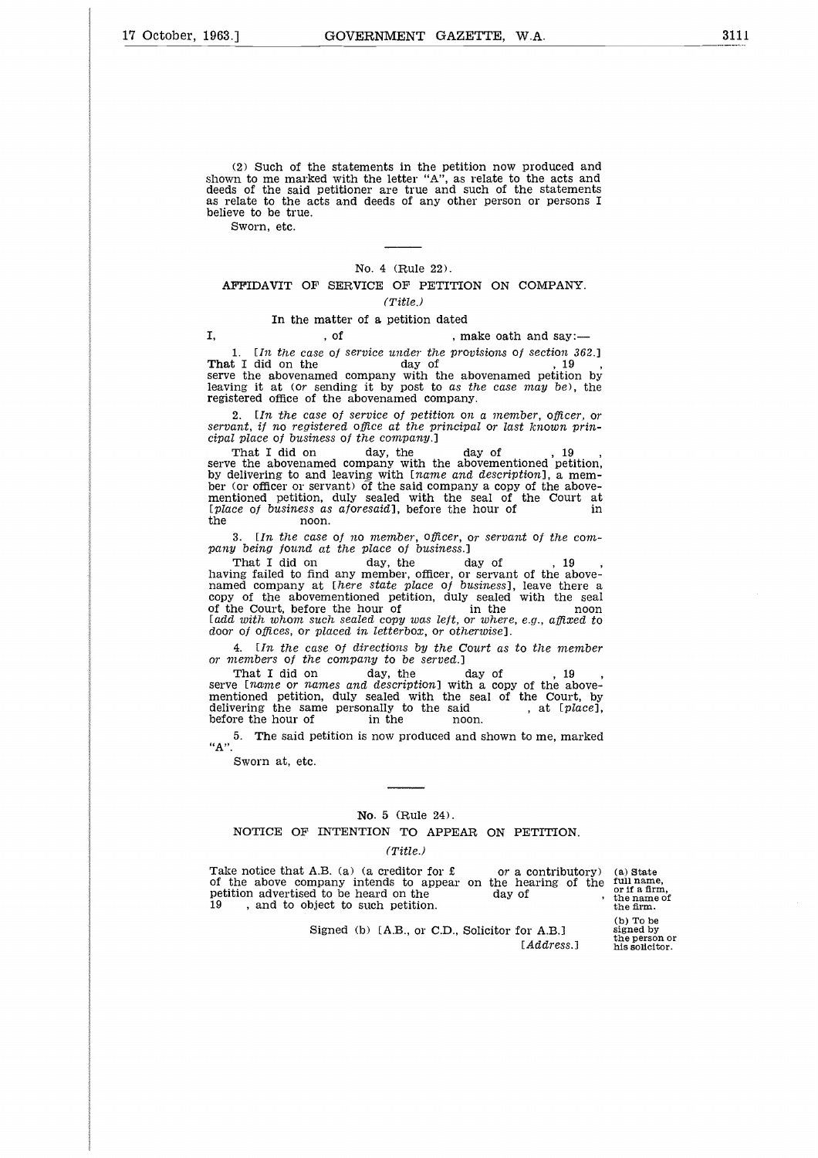(2) Such of the statements in the petition now produced and shown to me marked with the letter "A", as relate to the acts and deeds of the said petitioner are true and such of the statements as relate to the acts and deeds of any other person or persons I believe to be true. % statements in the petition now produced at<br>
it with the letter "A", as relate to the acts are<br>
etitioner are true and such of the statemer<br>
s and deeds of any other person or persons<br>  $\overline{\phantom{a}}$ <br>
No. 4 (Rule 22).<br>
SERV

Sworn, etc.

#### No. 4 (Rule 22).

#### AFFIDAVIT OF SERVICE OF PETITION ON COMPANY. *(Title.)*

#### In the matter of a petition dated

*1. [In, the case of service under the provisions of section 362.]* Mo. 4 (Rule 22).<br>
AFFIDAVIT OF SERVICE OF PETITION ON COMPAN<br>
Mo. 4 (Rule 22).<br>
AFFIDAVIT OF SERVICE OF PETITION ON COMPAN<br>
(Title.)<br>
In the matter of a petition dated<br>
I, of , make oath and say<br>
1. [In the case of service serve the abovenamed company with the abovenamed petition by leaving it at (or sending it by post to *as the case* may *be),* the registered office of the abovenamed company. **FFIDAVIT OF SERVICE OF PETITION ON COMPAN**<br>
(Title.)<br>
In the matter of a petition dated<br>
, of the provisions of section<br>
1. In the case of service under the provisions of section<br>
1 did on the day of the abovenamed compa

*2. [In, the case of service of petition on a member, officer, or servant, if no registered office at the principal or last known principal place of business of the company.]*

serve the abovenamed company with the abovementioned petition, by delivering to and leaving with *[name and description],* a member (or officer or servant) of the said company a copy of the above-mentioned petition, duly sealed with the seal of the Court at 1. In the case of service under the provisions of section 362.]<br> **That** I did on the day of  $\log n$ ,  $19$ <br>
is eaving it at (or sending it by post to as the case may be), the<br>
registered office of the abovenamed company.<br>
2. 1. In the case<br>That I did on the<br>serve the abovename<br>leaving it at (or ser<br>registered office of the<br>2. In the case<br>servant, if no registe<br>cipal place of busines<br>That I did on<br>the (or officer or server)<br>memointed petition, The state of the abovenanced company.<br>
That if no registered office at the principal or last known if place of business of the company.<br>
That I did on day, the day of the solution of the above are the above of business of

*3. [In, the case of no member, officer, or servant of the company being found at the place of business.]*

having failed to find any member, officer, or servant of the above-named company at *[here state place of business],* leave there a copy of the abovementioned petition, duly sealed with the seal of the Court, before the hour of in the noon *[add with whom such sealed copy was left, or where, e.g., affixed to door of offices, or placed in, letterbox, or otherwise].* Example 12. In the case of no member, officer, or servant of the non-<br>noon.<br>3. In the case of no member, officer, or servant of the  $\alpha$ <br>is the plane of the place of business.]<br>That I did on day, the day of the above the 3. Lin the case of no member, officer, or servant of the compary being found at the place of business.]<br>
That I did on day, the day of the above-<br>
That I did on day member, officer, or servant of the above-<br>
named company pany being jound at the place of business.]<br>
That I did on day, the day<br>
having failed to find any member, officer, or so<br>
named company at [here state place of busic<br>
copy of the abovementioned petition, duly s<br>
of the Co

*4. [In the case of directions by the Court as to the member* or *members of the company to be served.]*

serve *[name or names and description]* with a copy of the abovementioned petition, duly sealed with the seal of the Court, by

5. The said petition is now produced and shown to me, marked

Sworn at, etc.

#### No. 5 (Rule 24).

NOTICE OF INTENTION TO APPEAR ON PETITION.

#### *(Title.)*

The same personally to the said  $\alpha$ , at [place]<br>
the fore the hour of in the noon.<br>  ${}^{4}A$ ".<br>
Sworn at, etc.<br>  ${}^{4}A$ ".<br>
Sworn at, etc.<br>  ${}^{4}A$ ".<br>
Sworn at, etc.<br>  ${}^{4}A$ ".<br>
NOTICE OF INTENTION TO APPEAR ON PETITION.<br> of the above company intends to appear on the hearing of the petrol are heard of the heard on the three heards.<br>
"A".<br>
Sworn at, etc.<br>
Wo. 5 (Rule 24).<br>
NOTICE OF INTENTION TO APPEAR ON PE<br>
(Title.)<br>
Take notice that A.B. (a) (a creditor for  $\epsilon$  or a company intends to appear on t

(a) State full name, or if a firm, the name of the firm.

Signed (b) [A.B., or C.D., Solicitor for A.B.] [Address.] (b) To be signed by<br>the person or the person or his solicitor.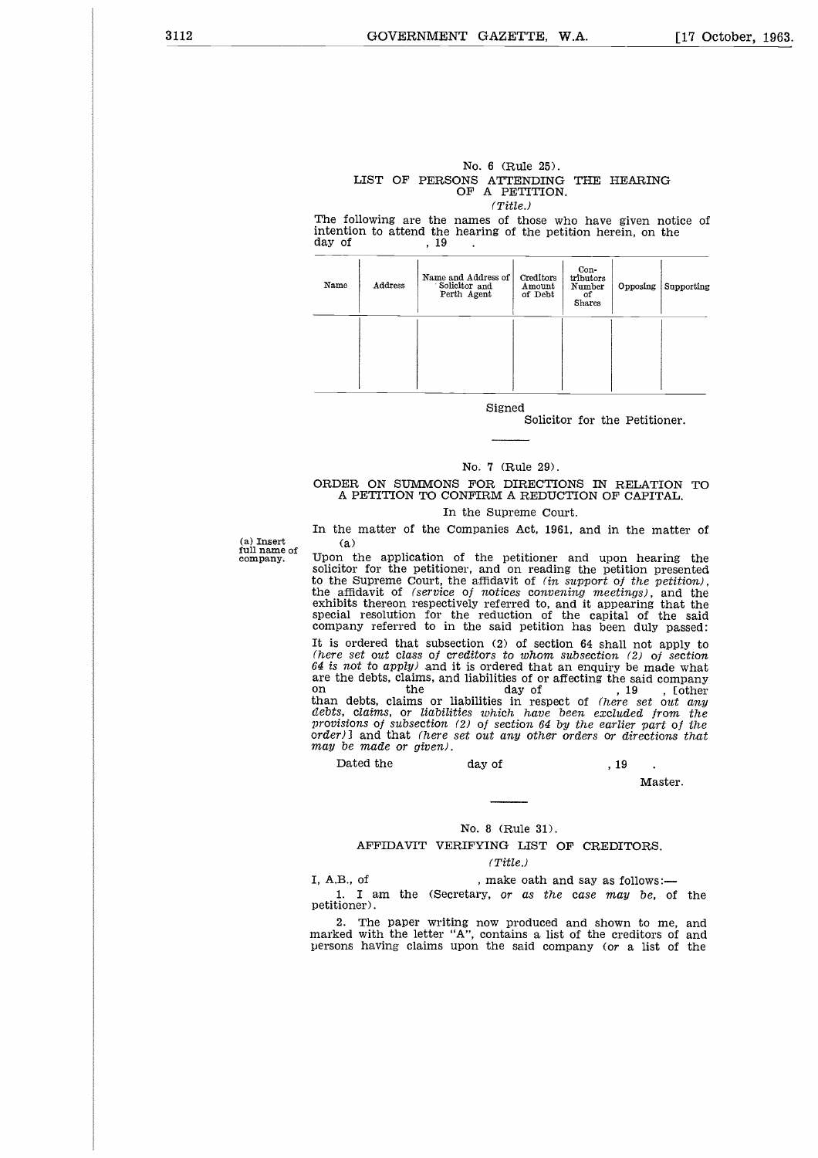# No. 6 (Rule 25). LIST OF PERSONS ATTENDING THE HEARING OF A PETITION. *(Title.)* Note that the matrices of the same of the same of the same of the same of the same of the same of the same of the same of the same of the same of the same of the same of the same of the same of the same of the same of the

The following are the names of those who have given notice of intention to attend the hearing of the petition herein, on the day of  $19$ .

| Name | Address | Name and Address of<br>Solicitor and<br>Perth Agent | Creditors<br>Amount<br>of Debt | Con-<br>tributors<br>Number<br>οf<br><b>Shares</b> | Opposing | Supporting |
|------|---------|-----------------------------------------------------|--------------------------------|----------------------------------------------------|----------|------------|
|      |         |                                                     |                                |                                                    |          |            |

Signed

Solicitor for the Petitioner.

#### No. 7 (Rule 29).

#### ORDER ON SUMMONS FOR DIRECTIONS IN RELATION TO A PETITION TO CONFIRM A REDUCTION OF CAPITAL.

#### In the Supreme Court.

In the matter of the Companies Act, 1961, and in the matter of (a)

(a) Insert full name of company.

Upon the application of the petitioner and upon hearing the solicitor for the petitioner, and on reading the petition presented to the Supreme Court, the affidavit of *(in support of the petition)*, the affidavit of *(service of notices convening meetings)*, and the exhibits thereon respectively referred to, and it appearing that the special resol company referred to in the said petition has been duly passed:

It is ordered that subsection (2) of section 64 shall not apply to *(here set out class of creditors to whom subsection, (2) of section 64 is not to apply)* and it is ordered that an enquiry be made what are the debts, claims, and liabilities of or affecting the said company on the debts, claims, and liabilities of or affecting the said company<br>on the day of the said company<br>than debts, claims or liabilities in respect of *(here set out any*<br>*debts, claims, or liabilities which have been exclu provisions of subsection (2) of section 64* by *the earlier part of the orderll* and that *(here set out* any *other orders or directions that may be made or given).* Final manual of the contract of montest conventing meetings), bits thereon respectively referred to, and it appearing is include pair in the said petition has been duly in ordered that subsection (2) of section 64 shall n debts, claims, or liabilities which have been excluded from<br>provisions of subsection (2) of section 64 by the earlier part of<br>onder  $\theta$  and that (here set out any other orders or directions<br>may be made or given).<br>Dated t

#### Master.

#### No. 8 (Rule 31).

AFFIDAVIT VERIFYING LIST OF CREDITORS.

#### *(Title.)*

1. I am the (Secretary, or *as the case* may *be,* of the petitioner).

2. The paper writing now produced and shown to me, and marked with the letter "A", contains a list of the creditors of and persons having claims upon the said company *(or* a list of the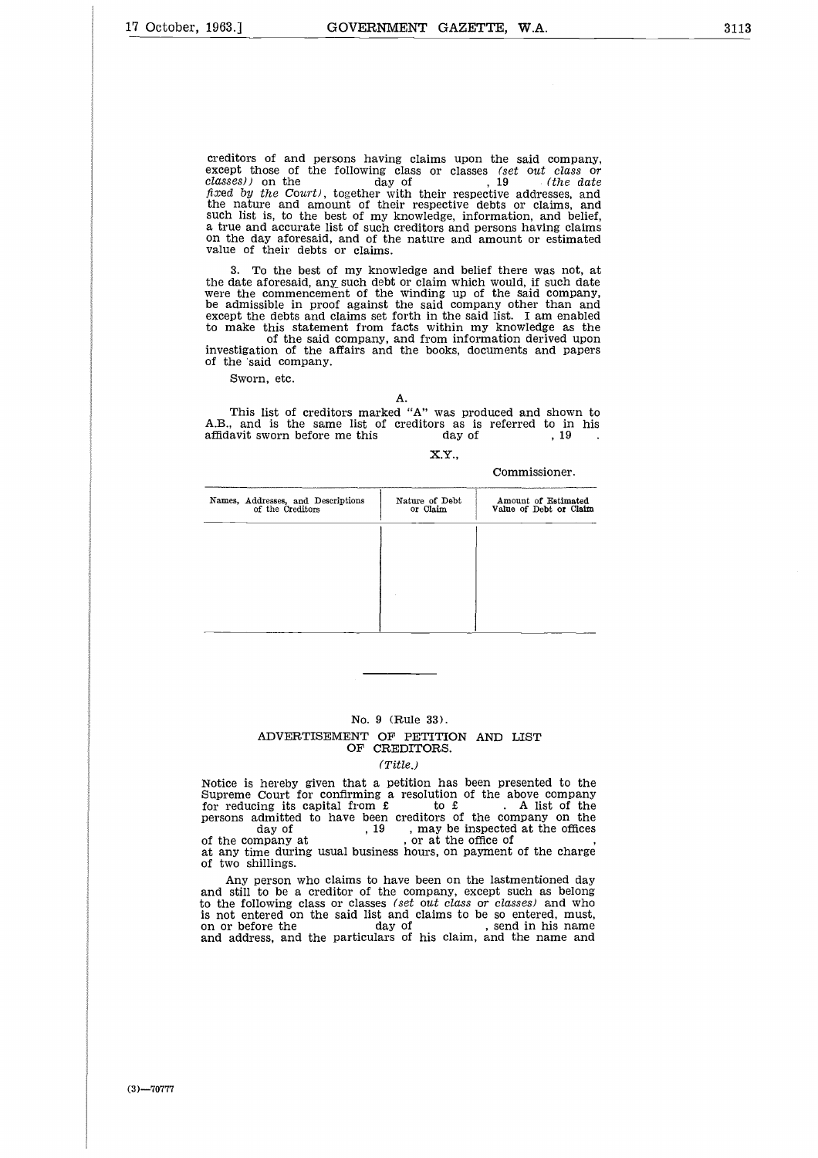creditors of and persons having claims upon the said company,<br>except those of the following class or classes *(set out class or*<br>*classes))* on the day of , 19 *(the date*<br>*classes)* fixed by the Court), together with their respective addresses, and the nature and amount of their respective debts or claims, and such list is, to the best of my knowledge, information, and belief, a true and accurate list of such creditors and persons having claims on the day aforesaid, and of the nature and amount or estimated value of their debts or claims.

3. To the best of my knowledge and belief there was not, at the date aforesaid, any such debt or claim which would, if such date were the commencement of the winding up of the said company, be admissible in proof against the said company other than and except the debts and claims set forth in the said list. I am enabled to make this statement from facts within my knowledge as the of the said company, and from information derived upon investigation of the affairs and the books, documents and papers 3. To the best of my knowledge and belief there was not<br>
the date aforesaid, any such debt or claim which would, if such<br>
were the commencement of the winding up of the said company<br>
be admissible in proof against the sai

of the said company.

Sworn, etc.

A.

This list of creditors marked "A" was produced and shown to A.B., and is the same list of creditors as is referred to in his

X.Y.,

Commissioner.

| Names, Addresses, and Descriptions<br>of the Creditors | Nature of Debt<br>or Claim | Amount of Estimated<br>Value of Debt or Claim |
|--------------------------------------------------------|----------------------------|-----------------------------------------------|
|                                                        |                            |                                               |
|                                                        |                            |                                               |
|                                                        |                            |                                               |
|                                                        |                            |                                               |

#### No. 9 (Rule 33).

#### ADVERTISEMENT OF PETITION AND LIST OF CREDITORS.

#### *(Title.)*

Notice is hereby given that a petition has been presented to the Supreme Court for confirming a resolution of the above company<br>for reducing its capital from £ to £. A list of the<br>persons admitted to have been creditors of the company on the No. 9 (Rule 33).<br>
ADVERTISEMENT OF PETITION AND LIST<br>
OF CREDITORS.<br>
(Title.)<br>
hereby given that a petition has been presented to the<br>
Court for confirming a resolution of the above company<br>
ing its capital from £ to £. A No. 9 (Rule 33).<br>
ADVERTISEMENT OF PETITION AND<br>
OF CREDITORS.<br>
(Title.)<br>
Notice is hereby given that a petition has been pre<br>
Supreme Court for confirming a resolution of the a<br>
for reducing its capital from £ to £<br>
perso at any time during usual business hours, on payment of the charge of two shillings.

Any person who claims to have been on the lastmentioned day and still to be a creditor of the company, except such as belong to the following class or classes *(set* out *class* or *classes)* and who is not entered on the said list and claims to be so entered, must,<br>on or before the day of , send in his name<br>and address, and the particulars of his claim, and the name and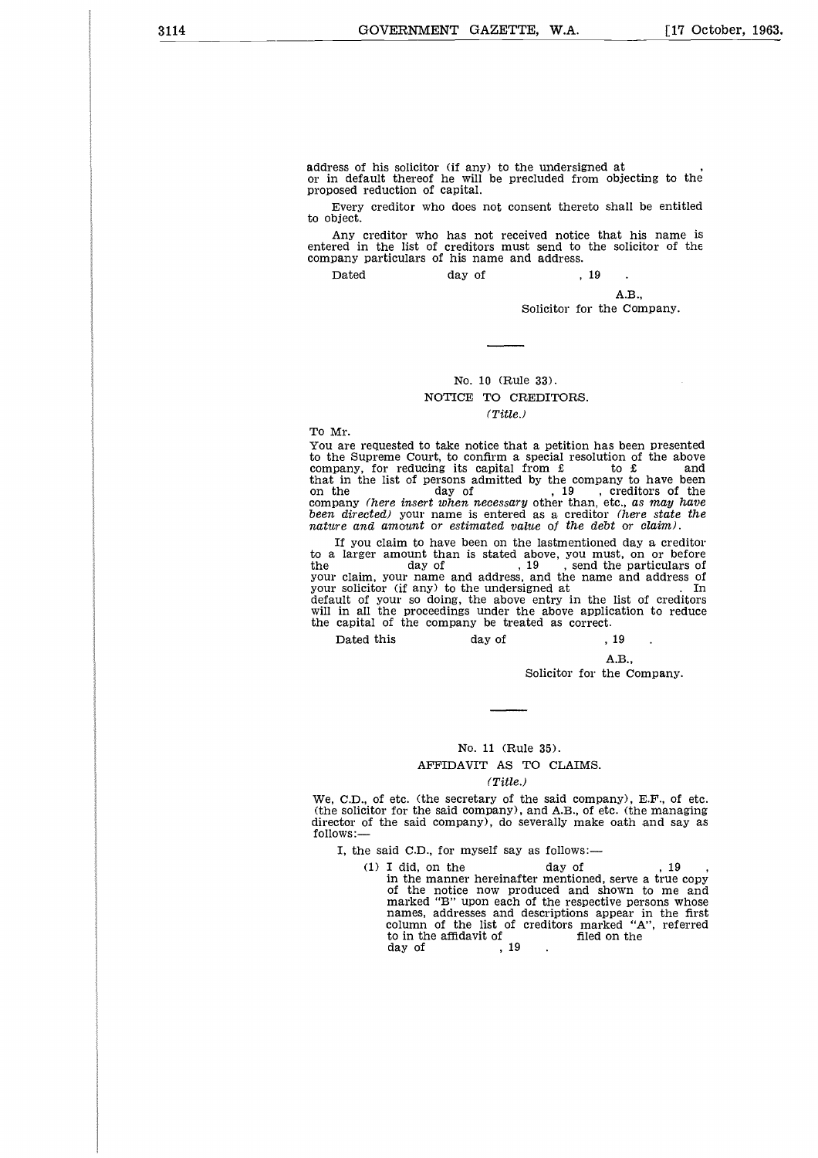address of his solicitor (if any) to the undersigned at or in default thereof he will be precluded from objecting to the proposed reduction of capital.

Every creditor who does not consent thereto shall be entitled to object.

Any creditor who has not received notice that his name is entered in the list of creditors must send to the solicitor of the company particulars of his name and address. an<br>ere<br>p (if any) to the undersigned at<br>
e will be precluded from obje<br>
apital.<br>
does not consent thereto shall<br>
has not received notice that<br>
reditors must send to the sol:<br>
his name and address.<br>
day of  $\begin{array}{c} 19 \\ 19 \\ \end{array}$ .

Dated

A.B.,

Solicitor for the Company.

#### No. 10 (Rule 33). NOTICE TO CREDITORS. *(Title.)*

To Mr.

You are requested to take notice that a petition has been presented to the Supreme Court, to confirm a special resolution of the above company, for reducing its capital from £ to £ and that in the list of persons admitted by the company to have been that in the list of persons admitted by the company to have been<br>on the day of , 19 , creditors of the<br>company *(here insert when necessary* other than, etc., *as may have been directed)* your name is entered as a creditor *(here state the nature and amount or estimated value of the debt or claim).*

If you claim to have been on the lastmentioned day a creditor to a larger amount than is stated above, you must, on or before the day of a larger amount than is stated above, you must, on or before<br>the day of , 19 , send the particulars of<br>your claim, your name and address, and the name and address of<br>your solicitor (if any) to the undersigned at will in all the proceedings under the above application to reduce the capital of the company be treated as correct. be in the list of persons admitted by the company to the interval of persons admitted by the company to he company to he day of the day of the company (here insert when necessary other than, etc., as n directed) your name

A.B.,

Solicitor for the Company.

#### No. 11 (Rule 35).

#### AFFIDAVIT AS TO CLAIMS.

#### *(Title.)*

We, C.D., of etc. (the secretary of the said company), E.F., of etc. (the solicitor for the said company), and A.B., of etc. (the managing director of the said company), do severally make oath and say as follows:

I, the said C.D., for myself say as follows:

No. 11 (Rule 35).<br>
AFFIDAVIT AS TO CLAIMS.<br>
(Title.)<br>
(Title.)<br>
(Title.)<br>
(Title.)<br>
(Title.)<br>
(Title.)<br>
(Title.)<br>
(Title.)<br>
(Title.)<br>
(Title.)<br>
(Title.)<br>
(Title.)<br>
(Title.)<br>
(Title.)<br>
(The said company), and A.B., of etc. in the manner hereinafter mentioned, serve a true copy of the notice now produced and shown to me and marked "B" upon each of the respective persons whose names, addresses and descriptions appear in the first column of the list of creditors marked "A", referred AFFIDAVIT AS TO CLAIMS.<br>
(Title.)<br>
etc. (the secretary of the said company), 1<br>
for the said company), and A.B., of etc. (the<br>
ne said company), do severally make oath<br>
id C.D., for myself say as follows:—<br>
I did, on the (Title.<br>
etc. (the secretary of<br>
for the said company)<br>
ne said company), do :<br>
id C.D., for myself say<br>
I did, on the<br>
in the manner hereinaf<br>
of the notice now pr<br>
marked "B" upon each<br>
names, addresses and<br>
column of t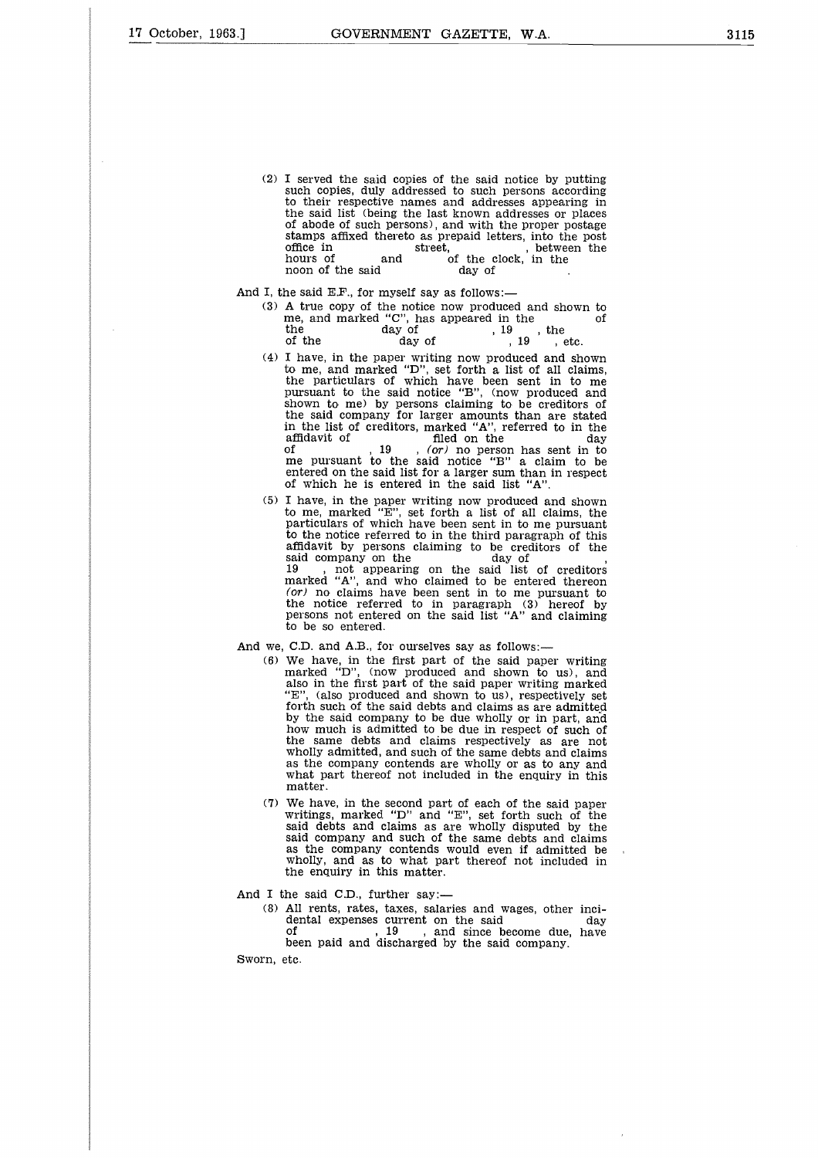(2) I served the said copies of the said notice by putting such copies, duly addressed to such persons according to their respective names and addresses appearing in the said list (being the last known addresses or places of abode of such persons), and with the proper postage stamps affixed thereto as prepaid letters, into the post I served the said copies of the said notice by putting<br>such copies, duly addressed to such persons according<br>to their respective names and addresses appearing in<br>the said list (being the last known addresses or places<br>of I served the said copies of the said<br>such copies, duly addressed to such<br>to their respective names and addr<br>the said list (being the last known<br>of abode of such persons), and with<br>stamps affixed thereto as prepaid le<br>offi I served the said copies of the said notice by putting<br>such copies, duly addressed to such persons according<br>to their respective names and addresses appearing in<br>the said list (being the last known addresses or places<br>of I served the said copies of the said notice by put<br>such copies, duly addressed to such persons accor-<br>to their respective names and addresses appearing<br>the said list (being the last known addresses or pl<br>of abode of such

And I, the said E.F., for myself say as follows:-

- (3) A true copy of the notice now produced and shown to<br>me, and marked "C", has appeared in the<br>the day of  $\frac{19}{10}$ , the
- (4) I have, in the paper writing now produced and shown to me, and marked "D", set forth a list of all claims, the particulars of which have been sent in to me pursuant to the said notice "B", (now produced and shown to me) by persons claiming to be creditors of the said company for larger amounts than are stated in the list of creditors, marked "A", referred to in the moon of the said day of  $\alpha$ .<br>
A true copy of the notice now produced and shown to the me, and marked "C", has appeared in the of  $\alpha$ , the  $\alpha$  of the  $\alpha$  of  $\alpha$ ,  $\alpha$  of the  $\alpha$  of  $\alpha$ ,  $\alpha$  of the  $\alpha$  of  $\alpha$ ,  $\alpha$ of , 19 , (or) no person has sent in to me pursuant to the said notice "B" a claim to be entered on the said list for a larger sum than in respect of which he is entered in the said list "A".
- (5) I have, in the paper writing now produced and shown to me, marked "E", set forth a list of all claims, the particulars of which have been sent in to me pursuant to the notice referred to in the third paragraph of this affidavit by persons claiming to be creditors of the pursuant to the said notice "B", (now p<br>shown to me) by persons claiming to be<br>the said company for larger amounts that<br>in the list of creditors, marked "A", refer<br>affidavit of  $19$ ,  $(or)$  no person has<br>me pursuant to the 19 , not appearing on the said list of creditors marked "A", and who claimed to be entered thereon  $($ or) no claims have been sent in to me pursuant to the notice referred to in paragraph  $(3)$  hereof by persons not entered on the said list "A" and claiming to be so entered.
- And we, C.D. and A.B., for ourselves say as follows:
	- (6) We have, in the first part of the said paper writing marked "D", (now produced and shown to us), and also in the first part of the said paper writing marked "E", (also produced and shown to us), respectively set forth such of the said debts and claims as are admitted by the said company to be due wholly or in part, and how much is admitted to be due in respect of such of the same debts and claims respectively as are not wholly admitted, and such of the same debts and claims as the company contends are wholly or as to any and what part thereof not included in the enquiry in this matter.
	- (7) We have, in the second part of each of the said paper writings, marked "D" and "E", set forth such of the said debts and claims as are wholly disputed by the said company and such of the same debts and claims as the company contends would even if admitted be wholly, and as to what part thereof not included in the enquiry in this matter. wholly admitted, and such of the same debts and claims<br>as the company contends are wholly or as to any and<br>what part thereof not included in the enquiry in this<br>matter.<br>We have, in the second part of each of the said paper

And I the said C.D., further say:

(8) All rents, rates, taxes, salaries and wages, other incidental expenses current on the said company.<br>
of the said company of the said company.<br>
been paid and discharged by the said company.

Sworn, etc.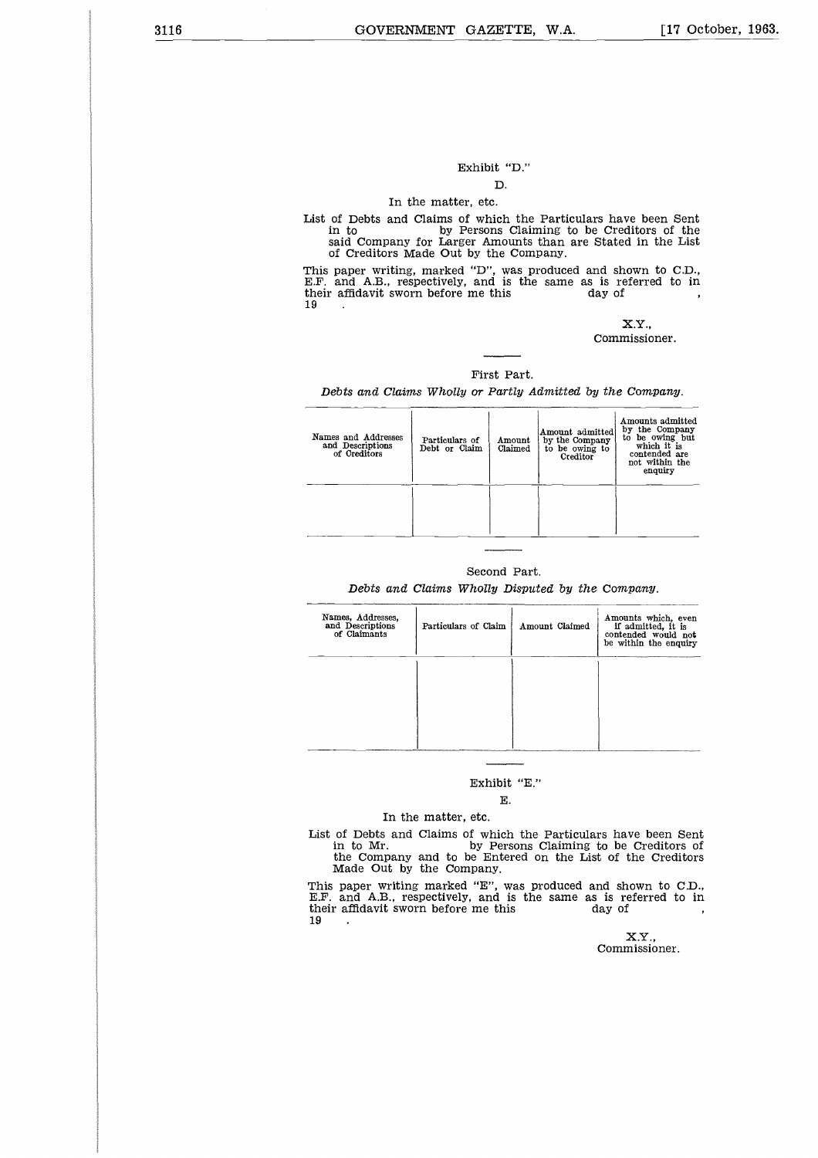#### Exhibit "D." **D.**

#### In the matter, etc.

List of Debts and Claims of which the Particulars have been Sent in to by Persons Claiming to be Creditors of the said Company for Larger Amounts than are Stated in the List of Creditors Made Out by the Company. Exhibit "D."<br>D.<br>In the matter, etc.<br>List of Debts and Claims of which the Particulars ha<br>in to<br>in the matter me this me this<br>said Company for Larger Amounts than are State<br>of Creditors Made Out by the Company.<br>This paper w  $\begin{array}{ccc} \text{List of} & \text{in} & \text{sai} \\ \text{so} & \text{of} \\ \text{Fhis pa} & \text{F.F.} & \text{ar} \\ \text{Heir} & \text{a} & \text{f} \\ \text{19} & & \text{f} \end{array}$ 

This paper writing, marked "D", was produced and shown to CD., E.F. and AE., respectively, and is the same as is referred to in

X.Y., Commissioner.

#### First Part.

*Debts and Claims Wholly* or *Partly Admitted* by *the* Company.

| Names and Addresses<br>and Descriptions<br>of Creditors | Particulars of<br>Debt or Claim | Amount<br>Claimed | Amount admitted<br>by the Company<br>to be owing to<br>Creditor | Amounts admitted<br>by the Company<br>to be owing but<br>which it is<br>contended are<br>not within the<br>enquiry |
|---------------------------------------------------------|---------------------------------|-------------------|-----------------------------------------------------------------|--------------------------------------------------------------------------------------------------------------------|
|                                                         |                                 |                   |                                                                 |                                                                                                                    |

#### Second Part.

*Debts and Claims Wholly Disputed by the Company.*

| Names, Addresses,<br>and Descriptions<br>of Claimants                         | Particulars of Claim     | Amount Claimed | Amounts which, even<br>if admitted, it is<br>contended would not<br>be within the enquiry            |
|-------------------------------------------------------------------------------|--------------------------|----------------|------------------------------------------------------------------------------------------------------|
|                                                                               |                          |                |                                                                                                      |
|                                                                               |                          |                |                                                                                                      |
|                                                                               |                          |                |                                                                                                      |
|                                                                               |                          |                |                                                                                                      |
|                                                                               |                          |                |                                                                                                      |
|                                                                               | Exhibit "E."             |                |                                                                                                      |
|                                                                               | Е.                       |                |                                                                                                      |
|                                                                               | In the matter, etc.      |                |                                                                                                      |
| List of Debts and Claims of which the Particulars have been Sent<br>in to Mr. | Made Out by the Company. |                | by Persons Claiming to be Creditors of<br>the Company and to be Entered on the List of the Creditors |
| This paper writing marked "E", was produced and shown to C.D.,                |                          |                |                                                                                                      |

#### Exhibit "E."

#### **E.**

#### In the matter, etc.

This paper writing marked "E", was produced and shown to C.D., E.F. and A.B., respectively, and is the same as is referred to in Exhibit "E."<br>
E.<br>
In the matter, etc.<br>
List of Debts and Claims of which the Particulars ha<br>
in to Mr.<br>
the Company and to be Entered on the List of t<br>
Made Out by the Company.<br>
This paper writing marked "E", was produced  $\begin{array}{ll} \text{List of} & \text{in} \\ \text{in} & \text{Maa} \\ \text{This pa} \\ \text{E.F.} & \text{ar} \\ \text{Inier} & \text{a1} \\ \text{19} & \text{...} \end{array}$ 

X.Y., Commissioner.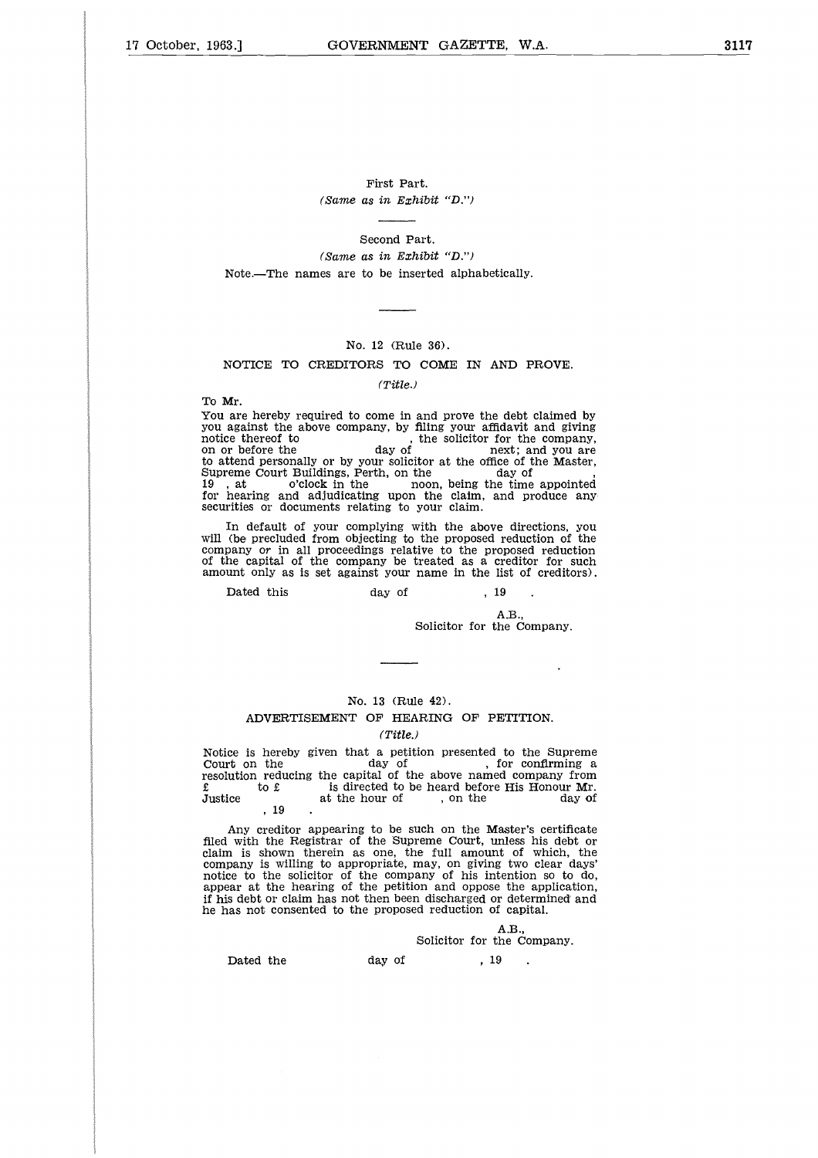First Part. *(Same as in Exhibit "D.")*

Second Part. *(Same as in Exhibit "D.")* Note.—The names are to be inserted alphabetically.

#### No. 12 (Rule 36).

#### NOTICE TO CREDITORS TO COME IN AND PROVE.

#### *(Title.)*

To Mr.

You are hereby required to come in and prove the debt claimed by you against the above company, by filing your affidavit and giving you against the above company, by filing your affidavit and giving Note.—The names are to be inserted alphabetically.<br>
No. 12 (Rule 36).<br>
NOTICE TO CREDITORS TO COME IN AND PROVE.<br>
(Title.)<br>
To Mr.<br>
You are hereby required to come in and prove the debt claimed by<br>
you against the above c No. 12 (Rule 36).<br>
No. 12 (Rule 36).<br>
No. 12 (Rule 36).<br>
No. 12 (Rule 36).<br>
(Title.)<br>
To Mr.<br>
To Mr.<br>
You are hereby required to come in and prove the debt claimed by<br>
you against the above company, by filing your affidav to attend personally or by your solicitor at the office of the Master No. 12 (Rule 36).<br>
NOTICE TO CREDITORS TO COME IN AND P<br>
(Title.)<br>
To Mr.<br>
You are hereby required to come in and prove the debt<br>
you against the above company, by filing your affidavit<br>
notice thereof to<br>
on or before the 19, at o'clock in the noon, being the time appointed for hearing and adjudicating upon the claim, and produce any securities or documents relating to your claim. against the above company, by filing your affidavit is<br>ce thereof to the solicitor for the solicitor for the<br>r before the day of the solicitor for the difference of the court Buildings, Perh, on the dime court Buildings, P

In default of your complying with the above directions, you will (be precluded from objecting to the proposed reduction of the company *or* in all proceedings relative to the proposed reduction of the capital of the company be treated as a creditor for such amount only as is set against your name in the list of creditors).

A.B.,

Solicitor for the Company.

#### No. 13 (Rule 42).

#### ADVERTISEMENT OF HEARING OF PETITION. *(Title.)*

Notice is hereby given that a petition presented to the Supreme Notice is hereby given that a petition presented to the Supreme<br>Court on the day of , for confirming a<br>resolution reducing the capital of the above named company from Solicitor for the Company.<br>
No. 13 (Rule 42).<br>
ADVERTISEMENT OF HEARING OF PETITION.<br>
(Title.)<br>
Notice is hereby given that a petition presented to the Supreme<br>
Court on the<br>
day of , for confirming a<br>
for the day of , fo

Any creditor appearing to be such on the Master's certificate filed with the Registrar of the Supreme Court, unless his debt or claim is shown therein as one, the full amount of which, the company is willing to appropriate, may, on giving two clear days' notice to the solicitor of the company of his intention so to do, appear at the hearing of the petition and oppose the application, if his debt or claim has not then been discharged or determined and he has not consented to the proposed reduction of capital.  $\begin{array}{r} 0 & \text{if } 19 \\ 0 & \text{if } 19 \\ 1 & \text{if } 19 \end{array}$ .<br>
Any creditor appearing to be such on the Main the Registrar of the Supreme Court, un<br>
with the Registrar of the Supreme Court, un<br>
nany is willing to appropriate, may, o

A.B., Solicitor for the Company.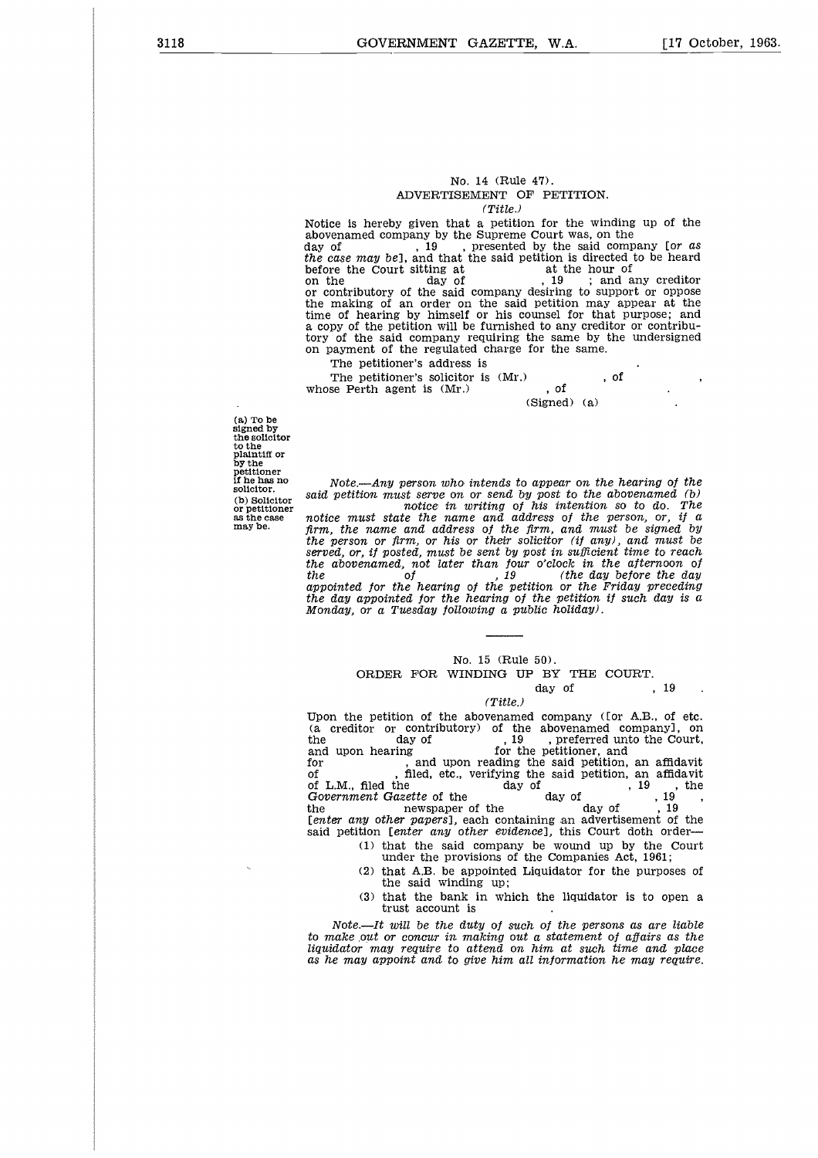#### No. 14 (Rule 47). ADVERTISEMENT OF PETITION.

*(Title.)*

Notice is hereby given that a petition for the winding up of the abovenamed company by the Supreme Court was, on the No. 14 (Rule 47).<br>
ADVERTISEMENT OF PETITION.<br>
(Title.)<br>
(Title.)<br>
abovenamed company by the Supreme Court was, on the<br>
day of the said company for *as*<br>
the case may bel, and that the said company is directed to be heard<br> *the case may be],* and that the said petition is directed to be heard No. 14 (Rule 47).<br>
Notice is hereby given that a petition for the winding<br>
abovenamed company by the Supreme Court was, on the<br>
day of the Supreme Court was, on the<br>
day of the case may bel, and that the said petition is d No. 14 (Rule 47).<br>
ADVERTISEMENT OF PETITION.<br>
(Title.)<br>
(Title.)<br>
Notice is hereby given that a petition for the winding up of the<br>
day of  $\log x$ , 19 the Supreme Court was, on the<br>
day of  $\log x$ , 19 , presented by the said or contributory of the said company desiring to support or oppose the making of an order on the said petition may appear at the time of hearing by himself or his counsel for that purpose; and a copy of the petition will be furnished to any creditor or contribu-tory of the said company requiring the same by the undersigned on payment of the regulated charge for the same. (Title.)<br>
ce is hereby given that a petition for the windin<br>
enamed company by the Supreme Court was, on the<br>
of the said company be sure the Court sitting at<br>
ce the Court sitting at the said petition is directed<br>
he day Notice is hereby given that a petition for<br>abovenamed company by the Supreme Court<br>day of  $19$ , presented by the<br>before the Court siting at a at the said petition<br>on the court siting at a at the said petition<br>on the day o

The petitioner's address is

 $\cdot$  $, of$ <br>(Signed) (a)

(a) To be signed by the solicitor to the plaintiff or by the petitioner if he has no solicitor. (b) Solicitor or petitioner *as* the case may be.

*Note.—Any person who intends to appear on the hearing of the said petition must serve on or send by post to the abovenamed (b) notice in writing of his intention so to do. The notice must state the name and address of the person,* or, *if a* firm, *the name and address of the firm, and must be signed* by *the person or firm, or his or their solicitor (if* any), and *must be served,* or, *if posted, must be sent* by *post in sufficient time to reach the abovenamed, not later than four o'clock in the afternoon of*<br>*the abovenamed, not later than four o'clock in the afternoon of*<br>*the day before the day*<br>*not the day of the day of the Friday preceding appointed for the hearing of the petition or the Friday preceding the* day *appointed for the hearing of the petition if such* day *is a Monday, or a Tuesday following a public holiday).* ress of the person, or,<br>rm, and must be signed<br>citor (if any), and must<br>st in sufficient time to r<br>o'clock in the afternoo<br>(the day before the<br>bion or the Friday prece<br>he petition if such day<br>lic holiday).<br>S0).<br>BY THE COU

#### No. 15 (Rule 50).

# ORDER FOR WINDING UP BY THE COURT.<br>day of . 19

#### *(Title.)*

Upon the petition of the abovenamed company (Ior A.B., of etc. (a creditor or contributory) of the abovenamed company), on the day of 19 contributory of the abovenamed company), on the day of 19 contributory of  $\frac{19}{10}$  areferred unto the Court the<br>
the<br>
of the hearing of the petition or the Friday preceding<br>
the day appointed for the hearing of the petition if such day is a<br>
Monday, or a Tuesday following a public holiday).<br>
<br>
No. 15 (Rule 50).<br>
CRDER FOR WINDI and upon the petition of the petition or the Frid<br>the day appointed for the hearing of the petition if s<br>
Monday, or a Tuesday following a public holiday).<br>
No. 15 (Rule 50).<br>
CRDER FOR WINDING UP BY THE COU<br>
day of<br>
(Tit For the day appointed for the hearing of the petition if such day is a<br>
Monday, or a Tuesday following a public holiday).<br>  $\begin{array}{c}\n\hline\n\text{No. 15 (Rule 50)} \\
\hline\n\end{array}\n\end{array}$ <br>
ORDER FOR WINDING UP BY THE COURT.<br>
day of , 19<br>
(Ti Monday, or a Tuesday following a public holiday).<br>
No. 15 (Rule 50).<br>
CRDER FOR WINDING UP BY THE COURT.<br>
day of  $\cdot$ , 19<br>
(Title.)<br>
Upon the petition of the abovenamed company (for A.B., of etc.<br>
(a creditor or contribut No. 15 (Rule 50).<br>
ORDER FOR WINDING UP BY THE COURT.<br>
day of , 19<br>
(Title.)<br>
Upon the petition of the abovenamed company (for A.B., of etc.<br>
(a creditor or contributory) of the abovenamed companyl, on<br>
the<br>
and upon hear *No.* 15 (Rule 50).<br> **GRDER FOR WINDING UP BY THE COURT.**<br>
day of , 19<br>
(Title.)<br>
(2) (a creditor or contributory) of the abovenamed companyl, on<br>
the<br>
day of , 19 , preferred unto the Court,<br>
the day of , 19 , preferred u No. 15 (Rule 50).<br>
ORDER FOR WINDING UP BY THE COURT.<br>
day of the abovenamed company (for A.B., of<br>
(a creditor or contributory) of the abovenamed company],<br>
the<br>
day of the abovenamed company],<br>
the<br>
day of the petitione *[enter* any *other papers],* each containing an advertisement of the said petition *[enter* any *other evidence],* this Court doth order

(1) that the said company be wound up by the Court under the provisions of the Companies Act, 1961;

(2) that A.B. be appointed Liquidator for the purposes of the said winding up;

(3) that the bank in which the liquidator is to open a trust account is

*Note.—It will be the duty of such of the persons as are liable to make put* or concur *in making out a statement of affairs as the liquidator* may *require to attend on him at such time and place as he* may *appoint and to give him all information he* may *require.*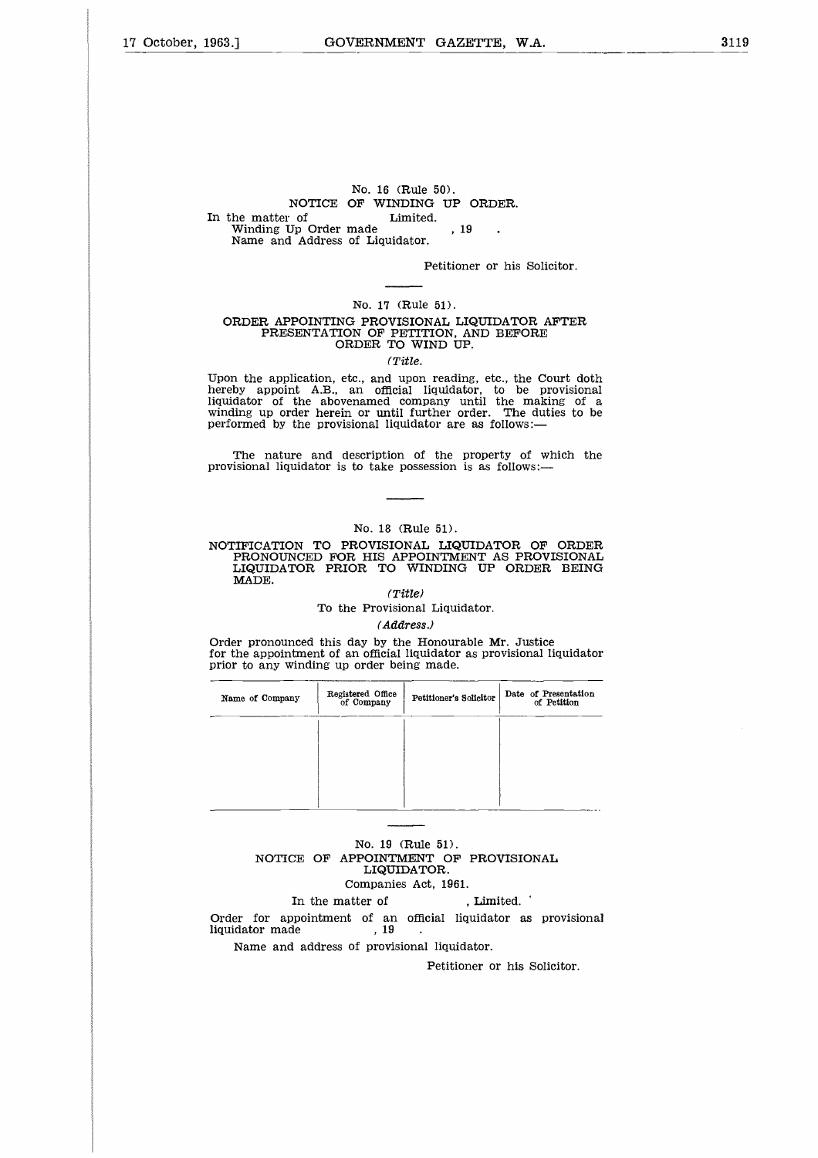# No. 16 (Rule 50). NOTICE OF WINDING UP ORDER. No. 16 (Rule 5)<br>
No. 16 (Rule 5)<br>
No. 16 (Rule 5)<br>
In the matter of Limited.<br>
Winding Up Order made<br>
Name and Address of Liquidator. No. 16 (Rule 50).<br>NOTICE OF WINDING UP (<br>he matter of Limited.<br>Winding Up Order made , 19<br>Name and Address of Liquidator. Name and Address of Liquidator.

Petitioner or his Solicitor.

#### No. 17 (Rule 51).

#### ORDER APPOINTING PROVISIONAL LIQUIDATOR AFTER PRESENTATION OF PETITION, AND BEFORE ORDER TO WIND UP.

#### *(Title.*

Upon the application, etc., and upon reading, etc., the Court doth hereby appoint A.B., an official liquidator, to be provisional liquidator of the abovenamed company until the making of a winding up order herein or until further order. The duties to be performed by the provisional liquidator are *as* follows:—

The nature and description of the property of which the provisional liquidator is to take possession is as follows:—

#### No. 18 (Rule 51).

NOTIFICATION TO PROVISIONAL LIQUIDATOR OF ORDER PRONOUNCED FOR HIS APPOINTMENT AS PROVISIONAL LIQUIDATOR PRIOR TO WINDING UP ORDER BEING MADE.

#### *(Title)*

To the Provisional Liquidator.

#### *(Address.)*

|                                                                                                                                                                                 |                                 | (Address.)                                                               |                                     |
|---------------------------------------------------------------------------------------------------------------------------------------------------------------------------------|---------------------------------|--------------------------------------------------------------------------|-------------------------------------|
| Order pronounced this day by the Honourable Mr. Justice<br>for the appointment of an official liquidator as provisional liquidator<br>prior to any winding up order being made. |                                 |                                                                          |                                     |
| Name of Company                                                                                                                                                                 | Registered Office<br>of Company | Petitioner's Solicitor                                                   | Date of Presentation<br>of Petition |
|                                                                                                                                                                                 |                                 |                                                                          |                                     |
|                                                                                                                                                                                 |                                 |                                                                          |                                     |
|                                                                                                                                                                                 |                                 |                                                                          |                                     |
|                                                                                                                                                                                 |                                 | No. 19 (Rule 51).<br>NOTICE OF APPOINTMENT OF PROVISIONAL<br>LIQUIDATOR. |                                     |
|                                                                                                                                                                                 |                                 | Companies Act, 1961.                                                     |                                     |
|                                                                                                                                                                                 | In the matter of                | . Limited.                                                               |                                     |
| Order for appointment of an official liquidator as provisional<br>liquidator made                                                                                               | . 19                            |                                                                          |                                     |
|                                                                                                                                                                                 |                                 | Name and address of provisional liquidator.                              |                                     |
|                                                                                                                                                                                 |                                 |                                                                          | Petitioner or his Solicitor.        |
|                                                                                                                                                                                 |                                 |                                                                          |                                     |

#### No. 19 (Rule 51). NOTICE OF APPOINTMENT OF PROVISIONAL LIQUIDATOR. Companies Act, 1961.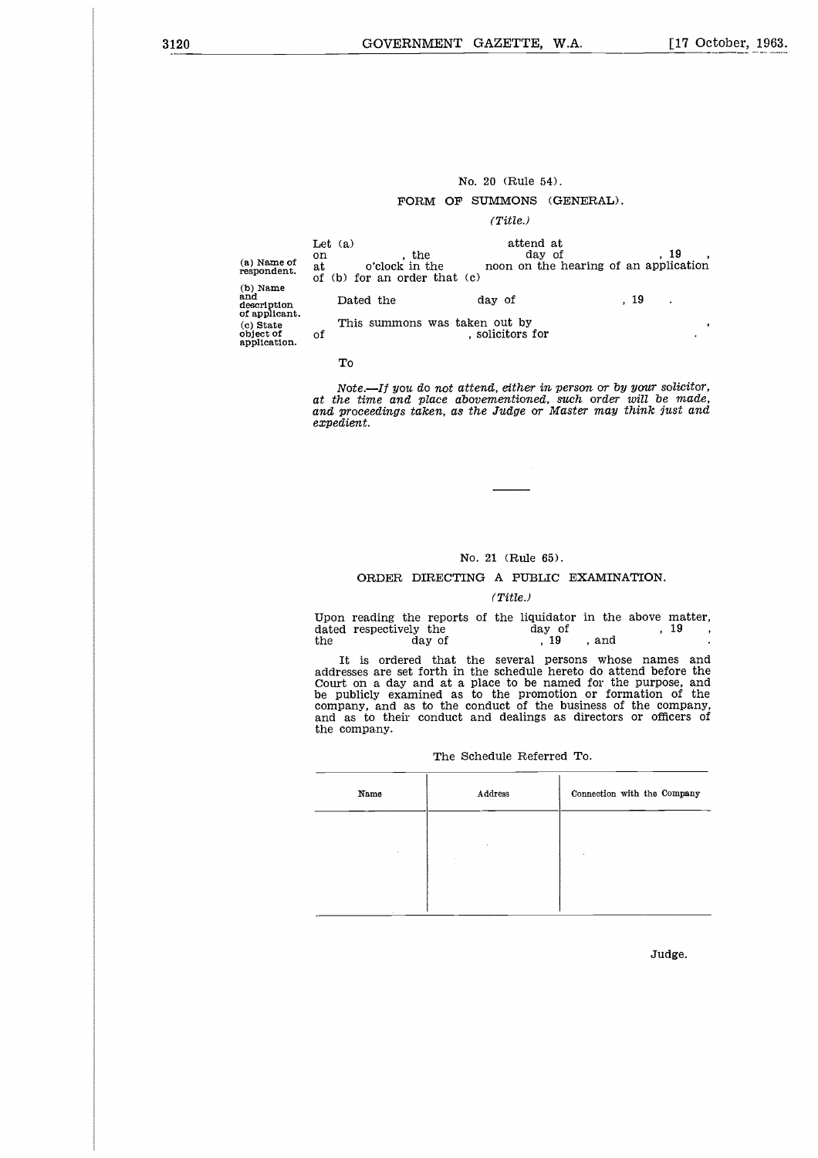#### No. 20 (Rule 54).

#### FORM OF SUMMONS (GENERAL).

#### *(Title.)*

|                                                                               |                                                                                  | No. 20 (Rule 54).<br>FORM OF SUMMONS (GENERAL).<br>(Title.) |                                                          |
|-------------------------------------------------------------------------------|----------------------------------------------------------------------------------|-------------------------------------------------------------|----------------------------------------------------------|
| (a) Name of<br>respondent.<br>(b) Name                                        | Let $(a)$<br>, the<br>on<br>o'clock in the<br>at<br>of (b) for an order that (c) | attend at<br>day of                                         | , 19<br>$\cdot$<br>noon on the hearing of an application |
| and<br>description<br>of applicant.<br>(c) State<br>object of<br>application. | Dated the<br>This summons was taken out by<br>of                                 | day of<br>, solicitors for                                  | , 19<br>٠<br>,                                           |
|                                                                               | To                                                                               |                                                             |                                                          |

#### To

*Note.—If* you *do not attend, either in person* or *by* your *solicitor, at the time and place abovementioned, such order will be made, and proceedings taken, as the Judge* or *Master* may *think lust and expedient.*

#### No. 21 (Rule 65).

#### ORDER DIRECTING A PUBLIC EXAMINATION.

#### *(Title.)*

No. 21 (Rule 65).<br>
ORDER DIRECTING A PUBLIC EXAMINATION.<br>
(Title.)<br>
Upon reading the reports of the liquidator in the above ma<br>
dated respectively the<br>
day of the day of the liquidator in the above ma<br>
the day of the sever No. 21 (Rule 65).<br>
ORDER DIRECTING A PUBLIC EXAMIT<br>
(Title.)<br>
Upon reading the reports of the liquidator in the<br>
dated respectively the day of<br>
the day of , 19, and<br>
It is ordered that the several persons whe<br>
addresses ar Upon reading the reports of the liquidator in the above matter,<br>dated respectively the  $\hbox{\small\it day of\quad}$ , 19, and .  $\overline{\phantom{a}}$ 

It is ordered that the several persons whose names and addresses are set forth in the schedule hereto do attend before the Court on a day and at a place to be named for the purpose, and be publicly examined as to the promotion or formation of the company, and as to the conduct of the business of the company, and as to their conduct and dealings as directors or officers of the company. is on<br>es ar<br>m a<br>licly<br>y, ar<br>to the pany<br>mame e sever<br>hace to<br>lace to<br>nduct<br>medule<br>nedule<br>address

#### The Schedule Referred To.

| Name   | Address | Connection with the Company |
|--------|---------|-----------------------------|
|        |         |                             |
| ÷.     |         |                             |
| $\sim$ |         |                             |

Judge.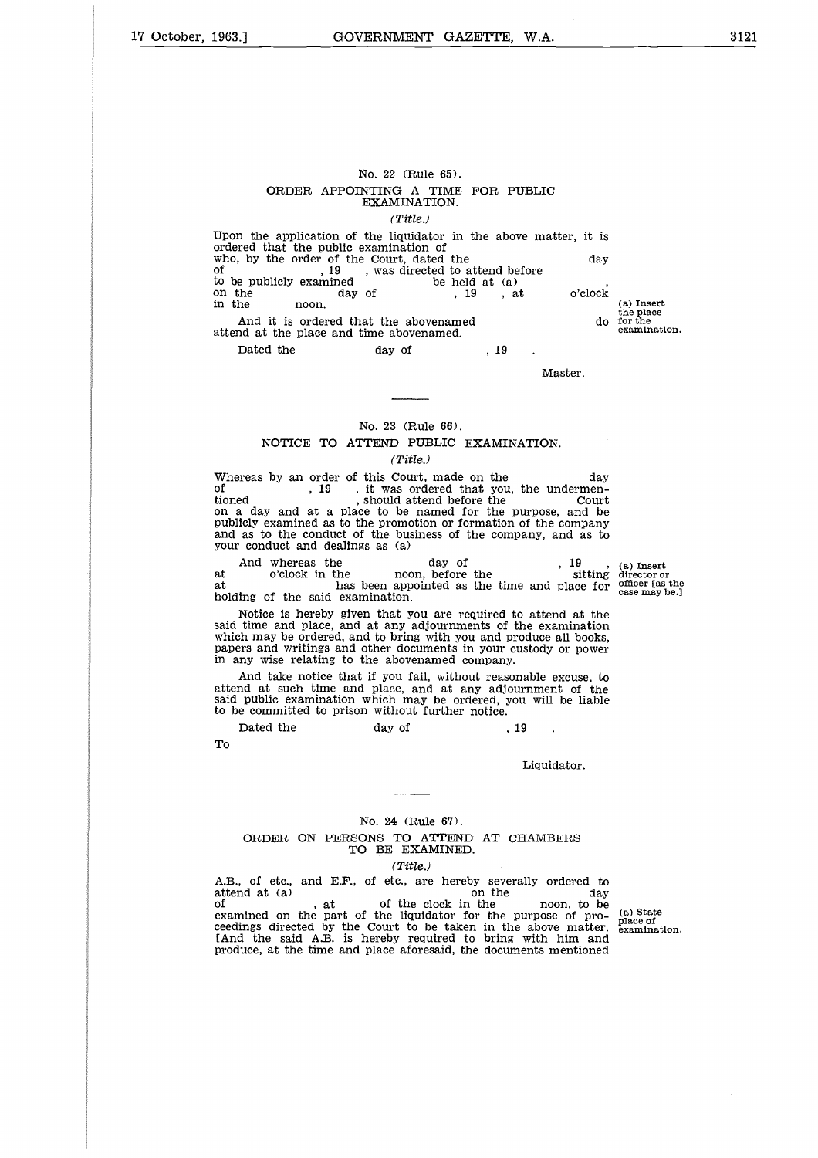#### No. 22 (Rule 65). ORDER APPOINTING A TIME FOR PUBLIC EXAMINATION. *(Title.)*

Upon the application of the liquidator in the above matter, it is ordered that the public examination of No. 22 (Rule 65).<br>
ORDER APPOINTING A TIME FOR PUBLIC<br>
EXAMINATION.<br>
(Title.)<br>
Upon the application of the liquidator in the above matter, it is<br>
ordered that the public examination of<br>
to be publicly examined<br>
of<br>
to be No. 22 (Rule 65).<br>
ORDER APPOINTING A TIME FOR PUBL<br>
EXAMINATION.<br>
(Title.)<br>
Upon the application of the liquidator in the above mordered that the public examination of<br>
ordered that the public examination of<br>
of the Cour No. 22 (Rule 65).<br>
ORDER APPOINTING A TIME FOR P<br>
EXAMINATION.<br>
(Title.)<br>
Upon the application of the liquidator in the abordered that the public examination of<br>
who, by the order of the Court, dated the<br>
of to be publicl on the day of , 19 , at o'clock No. 22 (Rule 65).<br>
ORDER APPOINTING A TIME FOR PUBLIC<br>
EXAMINATION.<br>
(Title.)<br>
Upon the application of the liquidator in the above matter, it is<br>
ordered that the public examination of<br>
who, by the order of the Court, dat  $\begin{tabular}{l|l|l|l|} \hline & & & \multicolumn{1}{l}{\textbf{No. 22 (Rule 65).}} \\ \hline & & & \multicolumn{1}{l}{\textbf{EXAMINATION}}. \\ & & & \multicolumn{1}{l}{\textbf{(Title.)}} \\ \hline & & & \multicolumn{1}{l}{\textbf{EXAMINATION}}. \\ \hline & & & \multicolumn{1}{l}{\textbf{(Title.)}} \\ \hline & & & \multicolumn{1}{l}{\textbf{(F Cour)} and the} \\ \hline & & & \multicolumn{1}{l}{\textbf{(F Cour)} and the} \\ \hline & & & \multicolumn{1}{l}{\textbf{(F C our)} and$ No. 22 (Rule 65).<br>
ORDER APPOINTING A TIME<br>
EXAMINATION.<br>
(Title.)<br>
Upon the application of the liquidator in<br>
ordered that the public examination of<br>
who, by the order of the Court, dated the<br>
to be publicly examined<br>
to  $\begin{tabular}{ll} No. 22 (R) \multicolumn{2}{l}{{\small \bf{R}}} & No. 22 (R) \multicolumn{2}{l}{\small \bf{R}} & No. 22 (R) \multicolumn{2}{l}{\small \bf{EXAMIN}} \multicolumn{2}{l}{\small \bf{EXAMIN}} \multicolumn{2}{l}{\small \bf{TXAMIN}} \multicolumn{2}{l}{\small \bf{TXAMIN}} \multicolumn{2}{l}{\small \bf{TXAMIN}} \multicolumn{2}{l}{\small \bf{TXAMIN}} \multicolumn{2}{l}{\small \bf{TXAMIN}} \multicolumn{2}{l}{\small \bf{TXAMIN}} \multicolumn{2}{l}{$ 

, <sup>19</sup>

Master.

#### No. 23 (Rule 66). NOTICE TO ATTEND PUBLIC EXAMINATION. *(Title.)*

 $\footnotesize{\begin{tabular}{l} \text{Mn} the & noon. \end{tabular} \begin{tabular}{ll} \text{And it is ordered that the abovenamed & do  
bold at the place and time abovenamed. \end{tabular} \end{tabular} } \begin{tabular}{ll} \text{Mn} & \text{Master.} \end{tabular} \end{tabular} \begin{tabular}{ll} \text{Mn} & \text{Master.} \end{tabular} \end{tabular} \begin{tabular}{ll} \text{N0. 23 (Rule 66),} \end{tabular} \end{tabular} \begin{tabular}{ll} \text{Mn} & \text{Master.} \end{tabular} \end{tabular} \begin{tabular}{$ And it is ordered that the abovenamed<br>
attend at the place and time abovenamed.<br>  $\begin{array}{c} \text{Date 66} \\ \text{Date 67} \end{array}$  Master.<br>  $\begin{array}{c} \text{Moster.} \\ \text{Master.} \end{array}$ <br>
No. 23 (Rule 66).<br>
NOTICE TO ATTEND PUBLIC EXAMINATION.<br>
(Title.)<br>
W of  $\begin{bmatrix} . & . & . & . \\ . & . & . & . \\ . & . & . & . \end{bmatrix}$  it was ordered that you, the undermen-<br>tioned should attend before the Court on a day and at a place to be named for the purpose, and be publicly examined as to the promotion or formation of the company and as to the conduct of the business of the company, and as to your conduct and dealings as (a) No. 23 (Rule 66).<br>
NOTICE TO ATTEND PUBLIC EXAMINATION.<br>
(Title.)<br>
reas by an order of this Court, made on the<br>
, 19 , it was ordered that you, the undermen-<br>
, should attend before the<br>
court<br>
a day and at a place to be No. 23 (Rule 66).<br>
Morrice TO ATTEND PUBLIC EXAMINATION.<br>
(Title.)<br>
(Title.)<br>
Whereas by an order of this Court, made on the<br>
of  $\begin{array}{cc} 19 & ,\text{ it was ordered that you, the underneath-  
tioned and a place to be named for the purpose, and be  
publicly examined as to the promotion or formation of the company  
and as to the condition or formation of the company  
and we conduct off the business of the company, and as to  
now our conduct and dealing$ 

at holding of the said examination.

Notice is hereby given that you are required to attend at the said time and place, and at any adjournments of the examination which may be ordered, and to bring with you and produce all books, papers and writings and other documents in your custody or power in any wise relating to the abovenamed company. And whereas the day of o'clock in the has been appointed as the time has been appointed as the time ing of the said examination.<br>Notice is hereby given that you are required to time and place, and at any adjournments of th

And take notice that if you fail, without reasonable excuse, to attend at such time and place, and at any adjournment of the said public examination which may be ordered, you will be liable to be committed to prison without further notice.

To

Liquidator.

#### No. 24 (Rule 67). ORDER ON PERSONS TO ATTEND AT CHAMBERS TO BE EXAMINED.

#### *(Title.)*

A.B., of etc., and E.F., of etc., are hereby severally ordered to attend at (a) on the day Dated the day of , 19<br>
To Liquidator.<br>
To Liquidator.<br>
To BE EXAMINED.<br>
A.B., of etc., and E.F., of etc., are hereby severally ordered to<br>
attend at (a)<br>
, at of the clock in the noon, to be<br>
examined on the part of the li attend at (a) at on the clock in the noon, to be<br>of the clock in the noon, to be<br>examined on the part of the liquidator for the purpose of proproduce, at the time and place aforesaid, the documents mentioned

(a) State place of examination.

the place

examination.

(a) Insert director or officer [as the case may be.]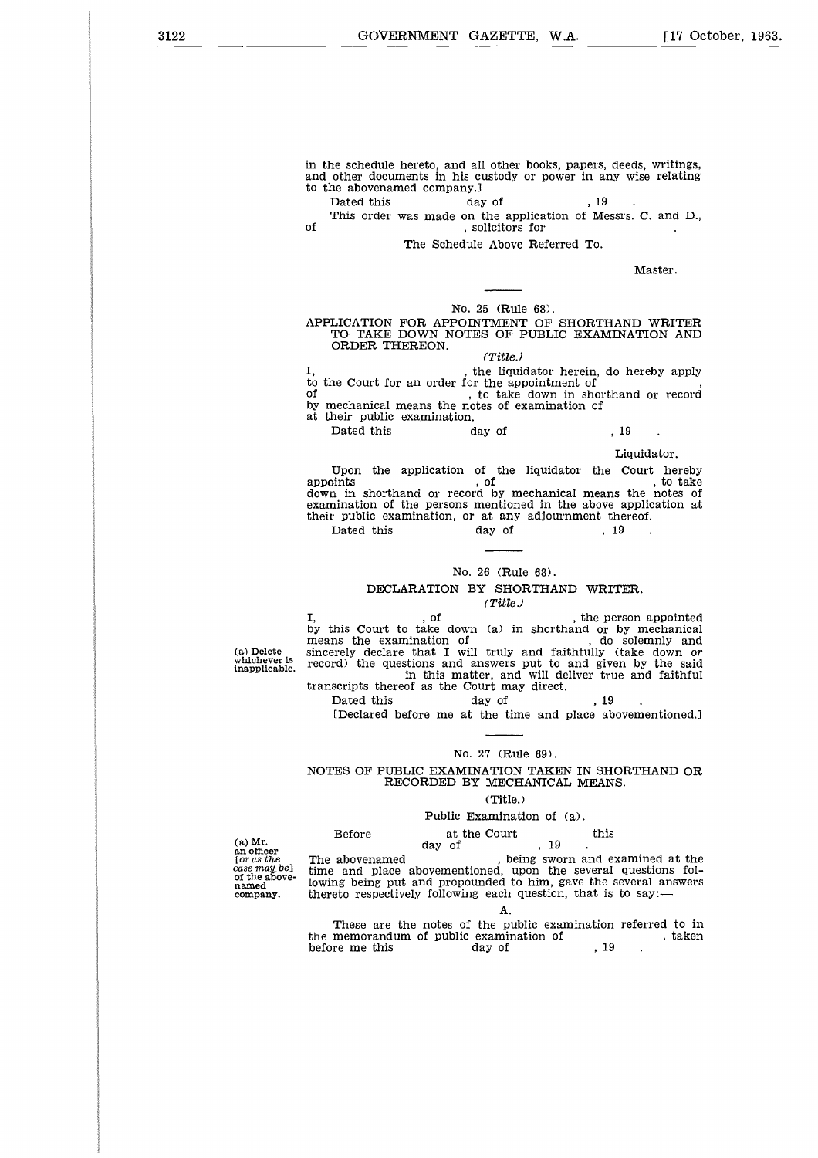3122 **GOVERNMENT GAZETTE, W.A.** [17 October, 1963.

in the schedule hereto, and all other books, papers, deeds, writings, and other documents in his custody or power in any wise relating to the abovenamed company.] GOVERNMENT GAZETTE, W.A.<br>
he schedule hereto, and all other books, papers, deed<br>
other documents in his custody or power in any wi<br>
he abovenamed company.]<br>
Dated this day of , 19.<br>
This order was made on the application o in the schedule hereto, and all other booth other documents in his custody or problem to the abovenamed company.<br>
Oated this and of This order was made on the application<br>
of This order was made on the applica<br>
of The Sche

This order was made on the application of Messrs. C. and D.,

The Schedule Above Referred To.

Master.

#### No. 25 (Rule 68).

#### APPLICATION FOR APPOINTMENT OF SHORTHAND WRITER TO TAKE DOWN NOTES OF PUBLIC EXAMINATION AND ORDER THEREON.

#### *(Title.)*

the liquidator herein, do hereby apply to the Court for an order for the appointment of of  $\footnotesize$  , solicitors for  $\footnotesize$  . Master .<br>
No. 25 (Rule 68).<br>
APPLICATION FOR APPOINTMENT OF SHORTHAND WRITER<br>
TO TAKE DOWN NOTES OF PUBLIC EXAMINATION AND<br>
ORDER THEREON.<br>  $\footnotesize$  , the liquidator herein, do hereby app Mast<br>
Mast<br>
Dated This Reproduced this are of the liquidator of the liquidator<br>
Dated this<br>
Dated this<br>
Dated this<br>
Upon the application of the liquidator the Court<br>
Dated this<br>
Upon the application of the liquidator the C

by mechanical means the notes of examination of at their public examination.

Liquidator.

Upon the application of the liquidator the Court hereby Liquidator.<br>
Upon the application of the liquidator the Court hereby<br>
appoints , of , to take<br>
down in shorthand or record by mechanical means the notes of examination of the persons mentioned in the above application at their public examination, or at any adjournment thereof.  $(1 \text{ line.})$ <br>  $(1 \text{ line.})$ <br>
he Court for an order for the lappointment of<br>  $(1 \text{ line.})$ <br>
to take down in shorthand of<br>
nechanical means the notes of examination of<br>
heir public examination.<br>
Dated this day of , 19<br>
liquida<br>
Upo *,* of , the person appointed

#### No. 26 (Rule 68).

DECLARATION BY SHORTHAND WRITER.

#### *(Title.)*

(a) Delete whichever is inapplicable. I, cof this Court to take down (a) in shorthand or by mechanical by this Court to take down (a) in shorthand or by mechanical by this Court to take down (a) in shorthand or by inechanced<br>means the examination of , do solemnly and<br>sincerely declare that I will truly and faithfully (take down *or* record) the questions and answers put to and given by the said in this matter, and will deliver true and faithful Dated this<br>
ay of<br>
Wo. 26 (Rule 68).<br>
DECLARATION BY SHORTHAND WRI<br>
(Title.)<br>
, of<br>
, the performance of this Court to take down (a) in shorthand or<br>
ns the examination of the examination of<br>
rely declare that I will truly

transcripts thereof as the Court may direct.

[Declared before me at the time and place abovementioned.]

#### No. 27 (Rule 69).

#### NOTES OF PUBLIC EXAMINATION TAKEN IN SHORTHAND OR RECORDED BY MECHANICAL MEANS.

#### (Title.)

#### Public Examination of (a).

(a) Mr. an officer *[or as the case mat* be] of the abovenamed company.

(a) the questions and answers put to and give<br>
in this matter, and will deliver tru<br>
ceripts thereof as the Court may direct.<br>
Dated this day of , 19<br>
Declared before me at the time and place ab<br>
.......................... this matter, and will do<br>
as the Court may direct<br>
day of<br>
e me at the time and<br>
Mo. 27 (Rule 69).<br>
EXAMINATION TAKE<br>
RDED BY MECHANICA<br>
(Title.)<br>
Public Examination of<br>
at the Court<br>
day of , 19<br>
, being swo<br>
ovementioned The abovenamed , being sworn and examined at the time and place abovementioned, upon the several questions following being put and propounded to him, gave the several answers thereto respectively following each question, that is to say:— NOTES OF PUBLIC EXAMINATION TAKEN IN SHORTHAND OR RECORDED BY MECHANICAL MEANS.<br>
(Title.)<br>
Public Examination of (a).<br>
Before at the Court this<br>
day of , 19<br>
The above<br>named , being worn and examined at the time and place RECORDED BY MECHANICAL MEAN<br>
(Title.)<br>
Public Examination of (a).<br>
Before at the Court this<br>
day of , 19 .<br>
The abovenamed , being sworn and e<br>
lime and place abovementioned, upon the several<br>
lowing being put and propound

A.

These are the notes of the public examination referred to in the memorandum of public examination of  $\hfill$  , taken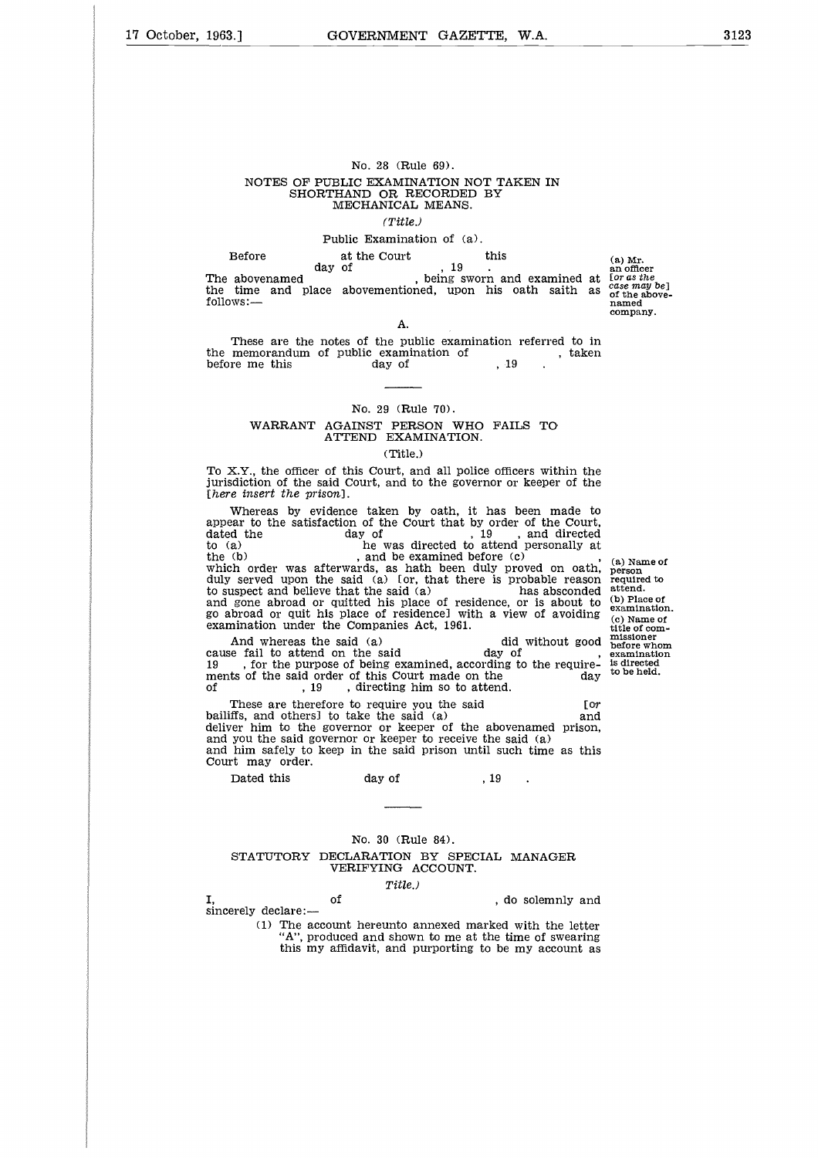# No. 28 (Rule 69). NOTES OF PUBLIC EXAMINATION NOT TAKEN IN SHORTHAND OR RECORDED BY MECHANICAL MEANS. *(Title.)* No. 28 (Rule 69).<br>
NOTES OF PUBLIC EXAMINATION NOT T.<br>
SHORTHAND OR RECORDED BY<br>
MECHANICAL MEANS.<br>
(Title.)<br>
Public Examination of (a).<br>
Before at the Court this<br>
abovenamed , being sworn a<br>
wes:... No. 28 (Rule 69).<br>
PUBLIC EXAMINATION<br>
RTHAND OR RECORDI<br>
MECHANICAL MEAN.<br>
(Title.)<br>
Public Examination of<br>
at the Court<br>
day of , 19<br>
ace abovementioned, up

#### Public Examination of (a).

day of  $\frac{19}{1}$ ,  $\frac{19}{1}$ , heing sworn and examined at the time and place abovementioned, upon his oath saith as follows:— NOTES OF PUBLIC EXAMINATION NOT TAKEN IN<br>
SHORTHAND OR RECORDED BY<br>
MECHANICAL MEANS.<br>
(Title.)<br>
Public Examination of (a).<br>
Before at the Court<br>
day of , 19<br>
.<br>
The abovenamed , being sworn and examined at<br>
the time and SHORTHAND OR RECORDED BY<br>
MECHANICAL MEANS.<br>
(Title.)<br>
Public Examination of (a).<br>
Before at the Court this<br>
day of , 19<br>
. being sworn and<br>
the time and place abovementioned, upon his c<br>
follows:—<br>
A.<br>
These are the note

(a) Mr. an officer [or *as the ease* may *be]* of the abovenamed company.

A. These are the notes of the public examination referred to in

#### No. 29 (Rule 70). WARRANT AGAINST PERSON WHO FAILS TO ATTEND EXAMINATION.

#### (Title.)

To X.Y., the officer of this Court, and all police officers within the jurisdiction of the said Court, and to the governor or keeper of the *[here insert the prison].*

Whereas by evidence taken by oath, it has been made to appear to the satisfaction of the Court that by order of the Court, before me this<br> **EXAMPLE 1999**<br>
Mo. 29 (Rule 70).<br>
WARRANT AGAINST PERSON WHO FAILS TO<br>
ATTEND EXAMINATION.<br>
To X.Y., the officer of this Court, and all police officers within the<br>
jurisdiction of the said Court, and to th No. 29 (Rule 70).<br>
WARRANT AGAINST PERSON WHO FAILS TO<br>
ATTEND EXAMINATION.<br>
(Title.)<br>
To X.Y., the officer of this Court, and all police officers within the<br>
jurisdiction of the said Court, and to the governor or keeper No. 29 (Rule 70).<br>
WARRANT AGAINST PERSON WHO FAIL ATTEND EXAMINATION.<br>
(Title.)<br>
To X.Y., the officer of this Court, and all police office<br>
iurisdiction of the said Court, and to the governor or<br>
[here insert the prison] which order was afterwards, as hath been duly proved on oath, duly served upon the said (a) [or, that there is probable reason to suspect and believe that the said (a) has absconded and gone abroad or quitted his place of residence, or is about to go abroad or quit his place of residence] with a view of avoiding examination under the Companies Act, 1961. X.Y., the office of this Court, and all police officers within the did court *i* and to the governor or keeper of the *e* insert the prison].<br>Whereas by evidence taken by oath, it has been made to are to the satisfaction jurisdiction of the said Court, and to the governor or<br>
[here insert the prison].<br>
Whereas by evidence taken by oath, it has b<br>
appear to the satisfaction of the Court that by order<br>
to day of<br>
to a) he was directed to at There insert the prison].<br>
Whereas by evidence taken by oath, it has been made to<br>
appear to the satisfaction of the Court that by order of the Court,<br>
dated the  $(8)$  day of  $(19)$ , and directed<br>
to  $(2)$  he was directed Whereas by evidence taken by oath, it has been made to<br>appear to the satisfaction of the Court that by order of the Court,<br>dated the day of the Wast directed to attend personally at<br>the to (a) and the was directed to atte appear to the satisfaction of the Court that by order<br>dated the day of to (a) he was directed to atten<br>the (b) and be examined before which order was afterwards, as hath been duly pointed with duly berved upon the said (a) d the are the vast of the was directed to attend personally at the was directed to attend personally at the vast afterwards, as hath been duly proved on oath, served upon the said (a) for, that there is probable reason as (a) Name of person required to attend. (b) Place of examination. (c) Name of title of com-missioner before whom examination is directed

to be held.

bailiffs, and others] to take the said (a) and deliver him to the governor or keeper of the abovenamed prison, and you the said governor or keeper to receive the said (a) and him safely to keep in the said prison until such time as this Court may order. broad or quit his place of residence] with a hination under the Companies Act, 1961.<br>And whereas the said (a) e fail to attend on the said day of the said of the said of this Court made on the  $\,$ , 19  $\,$ , directing him

# No. 30 (Rule 84). STATUTORY DECLARATION BY SPECIAL MANAGER VERIFYING ACCOUNT. of the above<br>halo prison, the said (a) ep in the said prison until such time as this<br>day of the said prison until such time as this<br>day of the said prison until such time as this<br>day of the said prison until such time as

#### *Title.)*

sincerely declare:-(1) The account hereunto annexed marked with the letter

"A", produced and shown to me at the time of swearing this my affidavit, and purporting to be my account as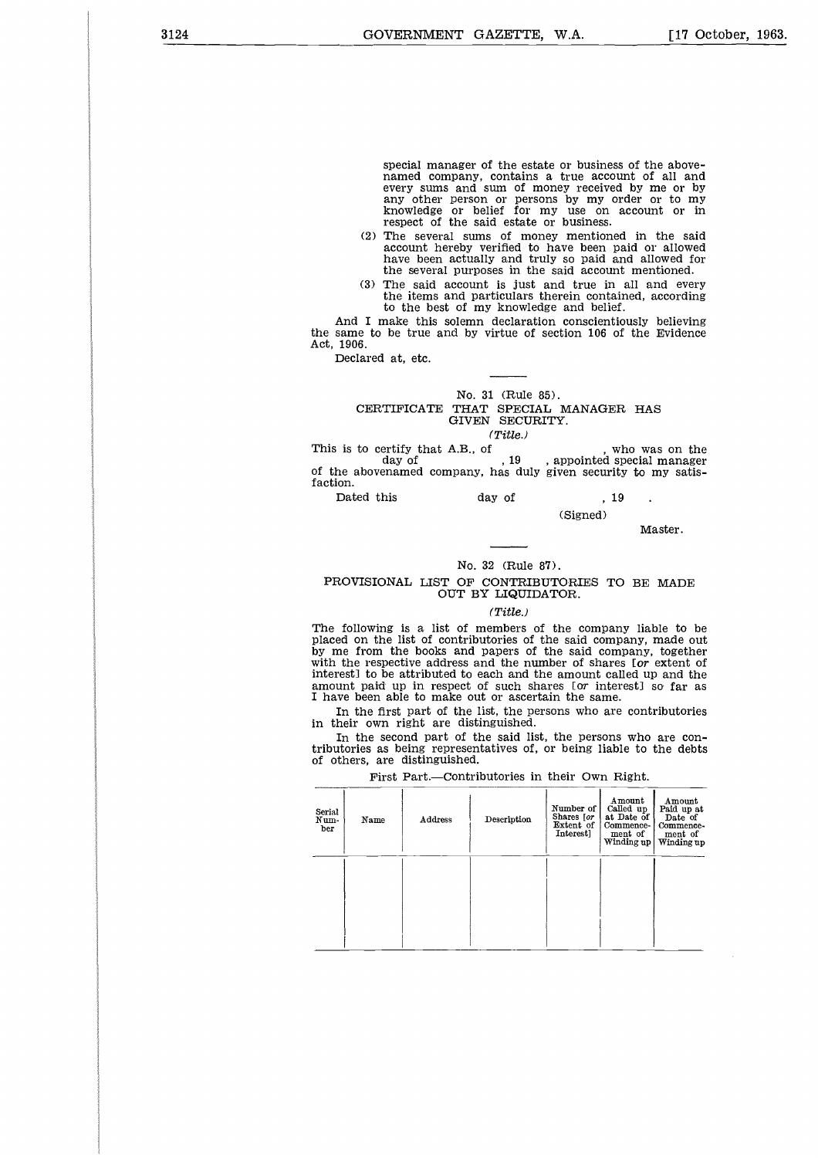special manager of the estate or business of the abovenamed company, contains a true account of all and every sums and sum of money received by me or by any other person or persons by my order or to my knowledge or belief for my use on account or in respect of the said estate or business.

- (2) The several sums of money mentioned in the said account hereby verified to have been paid or allowed have been actually and truly so paid and allowed for the several purposes in the said account mentioned.
- (3) The said account is just and true in all and every the items and particulars therein contained, according to the best of my knowledge and belief.

And I make this solemn declaration conscientiously believing the same to be true and by virtue of section 106 of the Evidence Act, 1906.

Declared at, etc.

#### No. 31 (Rule 85). CERTIFICATE THAT SPECIAL MANAGER HAS

GIVEN SECURITY.

*(Title.)*

(3) The said account is just and true in all and every<br>
the items and particulars therein contained, according<br>
to the best of my knowledge and belief.<br>
And I make this solemn declaration conscientiously believing<br>
the sa This is to certify that A.B., of  $\begin{array}{c} \text{day of} \\ \text{day of} \end{array}$ , 19, appointed special manager of the abovenamed company, has duly given security to my satisfaction. Exame to be true and by virtue of section 106 of<br>1906.<br>Declared at, etc.<br>
No. 31 (Rule 85).<br>
CERTIFICATE THAT SPECIAL MANAGER<br>
GIVEN SECURITY.<br>
(Title.)<br>
is to certify that A.B., of<br>
day of , 19, appointed st<br>
phe abovenam

|  | Dated this | day of |  | . 19 |  |
|--|------------|--------|--|------|--|
|  |            |        |  |      |  |

(Signed)

Master.

#### No. 32 (Rule 87).

#### PROVISIONAL LIST OF CONTRIBUTORIES TO BE MADE OUT BY LIQUIDATOR.

#### *(Title.)*

The following is a list of members of the company liable to be placed on the list of contributories of the said company, made out by me from the books and papers of the said company, together with the respective address and the number of shares [or extent of interest] to be attributed to each and the amount called up and the amount paid up in respect of such shares [or interest] so far as I have been able to make out or ascertain the same.

In the first part of the list, the persons who are contributories in their own right are distinguished.

In the second part of the said list, the persons who are contributories as being representatives of, or being liable to the debts of others, are distinguished.

First Part.—Contributories in their Own Right.

| Serial<br>Num-<br>ber | Name | Address | Description | Number of<br>Shares for<br>Extent of<br>Interest] | Amount<br>Called up<br>at Date of<br>Commence-<br>ment of<br>Winding up | Amount<br>Paid up at<br>Date of<br>Commence-<br>ment of<br>Winding up |
|-----------------------|------|---------|-------------|---------------------------------------------------|-------------------------------------------------------------------------|-----------------------------------------------------------------------|
|                       |      |         |             |                                                   |                                                                         |                                                                       |
|                       |      |         |             |                                                   |                                                                         |                                                                       |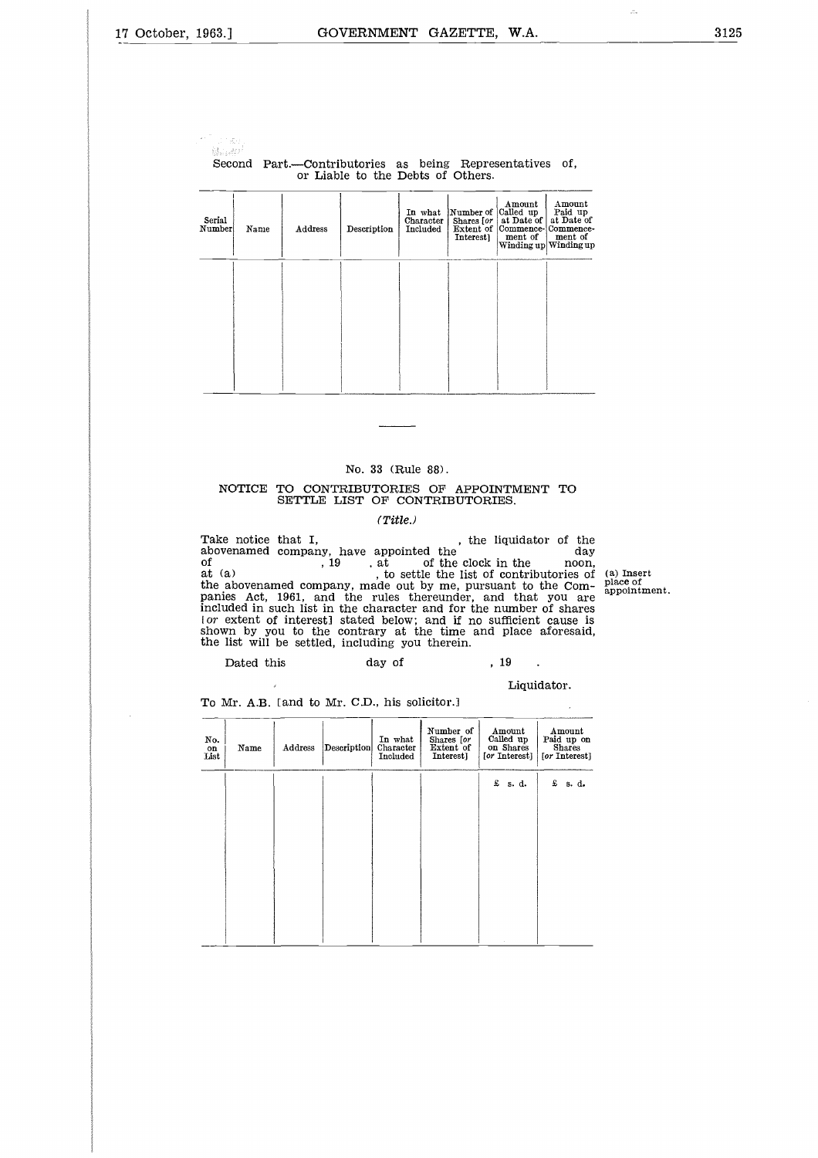$\sim$  " Tunas.<br>Ngjarje

Second Part.—Contributories as being Representatives of, or Liable to the Debts of Others.

| Serial<br>Number | Name | Address | Description | In what<br>Character<br>Included | Number of Called up<br>Shares $[or]$<br>Interest] | Amount<br>at Date of<br>Extent of Commence-Commence-<br>ment of | Amount<br>Paid up<br>at Date of<br>ment of<br>Winding up Winding up |
|------------------|------|---------|-------------|----------------------------------|---------------------------------------------------|-----------------------------------------------------------------|---------------------------------------------------------------------|
|                  |      |         |             |                                  |                                                   |                                                                 |                                                                     |
|                  |      |         |             |                                  |                                                   |                                                                 |                                                                     |

#### No. 33 (Rule 88).

#### NOTICE TO CONTRIBUTORIES OF APPOINTMENT TO SETTLE LIST OF CONTRIBUTORIES.

#### *(Title.)*

No. 33 (Rule 88).<br>
NOTICE TO CONTRIBUTORIES OF APPOINTMENT TO<br>
SETTLE LIST OF CONTRIBUTORIES.<br>
(Title.)<br>
Take notice that I,<br>
abovenamed company, have appointed the day<br>
of the clock in the noon,<br>
the abovenamed company ma No. 33 (Rule 88).<br>
No. 33 (Rule 88).<br>
NOTICE TO CONTRIBUTORIES OF APPOINTMENT TO<br>
SETTLE LIST OF CONTRIBUTORIES.<br>
(Title.)<br>
Take notice that I,<br>
abovenamed company, have appointed the , the liquidator of the<br>
of , is extil NOTICE TO CONTRIBUTORIES OF APPOINTMENT TO<br>
SETTLE LIST OF CONTRIBUTORIES.<br>
(Title...)<br>
Take notice that I,<br>
the liquidator of the<br>
of the clock in the noon,<br>
the liquidator of the<br>
of the clock in the noon,<br>
at (a)<br>
to se of the clock in the clock in the list of at (a)<br>the abovenamed company, made out by me, pursuant to the Com-<br>panies Act, 1961, and the rules thereunder, and that you are<br>included in such list in the character and for the n shown by you to the contrary at the time and place aforesaid, the list will be settled, including you therein. FIGURE TO CONTRIBUTORIES OF APPOINTMEN<br>
SETTLE LIST OF CONTRIBUTORIES.<br>
(Title.)<br>
a notice that I, the liquidate<br>
enamed company, have appointed the<br>
, 19 . at of the clock in the<br>
, 19 . at of the clock in the<br>
a) , to s

Liquidator.

| No.<br>on<br>List | Name | Address | Description | In what<br>Character<br>Included | Number of<br>Shares [or<br>Extent of<br>Interest] | Amount<br>Called up<br>on Shares<br>[or Interest] | Amount<br>Paid up on<br><b>Shares</b><br>[or Interest] |
|-------------------|------|---------|-------------|----------------------------------|---------------------------------------------------|---------------------------------------------------|--------------------------------------------------------|
|                   |      |         |             |                                  |                                                   | £<br>s. d.                                        | £<br>s. d.                                             |
|                   |      |         |             |                                  |                                                   |                                                   |                                                        |
|                   |      |         |             |                                  |                                                   |                                                   |                                                        |
|                   |      |         |             |                                  |                                                   |                                                   |                                                        |
|                   |      |         |             |                                  |                                                   |                                                   |                                                        |
|                   |      |         |             |                                  |                                                   |                                                   |                                                        |
|                   |      |         |             |                                  |                                                   |                                                   |                                                        |

To Mr. A.B. [and to Mr. C.D., his solicitor.]

(a) Insert place of appointment.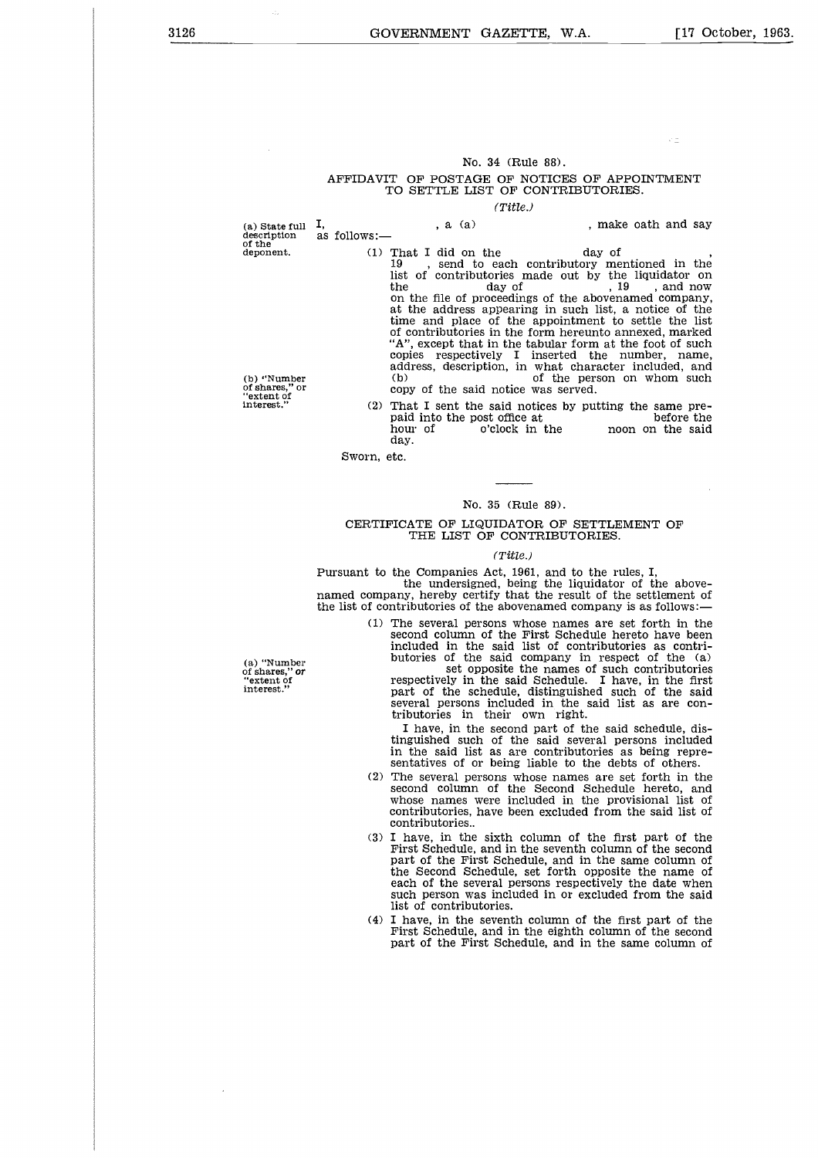#### No. 34 (Rule 88).

# AFFIDAVIT OF POSTAGE OF NOTICES OF APPOINTMENT TO SETTLE LIST OF CONTRIBUTORIES. (a) State full I, , a (a) , make oath and say

#### *(Title.)*

description<br>description<br>description<br>description<br>of the as follows:—<br>deponent. (1)

(a) state function<br>description<br>of the<br>deponent.<br>(b) "Number<br>of shares," or<br>"extent of"<br>interest."

No. 34 (Rule 88).<br>
Mo. 34 (Rule 88).<br>
TO SETTLE LIST OF NOTICES OF APPOINTMENT<br>
TO SETTLE LIST OF CONTRIBUTORIES.<br>
(1) That I did on the day of<br>
description as follows:—<br>
(1) That I did on the day of<br>
19, send to each cont list of contributories made out by the liquidator on No. 34 (Rule 88).<br>
T OF POSTAGE OF NOTICES OF APPOINTMENT<br>
TO SETTLE LIST OF CONTRIBUTORIES.<br>
(Title.)<br>
, a (a) a cancel on the day of<br>
...<br>
That I did on the day of<br>
...<br>
...<br>
...<br>
That I did on the day of<br>
...<br>
...<br>
... on the file of proceedings of the abovenamed company, at the address appearing in such list, a notice of the time and place of the appointment to settle the list of contributories in the form hereunto annexed, marked "A", except that in the tabular form at the foot of such copies respectively I inserted the number, name, address, description, in what character included, and<br>(b) of the person on whom such (a) State full I,  $(2)$  as follows:  $(3)$  as follows:  $(4)$  as follows:  $(1)$  That I did on the day of the deponent. (1) That I did on the distributions made out by the lundator on the file of proceedings of the abovename From the same of the same of the same of the same the same of the same of the same procedures appearing in such its the same of contributories and on the file of procedures of the abovenamed company at the address appeari

copy of the said notice was served.<br>That I sent the said notices by putting the same preday.

Sworn, etc.

#### No. 35 (Rule 89).

#### CERTIFICATE OF LIQUIDATOR OF SETTLEMENT OF THE LIST OF CONTRIBUTORIES.

#### *(Title.)*

Pursuant to the Companies Act, 1961, and to the rules, I, the undersigned, being the liquidator of the abovenamed company, hereby certify that the result of the settlement of the list of contributories of the abovenamed company is as follows:

> (1) The several persons whose names are set forth in the second column of the First Schedule hereto have been included in the said list of contributories as contri-

butories of the said company in respect of the (a) set opposite the names of such contributories respectively in the said Schedule. I have, in the first part of the schedule, distinguished such of the said several persons included in the said list as are con-tributories in their own right.

I have, in the second part of the said schedule, distinguished such of the said several persons included in the said list as are contributories as being representatives of or being liable to the debts of others.

- (2) The several persons whose names are set forth in the second column of the Second Schedule hereto, and whose names were included in the provisional list of contributories, have been excluded from the said list of contributories..
- (3) I have, in the sixth column of the first part of the First Schedule, and in the seventh column of the second part of the First Schedule, and in the same column of the Second Schedule, set forth opposite the name of each of the several persons respectively the date when such person was included in or excluded from the said list of contributories.
- (4) I have, in the seventh column of the first part of the First Schedule, and in the eighth column of the second part of the First Schedule, and in the same column of

(a) "Number of shares," or "extent of interest."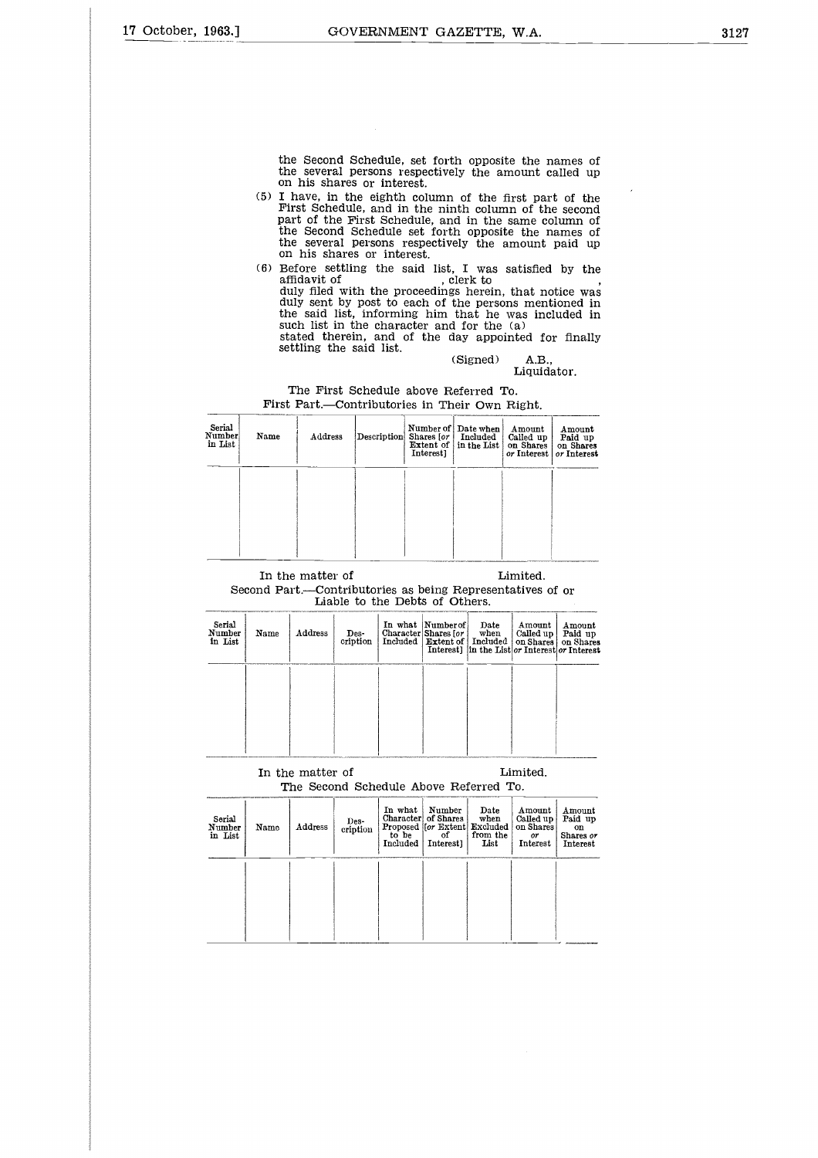the Second Schedule, set forth opposite the names of the several persons respectively the amount called up on his shares or interest.

- (5) I have, in the eighth column of the first part of the First Schedule, and in the ninth column of the second part of the First Schedule, and in the same column of the Second Schedule set forth opposite the names of the several persons respectively the amount paid up on his shares or interest. the Second Schedule, set forth oppote<br>the several persons respectively the<br>on his shares or interest.<br>I have, in the eighth column of the<br>First Schedule, and in the ninth col<br>part of the First Schedule set forth oppot<br>the
- (6) Before settling the said list, I was satisfied by the duly filed with the proceedings herein, that notice was duly sent by post to each of the persons mentioned in the said list, informing him that he was included in such list in the character and for the (a) % of the first part<br>th column of the same complete the number of the same complete<br>ely the amount<br> $\mathbf{I}$ . I was satisfied<br>lerk to<br> $\mathbf{I}$ . I was satisfied<br>the persons ment<br>that he was incompleted for the (a)<br>(Signed) A

stated therein, and of the day appointed for finally settling the said list.

#### Liquidator.

| Serial<br>Number<br>in List | Name | Address                                                    |                                | Description Shares [or ]<br>Extent of  <br>Interest] | Number of   Date when<br>Included<br>in the List | Amount<br>Called up<br>on Shares<br>or Interest | Amount<br>Paid up<br>on Shares<br>or Interest |
|-----------------------------|------|------------------------------------------------------------|--------------------------------|------------------------------------------------------|--------------------------------------------------|-------------------------------------------------|-----------------------------------------------|
|                             |      |                                                            |                                |                                                      |                                                  |                                                 |                                               |
|                             |      |                                                            |                                |                                                      |                                                  |                                                 |                                               |
|                             |      | In the matter of                                           |                                |                                                      |                                                  | Limited.                                        |                                               |
|                             |      | Second Part.—Contributories as being Representatives of or | Liable to the Debts of Others. |                                                      |                                                  |                                                 |                                               |

#### The First Schedule above Referred To. First Part.—Contributories in Their Own Right.

#### Second Part.—Contributories as being Representatives of or Liable to the Debts of Others.

|                             |      |                  |                  |         | Liable to the Depts of Others.                                                 |                 |                                                                        |                                          |
|-----------------------------|------|------------------|------------------|---------|--------------------------------------------------------------------------------|-----------------|------------------------------------------------------------------------|------------------------------------------|
| Serial<br>Number<br>in List | Name | Address          | Des-<br>cription |         | In what Number of<br>Character Shares [or  <br>Included   Extent of   Included | Date<br>when    | Amount<br>Called up  <br>Interest] in the List or Interest or Interest | Amount<br>Paid up<br>on Shares on Shares |
|                             |      |                  |                  |         |                                                                                |                 |                                                                        |                                          |
|                             |      |                  |                  |         |                                                                                |                 |                                                                        |                                          |
|                             |      |                  |                  |         |                                                                                |                 |                                                                        |                                          |
|                             |      | In the matter of |                  |         | The Second Schedule Above Referred To.                                         |                 | Limited.                                                               |                                          |
| $C_{\text{multi}}$          |      |                  | <b>Service</b>   | In what | Number<br>Character of Shares                                                  | Date<br>$m$ han | $A$ mount<br>$C0U0$ $\cdots$ i                                         | Amount<br>Daid un                        |

## The Second Schedule Above Referred To.

| Serial<br>Number<br>in List | Name | Address | Des-<br>cription | In what<br>to be<br>Included | Number<br>Character of Shares<br>Proposed [[or Extent] Excluded  <br>of<br>Interest] | Date<br>when<br>from the<br>List | Amount<br>Called up<br>on Shares<br>or<br>Interest | Amount<br>Paid up<br>on<br>Shares or<br>Interest |
|-----------------------------|------|---------|------------------|------------------------------|--------------------------------------------------------------------------------------|----------------------------------|----------------------------------------------------|--------------------------------------------------|
|                             |      |         |                  |                              |                                                                                      |                                  |                                                    |                                                  |
|                             |      |         |                  |                              |                                                                                      |                                  |                                                    | <b>CONTRACTOR IN A STATE</b>                     |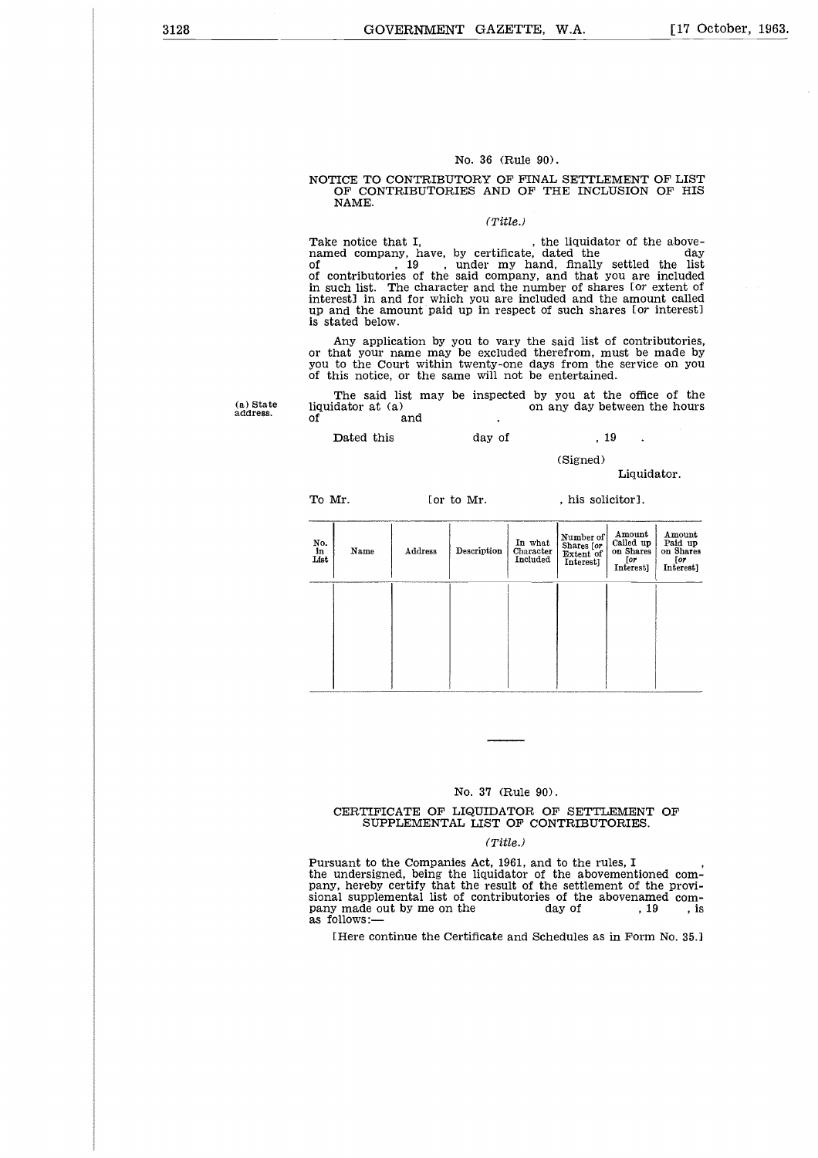#### No. 36 (Rule 90).

#### NOTICE TO CONTRIBUTORY OF FINAL SETTLEMENT OF LIST OF CONTRIBUTORIES AND OF THE INCLUSION OF HIS NAME.

#### *(Title.)*

No. 36 (Rule 90).<br>NOTICE TO CONTRIBUTORY OF FINAL SETTLEMENT OF LIST<br>OF CONTRIBUTORIES AND OF THE INCLUSION OF HIS<br>NAME.<br>Take notice that I, the liquidator of the above-<br>named company, have, by certificate, dated the day<br>o NOTICE TO CONTRIBUTORY OF FINAL SETTLEMENT OF LIST<br>OF CONTRIBUTORIES AND OF THE INCLUSION OF HIS<br>NAME.<br>Take notice that I, the liquidator of the above-<br>named company, have, by certificate, dated the<br>of the same of the said of , 19 , under my hand, finally settled the list of contributories of the said company, and that you are included in such list. The character and the number of shares *[or* extent of interest] in and for which you are included and the amount called up and the amount paid up in respect of such shares [or interest] is stated below. Take notice that I,  $\mu$ , the liquidator of the above-<br>named company, have, by certificate, dated the dist<br>of contributories of the said company, and that you are included<br>in such list. The character and the number of sha mamed company, hended company, hended company, hended in and four interest in and four and four amount is stated below.<br>Any application and four amount is stated below.<br>Any application or that your name you to the Court w contributories of the said company, and that youch list. The character and the number of share<br>restl in and for which you are included and the restl in and for which you are included and the<br>restl in and for which you are

Any application by you to vary the said list of contributories, or that your name may be excluded therefrom, must be made by you to the Court within twenty-one days from the service on you of this notice, or the same will not be entertained.

The said list may be inspected by you at the office of the liquidator at (a) on any day between the hours

(Signed)

#### Liquidator.

To Mr. [or to Mr. , his solicitor].

| No.<br>in<br>List | Name | Address | Description | In what<br>Character<br>Included | Number of<br>Shares [or<br>Extent of<br>Interest] | Amount<br>Called up<br>on Shares<br>[or<br>Interest] | Amount<br>Paid up<br>on Shares<br>[or<br>Interest] |
|-------------------|------|---------|-------------|----------------------------------|---------------------------------------------------|------------------------------------------------------|----------------------------------------------------|
|                   |      |         |             |                                  |                                                   |                                                      |                                                    |
|                   |      |         |             |                                  |                                                   |                                                      |                                                    |

#### No. 37 (Rule 90).

#### CERTIFICATE OF LIQUIDATOR OF SETTLEMENT OF SUPPLEMENTAL LIST OF CONTRIBUTORIES.

#### *(Title.)*

Pursuant to the Companies Act, 1961, and to the rules, I the undersigned, being the liquidator of the abovementioned company, hereby certify that the result of the settlement of the provisional supplemental list of contributories of the abovenamed com-No. 37 (Rule 90).<br>
CERTIFICATE OF LIQUIDATOR OF SETTLEMENT OF<br>
SUPPLEMENTAL LIST OF CONTRIBUTORIES.<br>
(Title.)<br>
Pursuant to the Companies Act, 1961, and to the rules, I<br>
the undersigned, being the liquidator of the abovemen as follows:

[Here continue the Certificate and Schedules as in Form No. 35.]

(a) State address.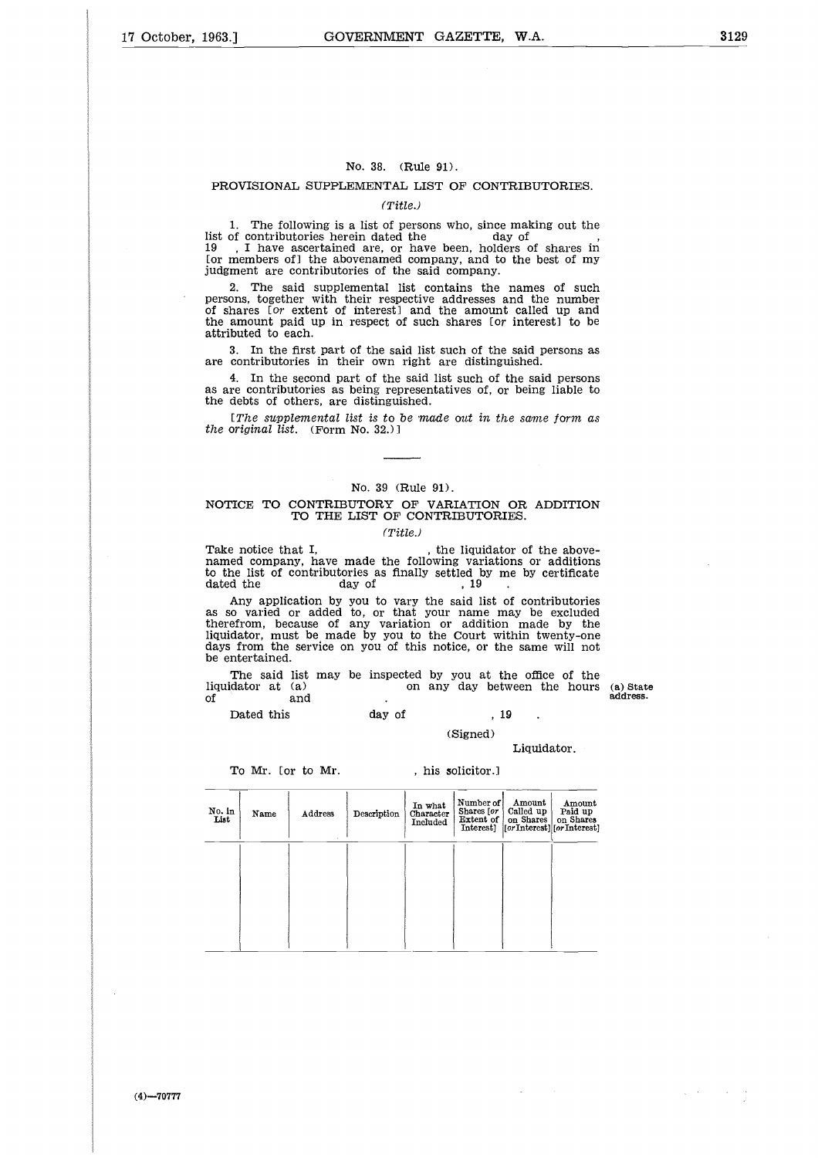#### No. 38. (Rule 91).

#### PROVISIONAL SUPPLEMENTAL LIST OF CONTRIBUTORIES.

#### *(Title.)*

1. The following is a list of persons who, since making out the No. 38. (Rule 91).<br>
PROVISIONAL SUPPLEMENTAL LIST OF CONTRIE<br>
(Title.)<br>
1. The following is a list of persons who, since mal<br>
list of contributories herein dated the<br>
19 , I have ascertained are, or have been, holders (<br>
o 19 , I have ascertained are, or have been, holders of shares in [or members of] the abovenamed company, and to the best of my judgment are contributories of the said company.

2. The said supplemental list contains the names of such persons, together with their respective addresses and the number of shares [or extent of interest] and the amount called up and the amount paid up in respect of such shares *[or* interest] to be attributed to each.

3. In the first part of the said list such of the said persons as are contributories in their own right are distinguished.

4. In the second part of the said list such of the said persons as are contributories as being representatives of, or being liable to the debts of others, are distinguished.

*[The supplemental list is to be made out in the same form as the original list.* (Form No. 32.)]

#### No. 39 (Rule 91).

#### NOTICE TO CONTRIBUTORY OF VARIATION OR ADDITION TO THE LIST OF CONTRIBUTORIES.

#### *(Title.)*

Take notice that I,<br>named company, have made the following variations or additions to the list of contributories as finally settled by me by certificate [The supplemental list is to be made out in the<br>
the original list. (Form No. 32.)]<br>
NOTICE TO CONTRIBUTORY OF VARIATION<br>
TO THE LIST OF CONTRIBUTORII<br>
(Title.)<br>
Take notice that I, the liquidato<br>
to the list of contribut

Any application by you to vary the said list of contributories as so varied or added to, or that your name may be excluded therefrom, because of any variation or addition made by the liquidator, must be made by you to the Court within twenty-one days from the service on you of this notice, or the same will not be entertained. Take notice that I,  $(Title.)$ <br>
(Title.)<br>
Take notice that I, the liquidator of the above-<br>
named company, have made the following variations or additions<br>
to the list of contributories as finally settled by me by certificate<br> Take notice that I<br>named company, h<br>to the list of contradated the<br>Any application<br>as so varied or a<br>therefrom, because<br>ilquidator, must be<br>days from the servember entertained.<br>The said list<br>liquidator at (a)<br>of bated thi Example and it is the inquidator of the tompany, have made the following variation<br>
del company, have made the following variation<br>
del ist of contributories as finally settled by me<br>
day of the day of the said list of<br>
da

The said list may be inspected by you at the office of the liquidator at  $(a)$  on any day between the hours

address.

 $\chi \sim 3000$ 

 $\sim 200$ 

(Signed)

Liquidator.

To Mr. [or to Mr. | , his solicitor.]

| No. in<br>List | Name | Address | Description | In what<br>Character<br>Included | Number of<br>Shares [or<br>Extent of<br>Interest] | Amount<br>Called up<br>on Shares | Amount<br>Paid up<br>on Shares<br>[or Interest][or Interest] |
|----------------|------|---------|-------------|----------------------------------|---------------------------------------------------|----------------------------------|--------------------------------------------------------------|
|                |      |         |             |                                  |                                                   |                                  |                                                              |
|                |      |         |             |                                  |                                                   |                                  |                                                              |
|                |      |         |             |                                  |                                                   |                                  |                                                              |

 $(4) - 70777$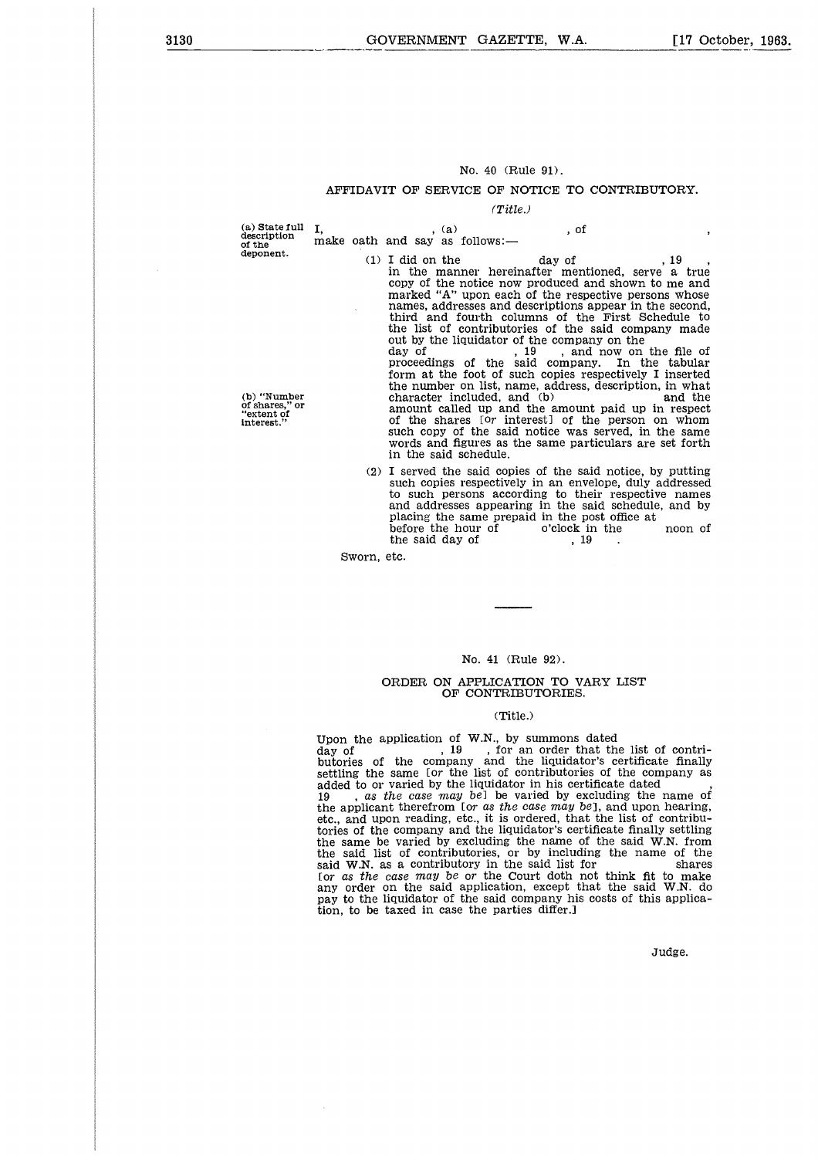#### No. 40 (Rule 91).

#### AFFIDAVIT OF SERVICE OF NOTICE TO CONTRIBUTORY.

*(Title.)*

**(a) State full description of the deponent.**

I,  $(2)$ ,  $(3)$ <br>make oath and say as follows:

*No.* 40 (Rule 91).<br>
ERVICE OF NOTICE TO<br>
(*Title.)*<br>
, (a) , of<br>
as follows:—<br>
, the day of<br>
manner hereinafter men No. 40 (Rule 91).<br>
AVIT OF SERVICE OF NOTICE TO CONTRIBUTOF<br>
(Title.)<br>
, (a) (Title.)<br>
, of<br>
th and say as follows:—<br>
(1) I did on the day of the network of the manner hereinafter mentioned, serve a<br>
copy of the notice no in the manner hereinafter mentioned, serve a true copy of the notice now produced and shown to me and marked "A" upon each of the respective persons whose names, addresses and descriptions appear in the second, third and fourth columns of the First Schedule to the list of contributories of the said company made out by the liquidator of the company on the day of , 19 , and now on the file of proceedings of the said company. In the tabular form at the foot of such copies respectively I inserted the number on list, name, address, description, in what character included, and (b) and the amount called up and the amount paid up in respect of the shares [0r interest] of the person on whom such copy of the said notice was served, in the same words and figures as the same particulars are set forth in the said schedule. proceedings of the said company. In the tabular<br>form at the foot of such copies respectively I inserted<br>the number on list, name, address, description, in what<br>character included, and (b)<br>and the<br>amount called up and the

(2) I served the said copies of the said notice, by putting such copies respectively in an envelope, duly addressed to such persons according to their respective names and addresses appearing in the said schedule, and by placing the same prepaid in the post office at<br>before the hour of o'clock in the

Sworn, etc.

#### No. 41 (Rule 92).

#### ORDER ON APPLICATION TO VARY LIST OF CONTRIBUTORIES.

#### (Title.)

Upon the application of W.N., by summons dated day of , 19 , for an order that the list of contri-butories of the company and the liquidator's certificate finally settling the same [or the list of contributories of the company as added to or varied by the liquidator in his certificate dated added to or varied by the induction in instrecting the name of<br>19 , *as the case may be*] be varied by excluding the name of<br>the applicant therefrom [or *as the case may be*], and upon hearing,<br>etc., and upon reading, etc. tories of the company and the liquidator's certificate finally settling the same be varied by excluding the name of the said W.N. from the said list of contributories, or by including the name of the said W.N. as a contributory in the said list for shares [or *as the case may be or* the Court doth not think fit to make any order on the said application, except that the said W.N. do pay to the liquidator of the said company his costs of this application, to be taxed in case the parties differ.]

Judge.

**(b) "Number of shares," or "extent of interest."**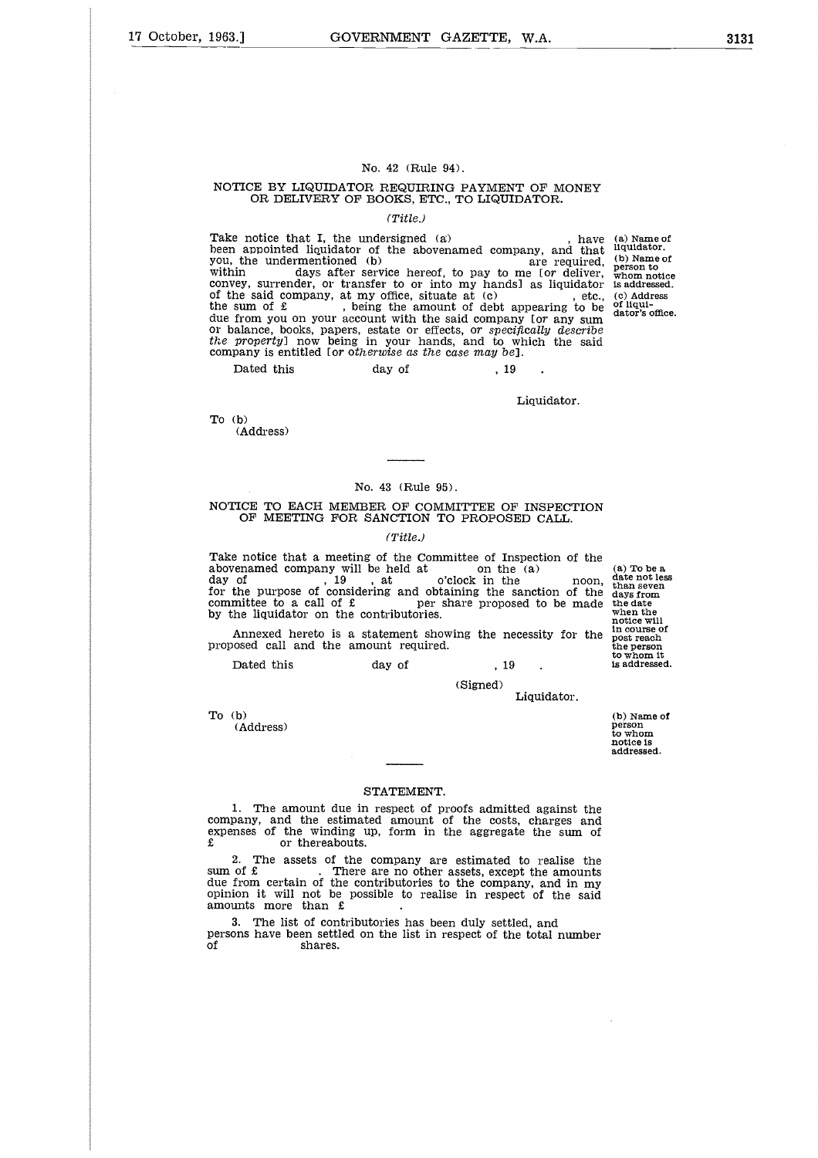#### No. 42 (Rule 94).

#### NOTICE BY LIQUIDATOR REQUIRING PAYMENT OF MONEY OR DELIVERY OF BOOKS, ETC., TO LIQUIDATOR.

#### *(Title.)*

No. 42 (Rule 94).<br>
NOTICE BY LIQUIDATOR REQUIRING PAYMENT OF MONEY<br>
OR DELIVERY OF BOOKS, ETC., TO LIQUIDATOR.<br>
(Title.)<br>
Take notice that I, the undersigned (a) , have<br>
been appointed liquidator of the abovenamed company, Take notice that I, the undersigned (a) , have (a) Name of the abovenamed company, and that liquidator.<br>been appointed liquidator of the abovenamed company, and that liquidator. No. 42 (Rule 94).<br>
NOTICE BY LIQUIDATOR REQUIRING PAYMENT OF MONEY<br>
OR DELIVERY OF BOOKS, ETC., TO LIQUIDATOR.<br>
(*Title.)*<br>
Take notice that I, the undersigned (a) a have<br>
been appointed liquidator of the abovenamed compa convey, surrender, or transfer to or into my hands] as liquidator No. 42 (Rule 94).<br>
NOTICE BY LIQUIDATOR REQUIRING PAYMENT OF MONEY<br>
OR DELIVERY OF BOOKS, ETC., TO LIQUIDATOR.<br>
(Title.)<br>
Take notice that I, the undersigned (a)<br>
the said company, and that<br>
you, the undermentioned (b)<br>
y the sum of  $\epsilon$ , being the amount of debt appearing to be due from you on your account with the said company [or any sum<br>or balance, books, papers, estate or effects, or *specifically describe*<br>*the property*] now being in your hands, and to which the said<br>company is entitled [or OR DELIVERY OF BOOKS, ETC., TO LIQUIT<br>
(Title.)<br>
a notice that I, the undersigned (a)<br>
appointed liquidator of the abovenamed comp<br>
the undermentioned (b)<br>
in days after service hereof, to pay to<br>
rey, surrender, or trans

Liquidator.

To (b)

(Address)

#### No. 43 (Rule 95).

#### NOTICE TO EACH MEMBER OF COMMITTEE OF INSPECTION OF MEETING FOR SANCTION TO PROPOSED CALL.

#### *(Title.)*

Take notice that a meeting of the Committee of Inspection of the above much compared company will be held at<br>
above held at  $\sigma$  the function of the function of the committee of the Company will be held at<br>  $\sigma$  abovenamed company will be held at  $\sigma$  the (a) To be a abovenamed company than seven for the purpose of considering and obtaining the sanction of the days from No. 43 (Rule 95).<br>
NOTICE TO EACH MEMBER OF COMMITTEE OF INSPECTION<br>
OF MEETING FOR SANCTION TO PROPOSED CALL.<br>
(Title.)<br>
Take notice that a meeting of the Committee of Inspection of the<br>
day of<br>
day of<br>
the purpose of co No. 43 (Rule 95<br>
NOTICE TO EACH MEMBER OF COMI<br>
OF MEETING FOR SANCTION TO<br>
(Title.)<br>
Take notice that a meeting of the Comm<br>
abovenamed company will be held at<br>
day of<br>
tor the purpose of considering and obtace<br>
committee No. 43 (Rule 95).<br>
NOTICE TO EACH MEMBER OF COMMITTEE OF INSPECTION<br>
OF MEETING FOR SANCTION TO PROPOSED CALL.<br>
(Title.)<br>
Take notice that a meeting of the Committee of Inspection of the<br>
abovenamed company will be held a TICE TO EACH MEMBER OF COMMITTEE OF INSPECTION<br>
OF MEETING FOR SANCTION TO PROPOSED CALL.<br>
(Title..)<br>
e notice that a meeting of the Committee of Inspection of the<br>
enamed company will be held at on the (a) (a) To be a<br>
o

Annexed hereto is a statement showing the necessity for the proposed call and the amount required.

(Signed)

Liquidator.

To (b)

(Address)

(b) Name of person to whom notice is addressed.

#### STATEMENT.

1. The amount due in respect of proofs admitted against the company, and the estimated amount of the costs, charges and expenses of the winding up, form in the aggregate the sum of or thereabouts.

2. The assets of the company are estimated to realise the sum of  $\pounds$  . There are no other assets, except the amounts due from certain of the contributories to the company, and in my opinion it will not be possible to realise in respect of the said amounts more than £ 1. The amount d'<br>
company, and the est<br>
expenses of the windi<br>  $\hat{x}$  or thereab<br>
2. The assets of<br>
sum of  $\hat{x}$ <br>
opinion it will not be<br>
opinion it will not be<br>
amounts more than<br>
3. The list of con<br>
persons have been s

3. The list of contributories has been duly settled, and persons have been settled on the list in respect of the total number

(b) Name of person to whom notice is addressed. (c) Address of liqui-dator's office.

(a) To be a<br>date not less<br>than seven<br>days from<br>the date when the notice will post reach to whom it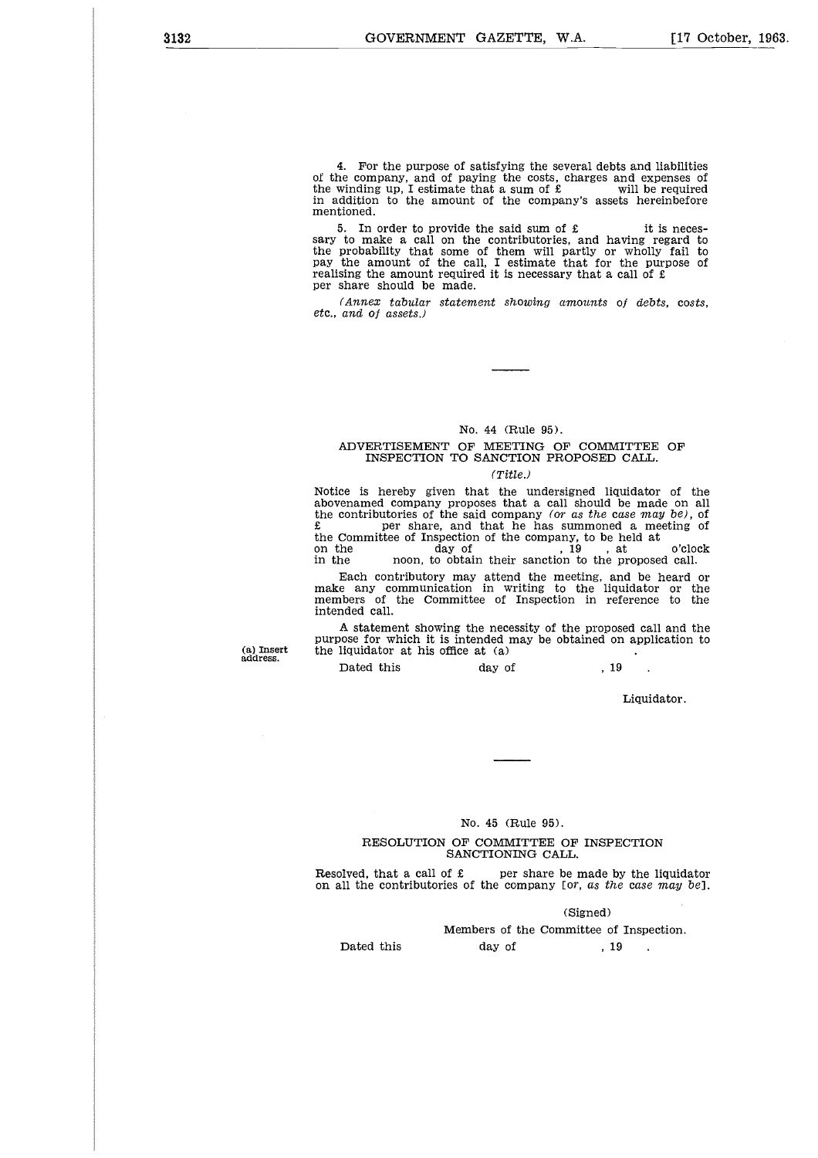4. For the purpose of satisfying the several debts and liabilities of the company, and of paying the costs, charges and expenses of the winding up, I estimate that a sum of  $\pounds$  will be required in addition to the amount of the company's assets hereinbefore mentioned. 4. For the purpose of satisfying the several debts and liabilities<br>he company, and of paying the costs, charges and expenses of<br>winding up, I estimate that a sum of £ will be required<br>didition to the amount of the company

sary to make a call on the contributories, and having regard to the probability that some of them will partly or wholly fail to pay the amount of the call, I estimate that for the purpose of realising the amount required it is necessary that a call of  $\mathfrak k$ per share should be made.

*(Annex tabular statement showing amounts of debts, costs, etc., and of assets.)*

#### No. 44 (Rule 95).

#### ADVERTISEMENT OF MEETING OF COMMITTEE OF INSPECTION TO SANCTION PROPOSED CALL.

#### *(Title.)*

Notice is hereby given that the undersigned liquidator of the abovenamed company proposes that a call should be made on all the contributories of the said company (or *as the case* may be), of per share, and that he has summoned a meeting of the Committee of Inspection of the company, to be held at No. 44 (Rule 95).<br>
MOVERTISEMENT OF MEETING OF COMMITTEE OF<br>
INSPECTION TO SANCTION PROPOSED CALL.<br>
(Title.)<br>
Notice is hereby given that the undersigned liquidator of the<br>
abovenamed company proposes that a call should b enamed company proposes that a call should be<br>contributories of the said company (or as the caper share, and that he has summoned<br>Committee of Inspection of the company, to be left<br>ne moon, to obtain their sanction to the

Each contributory may attend the meeting, and be heard or make any communication in writing to the liquidator or the members of the Committee of Inspection in reference to the intended call.

A statement showing the necessity of the proposed call and the purpose for which it is intended may be obtained on application to the liquidator at his office at (a)

**(a) Insert address.**

Liquidator.

#### No. 45 (Rule 95).

#### RESOLUTION OF COMMITTEE OF INSPECTION SANCTIONING CALL.

No. 45 (Rule 95).<br>
RESOLUTION OF COMMITTEE OF INSPECTION<br>
SANCTIONING CALL.<br>
Resolved, that a call of £ per share be made by the liquidator<br>
on all the contributories of the company [or, as the case may be].<br>
(Signed) Resolved, that a call of £ per share be made by the liquidator on all the contributories of the company [or, *as the case may be*]. 45 (Rule 95).<br>COMMITTEE OF INSPECTIC<br>TIONING CALL.<br>per share be made by the<br>the company [or, as the case<br>(Signed)<br>ers of the Committee of Insp.<br>day of , 19

(Signed)

Members of the Committee of Inspection.

Dated this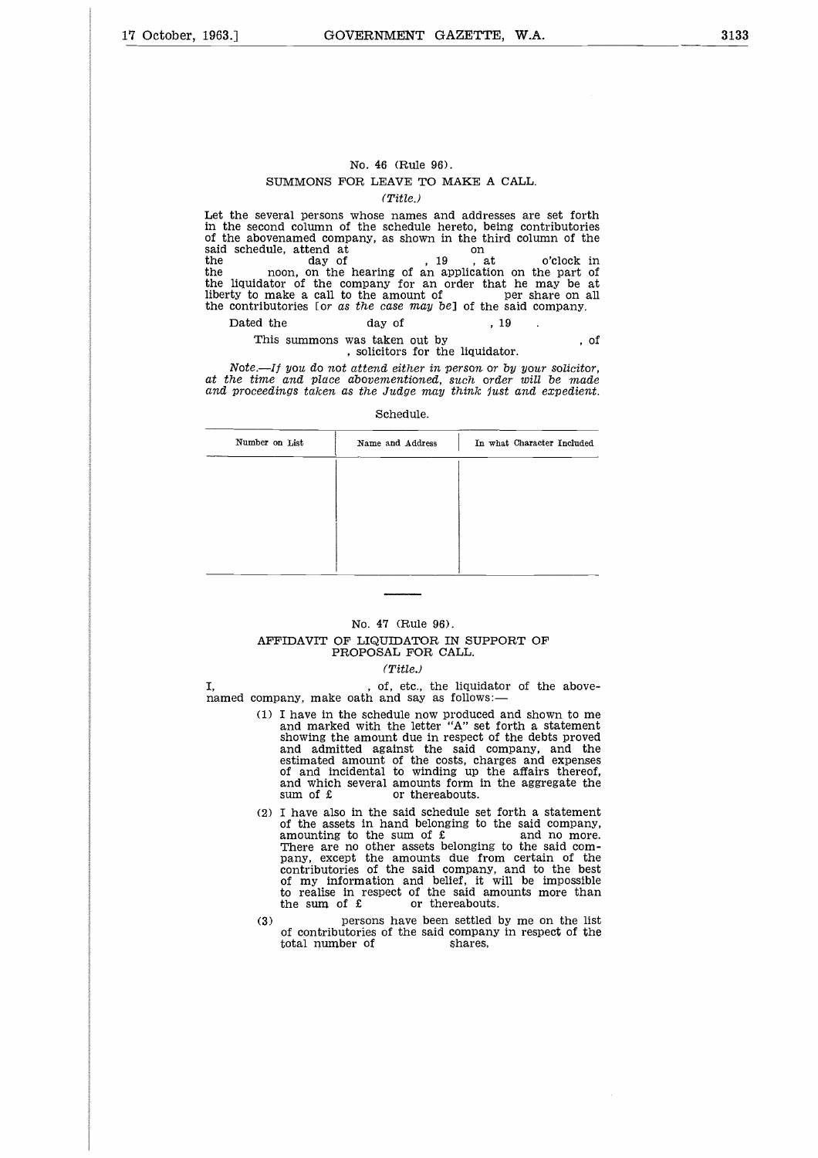#### No. 46 (Rule 96). SUMMONS FOR LEAVE TO MAKE A CALL.

*(Title.)*

Let the several persons whose names and addresses are set forth in the second column of the schedule hereto, being contributories of the abovenamed company, as shown in the third column of the No. 46 (Rule 96).<br>
SUMMONS FOR LEAVE TO MAKE<br>  $(Title.)$ <br>
Let the several persons whose names and add<br>
in the second column of the schedule hereto, of<br>
of the abovenamed company, as shown in the test<br>
said schedule, attend at<br> No. 46 (Rule 96).<br>
SUMMONS FOR LEAVE TO MAKE A CALL.<br>
(Title.)<br>
Let the several persons whose names and addresses are set forth<br>
in the second column of the schedule hereto, being contributories<br>
of the abovenaned company the liquidator of the company for an order that he may be at No. 46 (Rule 96).<br>
SUMMONS FOR LEAVE TO MAKE A CALL.<br>
(Title.)<br>
Let the several persons whose names and addresses are set forth<br>
in the second column of the schedule hereto, being contributories<br>
of the abovenamed company the contributories [or *as the case* may be] of the said company. No. 46 (Rule 96).<br>
SUMMONS FOR LEAVE TO MAKE A CALL.<br>
(*Title.)*<br>
the several persons whose names and addresses are<br>
ne second column of the schedule hereto, being con<br>
ne abovenamed company, as shown in the third colu<br>
s SUMMONS FOR LEAVE TO MAKE A CALL.<br>
(Title.)<br>
(Title.)<br>
several persons whose names and addresses are set forth<br>
second column of the schedule hereto, being contributories<br>
boovenamed company, as shown in the third column

# This summons was taken out by<br>, solicitors for the liquidator.

| Dated the      | day of                                                            | . 19                                                                                                                                                                                                  |      |
|----------------|-------------------------------------------------------------------|-------------------------------------------------------------------------------------------------------------------------------------------------------------------------------------------------------|------|
|                | This summons was taken out by<br>, solicitors for the liquidator. |                                                                                                                                                                                                       | - 01 |
|                | Schedule.                                                         | Note.—If you do not attend either in person or by your solicitor.<br>at the time and place abovementioned, such order will be made<br>and proceedings taken as the Judge may think just and expedient |      |
| Number on List | Name and Address                                                  | In what Character Included                                                                                                                                                                            |      |
|                |                                                                   |                                                                                                                                                                                                       |      |
|                |                                                                   |                                                                                                                                                                                                       |      |
|                |                                                                   |                                                                                                                                                                                                       |      |
|                |                                                                   |                                                                                                                                                                                                       |      |

#### No. 47 (Rule 96).

#### AFFIDAVIT OF LIQUIDATOR IN SUPPORT OF PROPOSAL FOR CALL.

#### *(Title.)*

of, etc., the liquidator of the above-I. named company, make oath and say as follows:

- (1) I have in the schedule now produced and shown to me and marked with the letter "A" set forth a statement showing the amount due in respect of the debts proved and admitted against the said company, and the estimated amount of the costs, charges and expenses of and incidental to winding up the affairs thereof, and which several amounts form in the aggregate the sum of  $\epsilon$  or thereabouts. No. 47 (Kule 96).<br>
TDAVIT OF LIQUIDATOR IN SU<br>
PROPOSAL FOR CALL.<br>
(Title.)<br>
, of, etc., the liquidany, make oath and say as follow<br>
I have in the schedule now produce and marked with the letter "A" showing the amount due
- (2) I have also in the said schedule set forth a statement of the assets in hand belonging to the said company, amounting to the sum of £ and no more. There are no other assets belonging to the said com-pany, except the amounts due from certain of the contributories of the said company, and to the best of my information and belief, it will be impossible to realise in respect of the said amounts more than showing the amount due in respect of<br>and admitted against the said co<br>estimated amount of the costs, char<br>of and incidental to winding up the<br>and which several amounts form in<br>sum of £ or thereabouts.<br>I have also in the s or and incluental to winding up<br>and which several amounts form in<br>sum of £ or thereabouts.<br>I have also in the said schedule set<br>of the assets in hand belonging to<br>amounting to the sum of £<br>There are no other assets belong
- (3) persons have been settled by me on the list of contributories of the said company in respect of the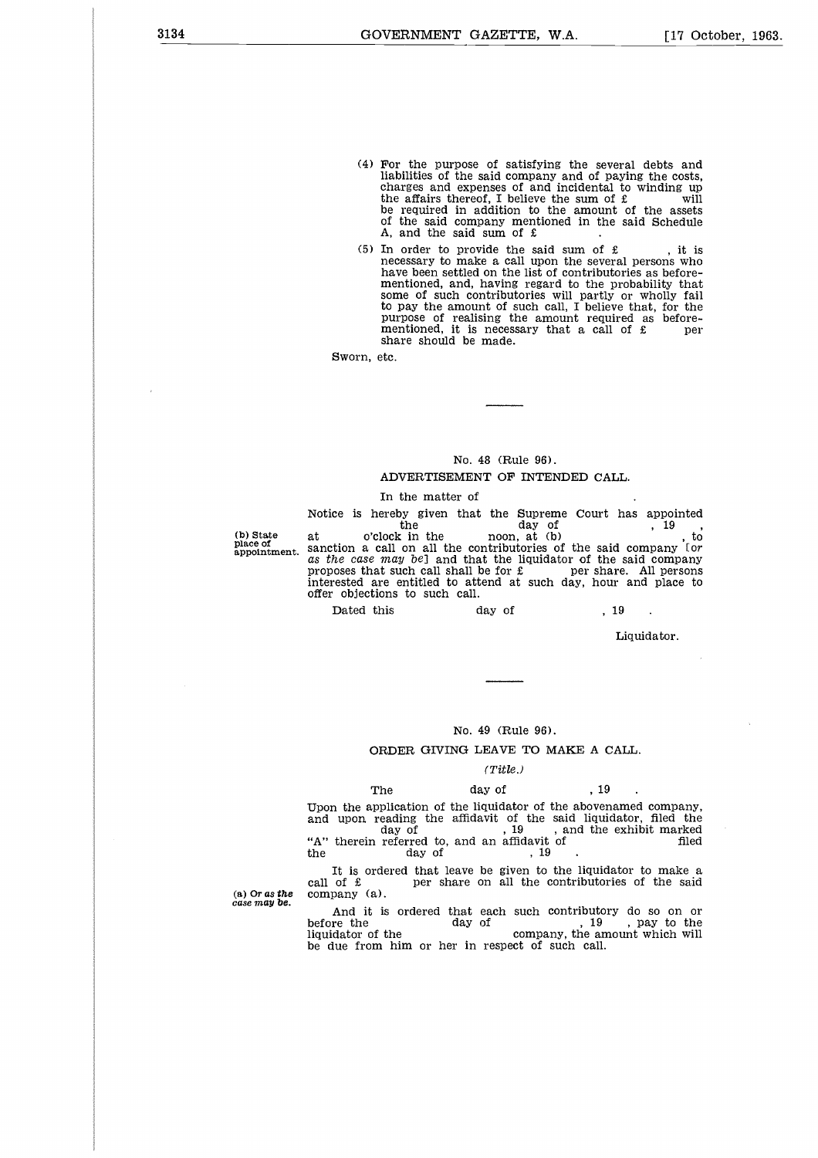- (4) For the purpose of satisfying the several debts and liabilities of the said company and of paying the costs, charges and expenses of and incidental to winding up the affairs thereof, I believe the sum of  $\mathbf f$  will be required in addition to the amount of the assets of the said company mentioned in the said Schedule A, and the said sum of £
- (5) In order to provide the said sum of  $\mathbf f$ , it is necessary to make a call upon the several persons who have been settled on the list of contributories as before-mentioned, and, having regard to the probability that some of such contributories will partly or wholly fail to pay the amount of such call, I believe that, for the purpose of realising the amount required as before-<br>mentioned, it is necessary that a call of £ per share should be made.

Sworn, etc.

#### No. 48 (Rule 96).

#### ADVERTISEMENT OF INTENDED CALL.

In the matter of

Notice is hereby given that the Supreme Court has appointed<br>the day of  $\begin{array}{c} 19 \\ 30 \\ 19 \\ 10 \end{array}$ , to No. 48 (Rule 96).<br>
WERTISEMENT OF INTENDED CALL.<br>
the matter of court has appointed and the Supreme Court has appointed and the company<br>
the company of the said company<br>
on all the contributories of the said company<br>  $y \text$ No. 48 (Rule 96).<br>
MOVERTISEMENT OF INTENDED CALL.<br>
In the matter of<br>
Notice is hereby given that the Supreme Court has appointed<br>
the day of the said of the sphere of anction a call on all the contributories of the said place of sanction a call on all the contributories of the said company for appointment. *as the case* may *be]* and that the liquidator of the said company proposes that such call shall be for  $\pounds$ interested are entitled to attend at such day, hour and place to offer objections to such call. No. 48 (Rule 96).<br>
ADVERTISEMENT OF INTENDED CALI<br>
In the matter of<br>
ce is hereby given that the Supreme Court h<br>
the day of<br>
o'clock in the noon, at (b)<br>
tion a call on all the contributories of the said<br>
the case may be

 $\ddot{\phantom{a}}$ 

Liquidator.

#### No. 49 (Rule 96).

#### ORDER GIVING LEAVE TO MAKE A CALL.

#### *(Title.)*

ORD<br>The<br>Upon the applic<br>and upon read<br>day day (Rule 96).<br>
LEAVE TO MAKE A C<br>
(Title.)<br>
day of , 19<br>
liquidator of the abover<br>
davit of the said liquid<br>
, 19, and the Upon the application of the liquidator of the abovenamed company, and upon reading the affidavit of the said liquidator, filed the No. 49 (Rule 96).<br>
ORDER GIVING LEAVE TO MAKE A CALL.<br>
(Title.)<br>
The day of , 19<br>
Upon the application of the liquidator of the said liquidator, filed the<br>
"A" therein referred to, and an affidavit of<br>
"A" therein referre No. 49 (Rule 96).<br>
ORDER GIVING LEAVE TO MAKE<br>
(Title.)<br>
The day of<br>
Upon the application of the liquidator of the a<br>
and upon reading the affidavit of the said<br>
day of<br>
"A" therein referred to, and an affidavit of<br>
the d No. 49 (Rule 96).<br>
ORDER GIVING LEAVE TO MAKE A CALL.<br>
(Title.)<br>
The day of , 19<br>
Upon the application of the liquidator of the abovenamed company<br>
and upon reading the affidavit of the said liquidator, filed the<br>
day of Figure 10 MALE A CALL (Title.)<br>
The day of , 19<br>
Upon the application of the liquidator of the abovenamed company,<br>
and upon reading the affidavit of the said liquidator, filed the<br>
day of , 19<br>
"A" therein referred to, a  $\begin{array}{lcl} & & (Title.) & & \\ & & \text{19} & . \\ \end{array}$  Upon the application of the liquidator of the abovenamed company, and upon reading the affidavit of the said liquidator, filed the day of the said iquidator, filed the day of the day of

It is ordered that leave be given to the liquidator to make a call of  $\hat{\epsilon}$  per share on all the contributories of the said (a) *Or as the* company (a).

*case may be.*

(b) State<br>place of<br>appointment.

And it is ordered that each such contributory do so on or before the day of  $\frac{19}{19}$ , pay to the liquidator of the company, the amount which will<br>be due from him or her in respect of such call.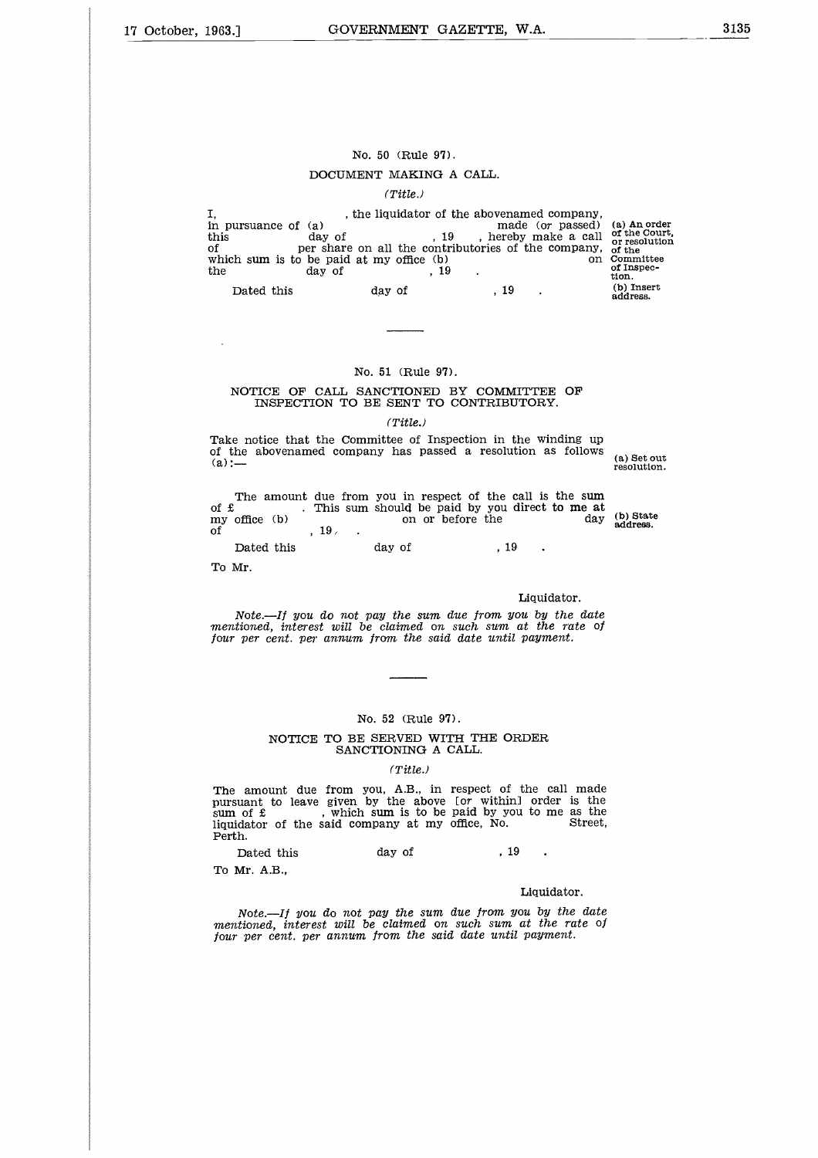#### No. 50 (Rule 97).

#### DOCUMENT MAKING A CALL.

#### *(Title.)*

|                                          | No. 50 (Rule 97).                                            |                                                                                                                    |                                                |                                                                                              |
|------------------------------------------|--------------------------------------------------------------|--------------------------------------------------------------------------------------------------------------------|------------------------------------------------|----------------------------------------------------------------------------------------------|
|                                          | DOCUMENT MAKING A CALL.                                      |                                                                                                                    |                                                |                                                                                              |
|                                          | (Title.)                                                     |                                                                                                                    |                                                |                                                                                              |
| in pursuance of (a)<br>this<br>of<br>the | day of<br>which sum is to be paid at my office (b)<br>day of | , the liquidator of the abovenamed company,<br>. 19<br>per share on all the contributories of the company,<br>. 19 | made (or passed)<br>, hereby make a call<br>on | (a) An order<br>of the Court,<br>or resolution<br>of the<br>Committee<br>of Inspec-<br>tion. |
| Dated this                               | day of                                                       | . 19                                                                                                               |                                                | (b) Insert<br>address.                                                                       |
|                                          |                                                              |                                                                                                                    |                                                |                                                                                              |

#### No. 51 (Rule 97).

#### NOTICE OF CALL SANCTIONED BY COMMITTEE OF INSPECTION TO BE SENT TO CONTRIBUTORY.

#### *(Title.)*

(a) Set out resolution.

| No. 51 (Rule 97).                                                                                                                                                                      |                              |
|----------------------------------------------------------------------------------------------------------------------------------------------------------------------------------------|------------------------------|
| NOTICE OF CALL SANCTIONED BY COMMITTEE<br>INSPECTION TO BE SENT TO CONTRIBUTORY.                                                                                                       | OF                           |
| (Title.)                                                                                                                                                                               |                              |
| Take notice that the Committee of Inspection in the winding up<br>of the abovenamed company has passed a resolution as follows<br>$(a) :=$                                             | (a) Set ot<br>resolution     |
| The amount due from you in respect of the call is the sum<br>. This sum should be paid by you direct to me at<br>of $\mathbf f$<br>on or before the<br>$my$ office $(b)$<br>.19.<br>Ωf | (b) State<br>day<br>address. |
| Dated this<br>day of<br>. 19                                                                                                                                                           |                              |
| To Mr.                                                                                                                                                                                 |                              |
|                                                                                                                                                                                        |                              |

#### Liquidator.

*Note.—If* you *do not* pay *the sum due from* you by *the date mentioned, interest will be claimed on such sum at the rate of four per cent. per annum from the said date until payment.*

#### No. 52 (Rule 97).

#### NOTICE TO BE SERVED WITH THE ORDER SANCTIONING A CALL.

#### *(Title.)*

The amount due from you, A.B., in pursuant to leave given by the above sum of £ , which sum is to be liquidator of the said company at my Perth. respect of the call made [or within] order is the paid by you to me as the of<br>
The CRDER<br>
CALL.<br>
The CALL.<br>
The CALL CONTER STREET AND THE Paid by you to me as the<br>
paid by you to me as the<br>
Street,<br>
5treet,<br>
5treet,<br>
5treet,<br>
5treet, No. 52 (Rule 97).<br>
NOTICE TO BE SERVED WITH THE OR<br>
SANCTIONING A CALL.<br>
(Title.)<br>
amount due from you, A.B., in respect of<br>
unant to leave given by the above for within<br>
of £ , which sum is to be paid by you<br>
dator of the

To Mr. A.B.,

#### Liquidator.

*Note.—If you do not* pay *the sum due from you* by *the date mentioned, interest will be claimed on such sum at the rate of four per cent. per annum from the said date until payment.*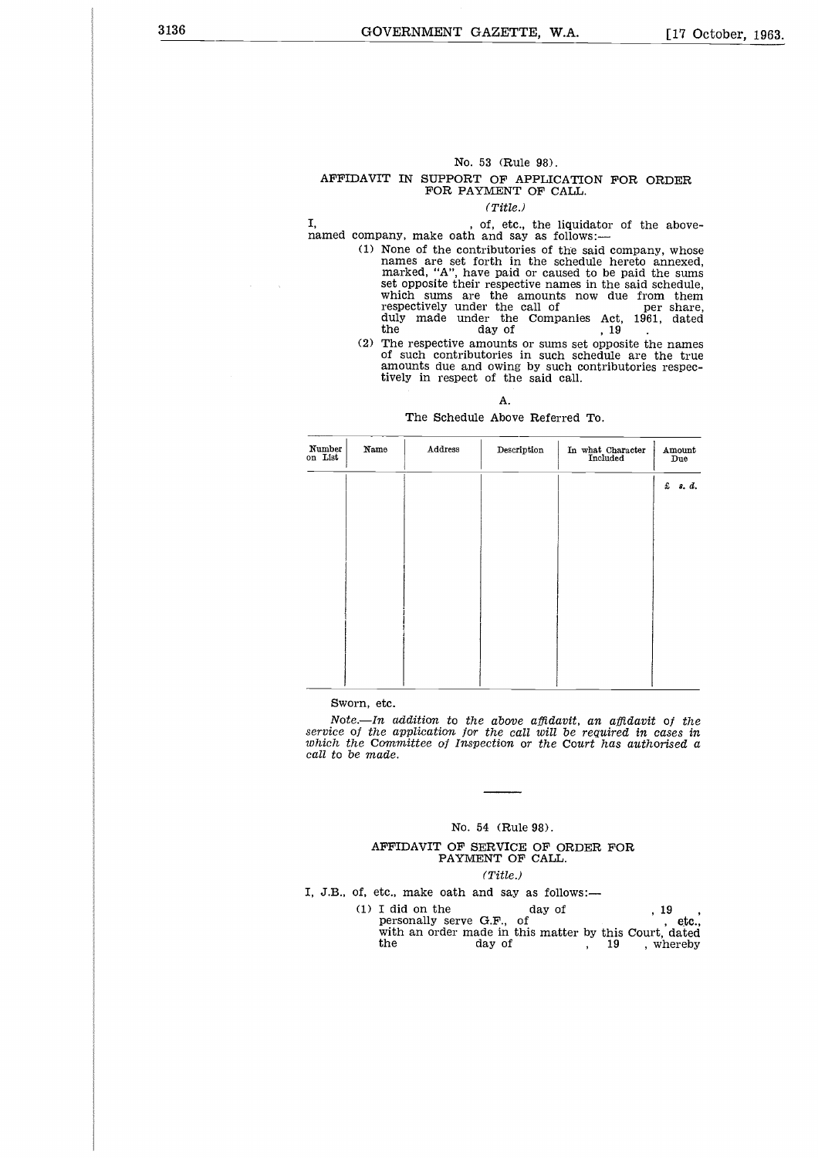#### No. 53 (Rule 98). AFFIDAVIT IN SUPPORT OF APPLICATION FOR ORDER FOR PAYMENT OF CALL.

#### *(Title.)*

I, **n**, of, etc., the liquidator of the above-<br>named company, make oath and say as follows:— I,

- (1) None of the contributories of the said company, whose names are set forth in the schedule hereto annexed, marked, "A", have paid or caused to be paid the sums set opposite their respective names in the said schedule, which sums are the amounts now due from them<br>respectively under the call of per share,<br>duly made under the Companies Act, 1961, dated No. 53 (Rule 98).<br>
T IN SUPPORT OF APPLICATION F(FOR PAYMENT OF CALL.<br>
(Title.)<br>
(Title.)<br>
(Title.)<br>
(Title.)<br>
(Title.)<br>
(Title.)<br>
(Title.)<br>
(Title.)<br>
(Title.)<br>
(Title.)<br>
(Title.)<br>
None of the contributories of the said c the day of  $(2)$  The respective amounts or sums set opposite the names
- of such contributories in such schedule are the true amounts due and owing by such contributories respectively in respect of the said call.

#### A.

#### The Schedule Above Referred To.

| Number<br>on List | Name | Address | Description | In what Character<br>Included | Amount<br>Due |
|-------------------|------|---------|-------------|-------------------------------|---------------|
|                   |      |         |             |                               | f. s. d.      |
|                   |      |         |             |                               |               |
|                   |      |         |             |                               |               |
|                   |      |         |             |                               |               |
|                   |      |         |             |                               |               |
|                   |      |         |             |                               |               |
|                   |      |         |             |                               |               |
|                   |      |         |             |                               |               |
|                   |      |         |             |                               |               |

Sworn, etc.

*Note. In addition to the above affidavit, an. affidavit of the service of the application for the call will be required in. cases in which the Committee of Inspection or the Court has authorised a call to be made.*

#### No. 54 (Rule 98).

#### AFFIDAVIT OF SERVICE OF ORDER FOR PAYMENT OF CALL.

#### *(Title.)*

- I, J.B., of, etc., make oath and say as follows:
- (a) Committee of Inspection or the Court has authoris<br>
2) made.<br>
No. 54 (Rule 98).<br>
Mo. 54 (Rule 98).<br>
AFFIDAVIT OF SERVICE OF ORDER FOR<br>
PAYMENT OF CALL.<br>
(Title.)<br>
(Title.)<br>
(Title.)<br>
(1) I did on the day of the personal nde.<br>
No. 54 (Rule 98).<br>
PETDAVIT OF SERVICE OF ORDER FOR<br>
PAYMENT OF CALL.<br>
(Title.)<br>
tc., make oath and say as follows:—<br>
I did on the day of the personally serve G.F., of the day of the dec.,<br>
with an order made in this with an order made in this matter by this Court, dated No. 54 (Rule 98).<br>
FFIDAVIT OF SERVICE OF ORDER FOR<br>
PAYMENT OF CALL.<br>
(Title.)<br>
tc., make oath and say as follows:—<br>
I did on the day of , 19, etc.,<br>
with an order made in this matter by this Court, dated<br>
the day of , 19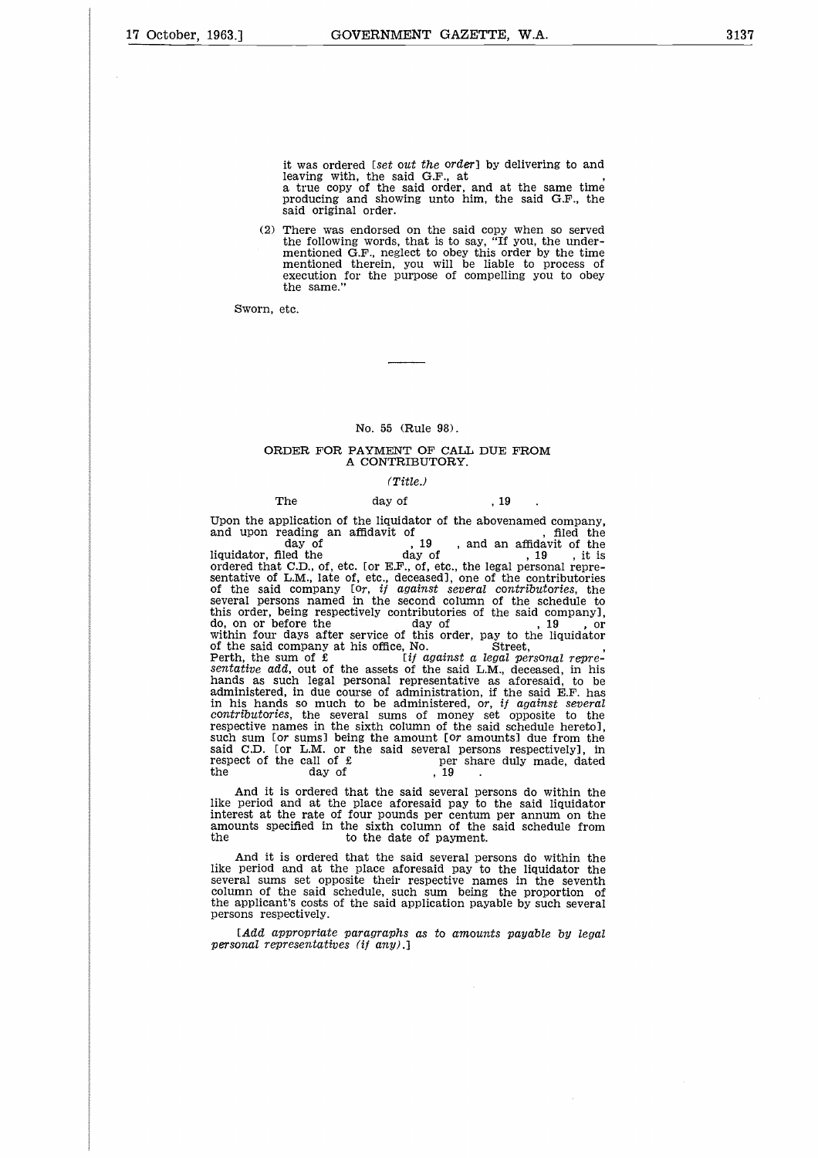it was ordered *[set* out *the* order] by delivering to and leaving with, the said G.F., at a true copy of the said order, and at the same time producing and showing unto him, the said G.F., the said original order.

(2) There was endorsed on the said copy when so served the following words, that is to say, "If you, the undermentioned G.F., neglect to obey this order by the time mentioned therein, you will be liable to process of execution for the purpose of compelling you to obey the same."

Sworn, etc.

No. 55 (Rule 98).

#### ORDER FOR PAYMENT OF CALL DUE FROM A CONTRIBUTORY.

#### *(Title.)*

No. 55 (Rule 98).<br>
RDER FOR PAYMENT OF CALL DUE<br>
A CONTRIBUTORY.<br>
(Title.)<br>
The day of , 19<br>
pplication of the liquidator of the abover<br>
reading an affidavit of day of , 19 , and an Upon the application of the liquidator of the abovenamed company, and upon reading an affidavit of  $\frac{19}{19}$ , and an affidavit of the liquidator, filed the  $\frac{19}{19}$ , it is No. 55 (Rule 98).<br>
ORDER FOR PAYMENT OF CALL DUE FROM<br>
A CONTRIBUTORY.<br>
(Title.)<br>
The day of , 19<br>
Upon the application of the liquidator of the abovenamed company,<br>
and upon reading an affidavit of<br>
day of , 19 , and an No. 55 (Rule 98).<br>
DER FOR PAYMENT OF CALL DUE FROM<br>
A CONTRIBUTORY.<br>
(Title.)<br>
the day of , 19<br>
olication of the liquidator of the abovenamed company,<br>
aading an affidavit of the abovenamed company,<br>
aading an affidavit day of , 19 , and an affidavit of the<br>liquidator, filed the day of , 19 , it is<br>ordered that C.D., of, etc. [or E.F., of, etc., the legal personal representative of L.M., late of, etc., deceased], one of the contributories of the said company [or, *if against several contributories,* the several persons named in the second column of the schedule to this order, being respectively contributories of the said company], don the application of the interact of the assets of the set of the set of the set of the set of the set of the set of the set of the set of the set of the said company and incure the said company for, if against several within four days after service of this order, pay to the liquidator (Title.)<br>
The day of , 19<br>
Upon the application of the liquidator of the abovenan<br>
and upon reading an affidavit of<br>
day of<br>
iquidator, filed the day of<br>
ordered that C.D., of, etc. for E.F., of, etc., the legal pe<br>
senta of the said company at ms omce, No.<br>Perth, the sum of £ *[if against a legal personal repre-*<br>*sentative add*, out of the assets of the said L.M., deceased, in his hands as such legal personal representative as aforesaid, to be administered, in due course of administration, if the said E.F. has in his hands so much to be administered, *or, if against several contributories,* the several sums of money set opposite to the respective names in the sixth column of the said schedule hereto], such sum [or sums] being the amount *[or* amounts] due from the said C.D. [or L.M. or the said several persons respectively], in of the Sald company  $1 or, y$  against several persons named in the second column of the schedule to<br>this order, being respectively contributories of the said company],<br>do, on or before the day of the side company at his offi several persons named in the second column<br>this order, being respectively contributories of<br>do, on or before the day of<br>within four days after service of this order, is<br>of the said company at his office, No.<br>Perth, the su sentative add, out of the assets of the said L.<br>hands as such legal personal representative<br>administered, in due course of administration,<br>in his hands so much to be administered, or<br>contributories, the several sums of mo

And it is ordered that the said several persons do within the like period and at the place aforesaid pay to the said liquidator interest at the rate of four pounds per centum per annum on the amounts specified in the sixth column of the said schedule from

And it is ordered that the said several persons do within the like period and at the place aforesaid pay to the liquidator the several sums set opposite their respective names in the seventh column of the said schedule, such sum being the proportion of the applicant's costs of the said application payable by such several persons respectively.

*[Add appropriate paragraphs as to amounts payable* by *legal personal representatives (if* any).]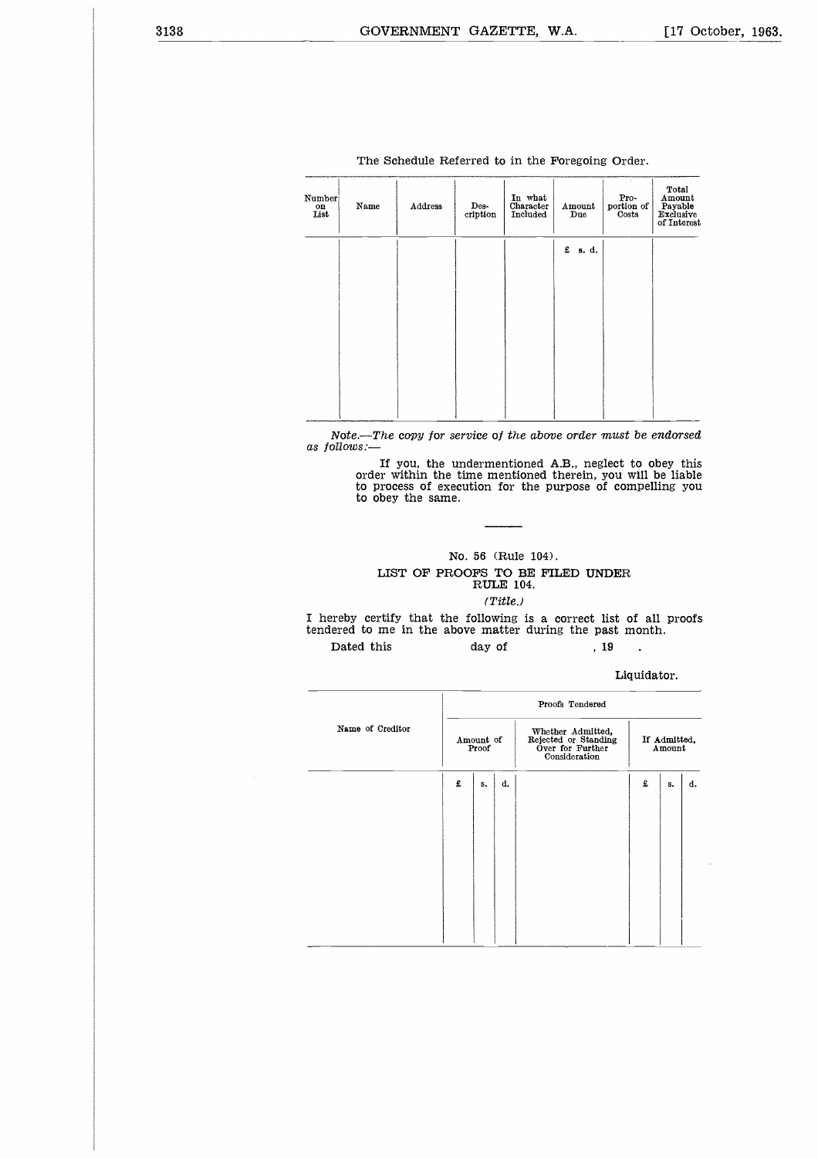| Number<br>on<br>List | Name | Address | Des-<br>cription | In what<br>Character<br>Included | Amount<br>Due | $\begin{array}{c}\textbf{Pro-} \\ \textbf{portion of} \\ \textbf{Costs}\end{array}$ | Total<br>Amount<br>Payable<br>Exclusive<br>of Interest |
|----------------------|------|---------|------------------|----------------------------------|---------------|-------------------------------------------------------------------------------------|--------------------------------------------------------|
|                      |      |         |                  |                                  | £<br>s. d.    |                                                                                     |                                                        |
|                      |      |         |                  |                                  |               |                                                                                     |                                                        |
|                      |      |         |                  |                                  |               |                                                                                     |                                                        |
|                      |      |         |                  |                                  |               |                                                                                     |                                                        |
|                      |      |         |                  |                                  |               |                                                                                     |                                                        |
|                      |      |         |                  |                                  |               |                                                                                     |                                                        |
|                      |      |         |                  |                                  |               |                                                                                     |                                                        |

The Schedule Referred to in the Foregoing Order.

*Note.—The* copy *for service of the above order must be endorsed as follows:*

> *If* you, the undermentioned A.B., neglect to obey this order within the time mentioned therein, you will be liable to process of execution for the purpose of compelling you to obey the same.

# No. 56 (Rule 104). LIST OF PROOFS TO BE FILED UNDER RULE 104. *(Title.)* order within the time mentioned therein, you will<br>to process of execution for the purpose of comp<br>to obey the same.<br>No. 56 (Rule 104).<br>No. 56 (Rule 104).<br>THE 104.<br>Tritle.)<br>The process of execution of the purpose of comp<br>RU

I hereby certify that the following is a correct list of all proofs tendered to me in the above matter during the past month.

#### Liquidator.

|                  |   | Proofs Tendered    |    |                                                                                |                        |    |    |  |  |  |
|------------------|---|--------------------|----|--------------------------------------------------------------------------------|------------------------|----|----|--|--|--|
| Name of Creditor |   | Amount of<br>Proof |    | Whether Admitted,<br>Rejected or Standing<br>Over for Further<br>Consideration | If Admitted,<br>Amount |    |    |  |  |  |
|                  | £ | s.                 | d. |                                                                                | £                      | s. | d. |  |  |  |
|                  |   |                    |    |                                                                                |                        |    |    |  |  |  |
|                  |   |                    |    |                                                                                |                        |    |    |  |  |  |
|                  |   |                    |    |                                                                                |                        |    |    |  |  |  |
|                  |   |                    |    |                                                                                |                        |    |    |  |  |  |
|                  |   |                    |    |                                                                                |                        |    |    |  |  |  |
|                  |   |                    |    |                                                                                |                        |    |    |  |  |  |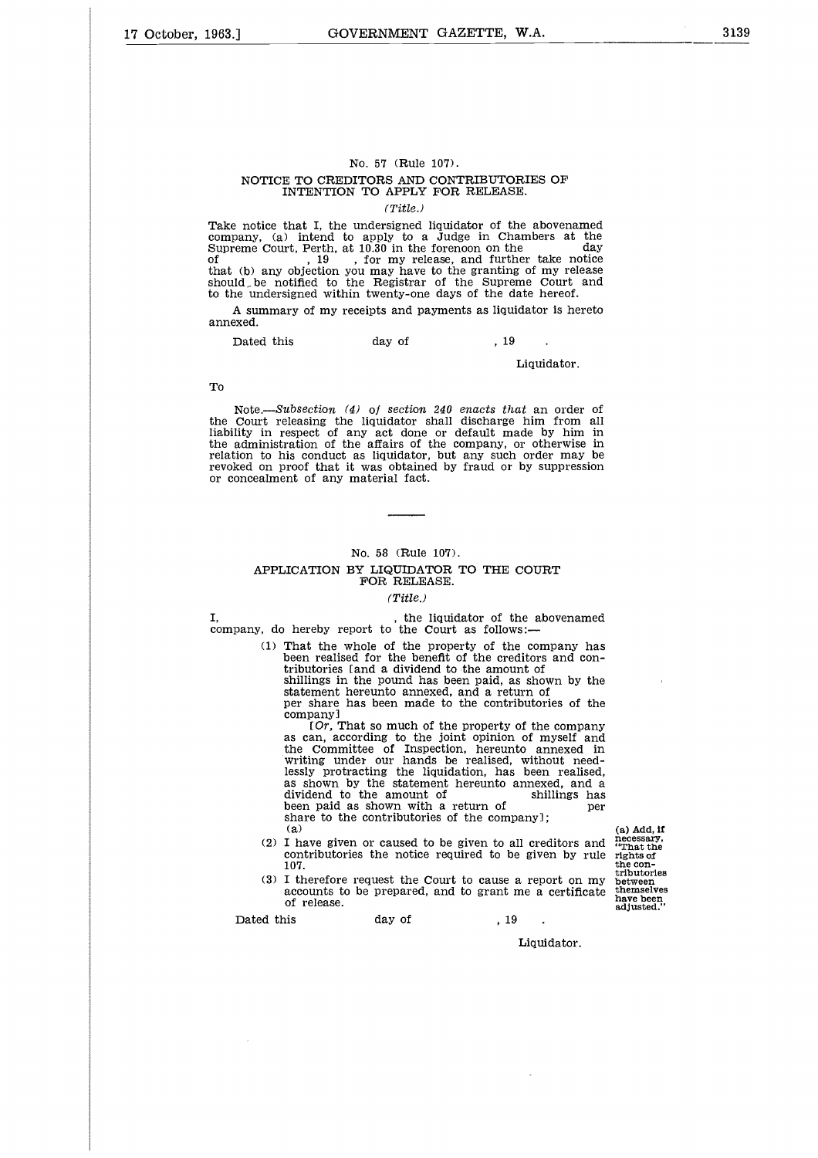## No. 57 (Rule 107). NOTICE TO CREDITORS AND CONTRIBUTORIES OF INTENTION TO APPLY FOR RELEASE.

*(Title.)*

Take notice that I, the undersigned liquidator of the abovenamed company, (a) intend to apply to a Judge in Chambers at the No. 57 (Rule 107).<br>
NOTICE TO CREDITORS AND CONTRIBUTORIES OF<br>
INTENTION TO APPLY FOR RELEASE.<br>
(Title.)<br>
Take notice that I, the undersigned liquidator of the abovenamed<br>
company, (a) intend to apply to a Judge in Chamber  $\frac{d}{dt}$  ,  $\frac{d}{dt}$  ,  $\frac{d}{dt}$  ,  $\frac{d}{dt}$  ,  $\frac{d}{dt}$  , for my release, and further take notice that (b) any objection you may have to the granting of my release should\_ be notified to the Registrar of the Supreme Court and to the undersigned within twenty-one days of the date hereof. NOTICE TO CREDITORS AND CONTRIBUTORIES<br>
INTENTION TO APPLY FOR RELEASE.<br>
(Title.)<br>
anotice that I, the undersigned liquidator of the abouny, (a) intend to apply to a Judge in Chamber<br>
eme Court, Perth, at 10.30 in the for

A summary of my receipts and payments as liquidator is hereto annexed.

#### Liquidator.

#### To

*Note.---Subsection. (4) of section 240 enacts that* an order of the Court releasing the liquidator shall discharge him from all liability in respect of any act done or default made by him in the administration of the affairs of the company, or otherwise in relation to his conduct as liquidator, but any such order may be revoked on proof that it was obtained by fraud or by suppression or concealment of any material fact.

#### No. 58 (Rule 107).

#### APPLICATION BY LIQUIDATOR TO THE COURT FOR RELEASE.

#### *(Title.)*

I, the liquidator of the abovenamed<br>company, do hereby report to the Court as follows:—

(1) That the whole of the property of the company has been realised for the benefit of the creditors and contributories [and a dividend to the amount of

shillings in the pound has been paid, as shown by the statement hereunto annexed, and a return of per share has been made to the contributories of the

company]

[Or, That so much of the property of the company as can, according to the joint opinion of myself and the Committee of Inspection, hereunto annexed in writing under our hands be realised, without needlessly protracting the liquidation, has been realised, as shown by the statement hereunto annexed, and a hereby report to the Court as follows:—<br>That the whole of the property of the company has<br>been realised for the benefit of the creditors and con-<br>tributories [and a dividend to the amount of<br>shillings in the pound has bee That the whole of the property of the company has<br>been realised for the benefit of the creditors and con-<br>tributories [and a dividend to the amount of<br>shillings in the pound has been paid, as shown by the<br>statement hereun been paid as shown with a return of<br>share to the contributories of the company]; been realised for the benefit of the creations and con-<br>eributories fand a dividend to the amount of<br>hillings in the pound has been paid, as shown by the<br>tatement hereunto annexed, and a return of<br>company] [Or, That so muc Solution increasing the company and the contributories of the company  $[Or, That so much of the property of the company 1  
as can, according to the joint opinion of myself and the Iomitted of Inspection, hereunto annexed in writing under our hands be realised, without needlessly protracting the liquidation, has been realised, as shown by the statement hereunto annexed, and a shillings has been paid as shown with a return of share to the contributions of the company 1;  
(a) Add, Model of the amount of the amount of the number of the other in the context of the other. The effect of the other in the context of the other elements of the current is the constant. If the context of the current is the$ as can, acc<br>the Comm<br>writing un<br>lessly proting und<br>lessly proting the dividend to<br>dividend to the pive<br>contributor<br>I I herefore<br>accounts to<br>of release.<br>is the Committee of Inspection, hereunto are writing under our hands be realised, with lessly protracting the liquidation, has been as shown by the statement hereunto annex dividend to the amount of been paid as shown with a

- (a) (a)<br>(2) I have given or caused to be given to all creditors and **necessary**,<br>matthe contributories the notice required to be given by rule 107.
- (3) I therefore request the Court to cause a report on my accounts to be prepared, and to grant me a certificate of release.

necessary,<br>"That the<br>rights of **tributories between have been adjusted."**

Liquidator.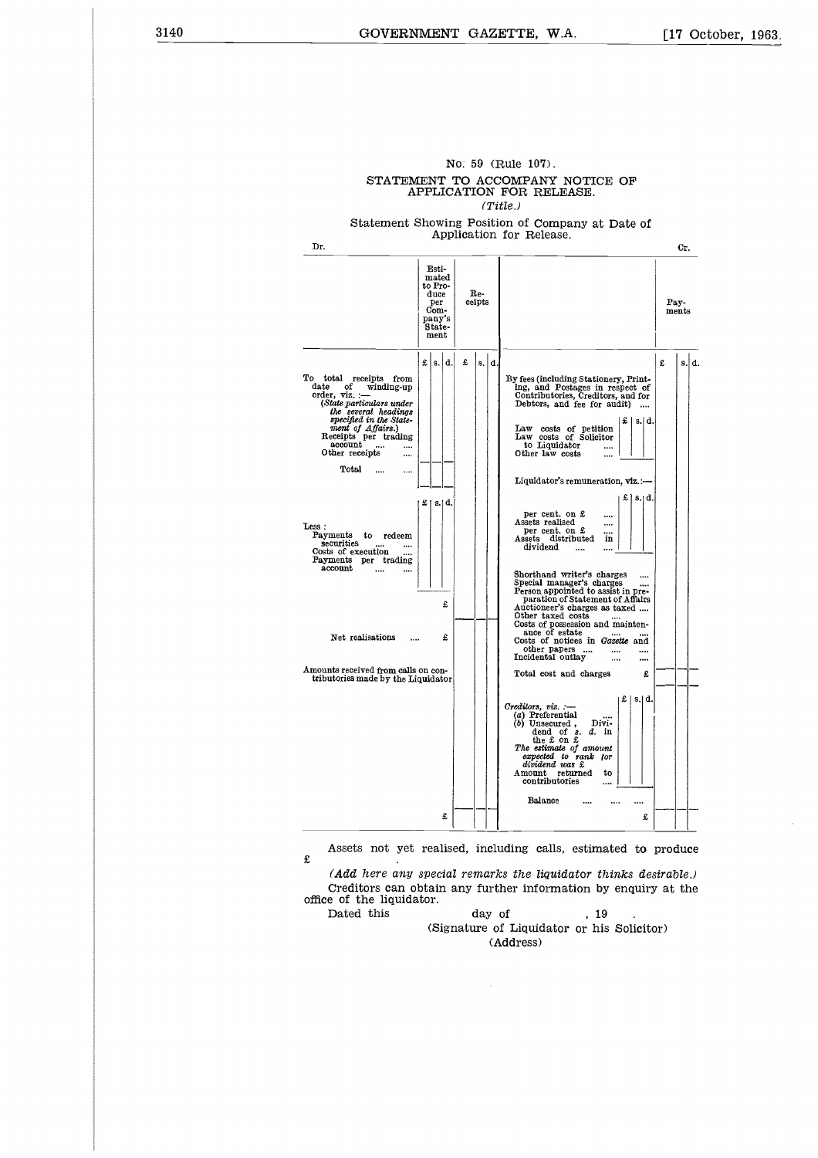| UIAIL.                                                                                                                                                                                                                                                                                                                                                                                                                                                                                               | .                                                                            |               | TO UCCOME UNI<br>NOTIOF OL<br>APPLICATION FOR RELEASE.<br>(Title.)                                                                                                                                                                                                                                                                                                                                                                                                                                                                                                                                                                                                                                                                                                                                                                                                                                                                                                                                                                                                                                                                                      |
|------------------------------------------------------------------------------------------------------------------------------------------------------------------------------------------------------------------------------------------------------------------------------------------------------------------------------------------------------------------------------------------------------------------------------------------------------------------------------------------------------|------------------------------------------------------------------------------|---------------|---------------------------------------------------------------------------------------------------------------------------------------------------------------------------------------------------------------------------------------------------------------------------------------------------------------------------------------------------------------------------------------------------------------------------------------------------------------------------------------------------------------------------------------------------------------------------------------------------------------------------------------------------------------------------------------------------------------------------------------------------------------------------------------------------------------------------------------------------------------------------------------------------------------------------------------------------------------------------------------------------------------------------------------------------------------------------------------------------------------------------------------------------------|
|                                                                                                                                                                                                                                                                                                                                                                                                                                                                                                      |                                                                              |               | Statement Showing Position of Company at Date of                                                                                                                                                                                                                                                                                                                                                                                                                                                                                                                                                                                                                                                                                                                                                                                                                                                                                                                                                                                                                                                                                                        |
| Dr.                                                                                                                                                                                                                                                                                                                                                                                                                                                                                                  |                                                                              |               | Application for Release.<br>Cr.                                                                                                                                                                                                                                                                                                                                                                                                                                                                                                                                                                                                                                                                                                                                                                                                                                                                                                                                                                                                                                                                                                                         |
|                                                                                                                                                                                                                                                                                                                                                                                                                                                                                                      | Esti-<br>mated<br>to Pro-<br>duce<br>per<br>Com-<br>pany's<br>State-<br>ment | Re-<br>ceipts | Pay-<br>ments                                                                                                                                                                                                                                                                                                                                                                                                                                                                                                                                                                                                                                                                                                                                                                                                                                                                                                                                                                                                                                                                                                                                           |
| To total receipts from<br>of<br>date<br>winding-up<br>order, viz. :<br>(State particulars under<br>the several headings<br>specified in the State-<br>ment of Affairs.)<br>Receipts per trading<br>account<br>Other receipts<br><br>Total<br><br><br>Less:<br>Payments<br>$_{\rm{redeem}}$<br>to<br>securities<br>$\cdots$<br>Costs of execution<br><br>Payments per trading<br>account<br>$\cdots$<br>Net realisations<br>Amounts received from calls on con-<br>tributories made by the Liquidator | £ s. d.<br>£   s.  d. <br>£<br>£                                             | £<br>s.  d.   | £<br>s.ld.<br>By fees (including Stationery, Print-<br>ing, and Postages in respect of<br>Contributories, Creditors, and for<br>Debtors, and fee for audit)<br>$\pm$   s.  d.<br>Law costs of petition<br>Law costs of Solicitor<br>to Liquidator<br>Other law costs<br>Liquidator's remuneration, viz.:-<br>£   s.⊺d. <br>per cent. on £<br>$\cdots$<br>Assets realised<br>$\cdots$<br>per cent. on £<br>$\cdots$<br>Assets distributed<br>in<br>dividend<br>$\cdots$<br>$\cdots$<br>Shorthand writer's charges<br>Special manager's charges<br>Person appointed to assist in pre-<br>paration of Statement of Affairs<br>Auctioneer's charges as taxed<br>Other taxed costs<br>Costs of possession and mainten-<br>ance of estate<br>$\cdots$<br>Costs of notices in Gazette and<br>other papers<br><br>$\cdots$<br>Incidental outlay<br>$\cdots$<br><br>Total cost and charges<br>£<br>$\pounds$   s.   d.<br>Creditors, viz. :–<br>(a) Preferential<br>(b) Unsecured,<br>Divi-<br>dend of $s. d.$ in<br>the £ on £<br>The estimate of amount<br>expected to rank for<br>dividend was £<br>Amount<br>returned<br>to<br>contributories<br><br>Balance |
|                                                                                                                                                                                                                                                                                                                                                                                                                                                                                                      | £                                                                            |               | £                                                                                                                                                                                                                                                                                                                                                                                                                                                                                                                                                                                                                                                                                                                                                                                                                                                                                                                                                                                                                                                                                                                                                       |
| £<br>office of the liquidator.<br>Dated this                                                                                                                                                                                                                                                                                                                                                                                                                                                         |                                                                              | day of        | Assets not yet realised, including calls, estimated to produce<br>(Add here any special remarks the liquidator thinks desirable.)<br>Creditors can obtain any further information by enquiry at the<br>. 19<br>(Signature of Liquidator or his Solicitor)<br>(Address)                                                                                                                                                                                                                                                                                                                                                                                                                                                                                                                                                                                                                                                                                                                                                                                                                                                                                  |

# No. 59 (Rule 107). STATEMENT TO ACCOMPANY NOTICE OF

 $\bar{\bar{z}}$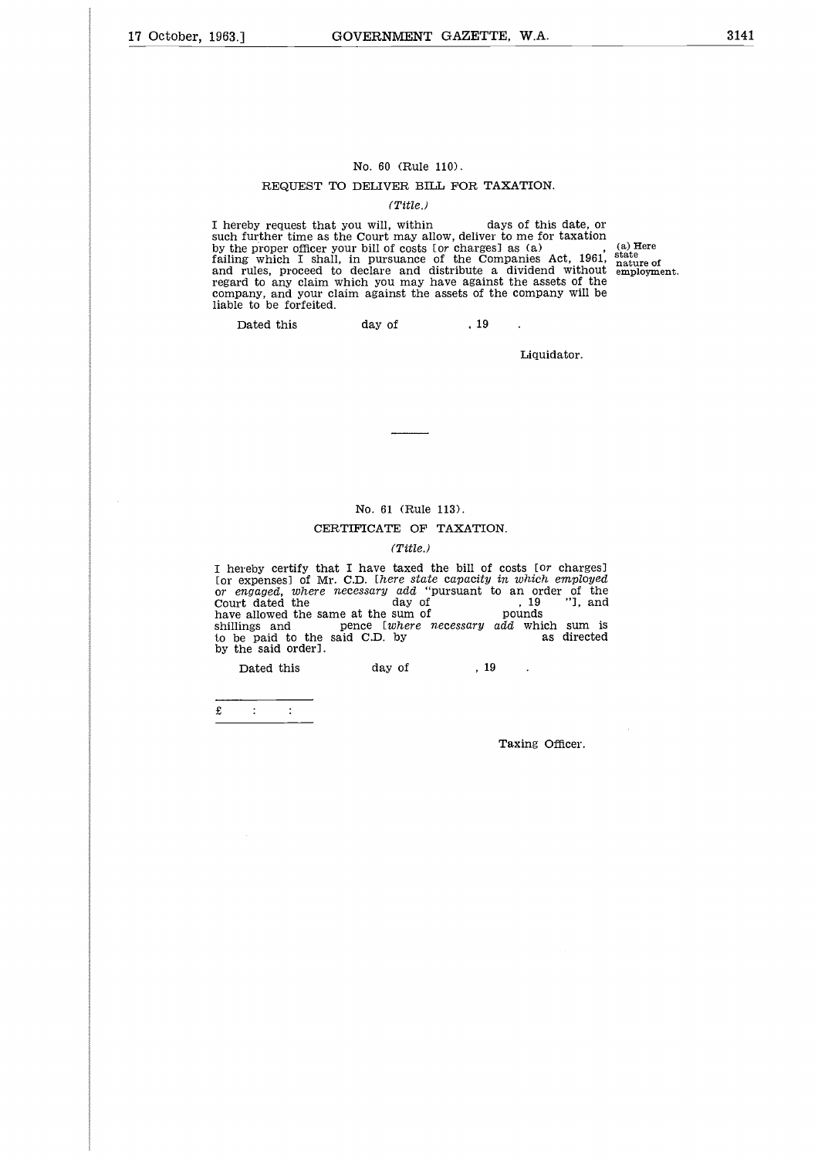### No. 60 (Rule 110).

#### REQUEST TO DELIVER BILL FOR TAXATION.

#### *(Title.)*

No. 60 (Rule 110).<br>
REQUEST TO DELIVER BILL FOR TAXATION.<br>
(Title.)<br>
I hereby request that you will, within days of this date, or<br>
such further time as the Court may allow, deliver to me for taxation<br>
by the proper officer such further time as the Court may allow, deliver to me for taxation by the proper officer your bill of costs [or charges] as (a) failing which I shall, in pursuance of the Companies Act, 1961, and rules, proceed to declare and distribute a dividend without regard to any claim which you may have against the assets of the company, and your claim against the assets of the company will be liable to be forfeited. (a) Here state nature of employment. No. 60 (Rule 110).<br>
REQUEST TO DELIVER BILL FOR T<br>
(*Title.)*<br>
reby request that you will, within<br>
further time as the Court may allow, delive<br>
ne proper officer your bill of costs for charge<br>
rules, proceed to declare an

 $\ddot{\phantom{a}}$ 

Liquidator.

No. 61 (Rule 113).

#### CERTIFICATE OF TAXATION.

#### *(Title.)*

I hereby certify that I have taxed the bill of costs [or charges] [or expenses] of Mr. C.D. *[here state capacity in which employed or engaged, where necessary add* "pursuant to an order of the No. 61 (Rule 113).<br>
CERTIFICATE OF TAXATION.<br>
(Title.)<br>
I hereby certify that I have taxed the bill of costs for charges]<br>
for expenses] of Mr. C.D. [here state capacity in which employed<br>
court dated the day of (19 )<br>
cou nployed<br>of the<br>"], and No. 61 (Rule 113).<br>
(Title..)<br>
(Title...)<br>
(Title...)<br>
I hereby certify that I have taxed the bill of costs for charges<br>
for expenses] of Mr. C.D. *there state capacity in which employed*<br>
or *engaged*, *where necessary ad* by the said order]. No. 61 (Rule 113).<br>
CERTIFICATE OF TAXATIO<br>
(Title.)<br>
reby certify that I have taxed the bill of<br>
expenses] of Mr. C.D. *lhere state capacity*<br>
magaged, where necessary add "pursuant the day of<br>
i allowed the same at the s

£

Taxing Officer.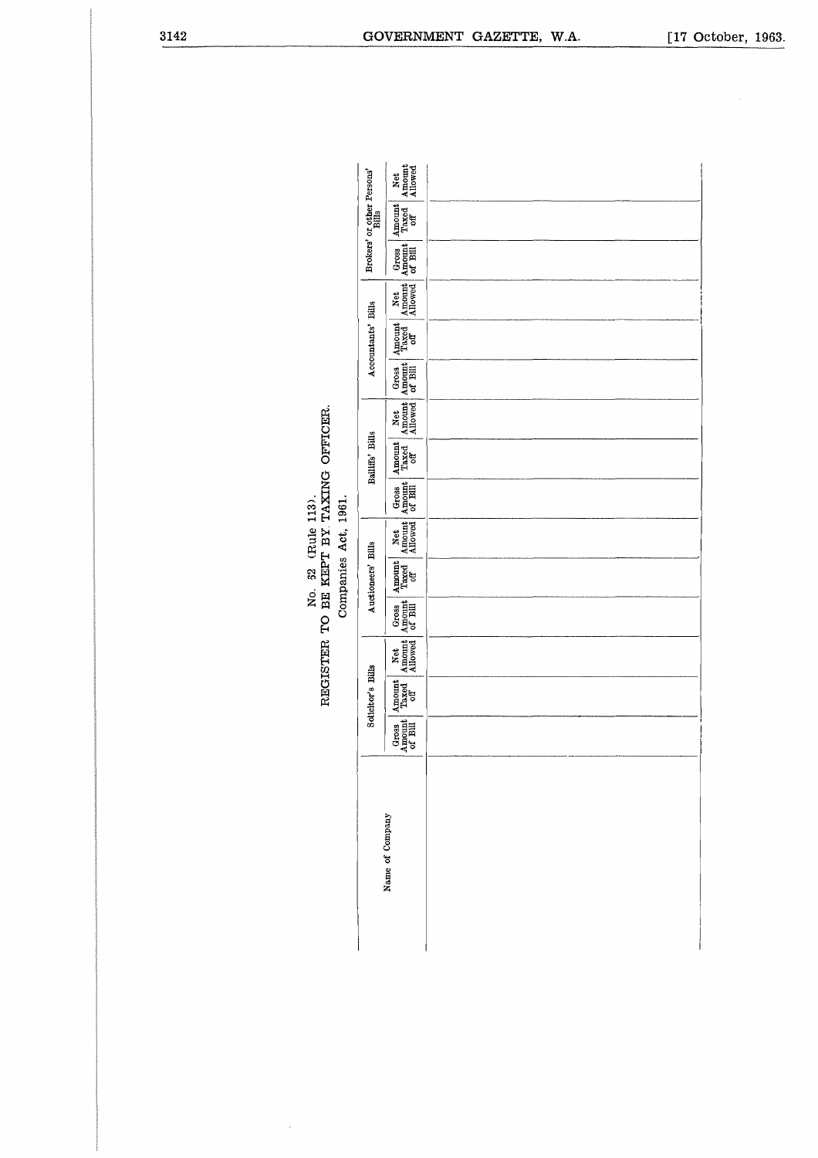| No. 62 (Rule 113). | REGISTER TO BE KEPT BY TAXING OFFICER. | Companies Act 1961 |
|--------------------|----------------------------------------|--------------------|
|                    |                                        |                    |

|                 |                                                                                | Solicitor's Bills                                                           |                                                                               |                                                                                  | Auctioneers' Bills                                                          |                                               | Bailiffs' Bills                                                             |                          |                                                                                  | Accountants' Bills                                                           |               |                                                                                                        | Brokers' or other Persons'                                                        |                          |
|-----------------|--------------------------------------------------------------------------------|-----------------------------------------------------------------------------|-------------------------------------------------------------------------------|----------------------------------------------------------------------------------|-----------------------------------------------------------------------------|-----------------------------------------------|-----------------------------------------------------------------------------|--------------------------|----------------------------------------------------------------------------------|------------------------------------------------------------------------------|---------------|--------------------------------------------------------------------------------------------------------|-----------------------------------------------------------------------------------|--------------------------|
| Name of Company | $\begin{array}{c} \text{Gross} \\ \text{Amount} \\ \text{of Bill} \end{array}$ | $\begin{array}{c} \text{Amount} \\ \text{Traced} \\ \text{off} \end{array}$ | $\begin{array}{c}\n\text{Net} \\ \text{Amount} \\ \text{Alowed}\n\end{array}$ | $\begin{array}{c} \text{Gross} \\ \text{A moment} \\ \text{of Bill} \end{array}$ | $\begin{array}{c} \text{Amount} \\ \text{Traced} \\ \text{off} \end{array}$ | Net Gross<br>Amount Amount<br>Allowed of Bill | $\begin{array}{c} \text{Amount} \\ \text{Trased} \\ \text{off} \end{array}$ | Net<br>Amount<br>Allowed | $\begin{array}{c}\n\text{Gross} \\ \text{Amount} \\ \text{of Bill}\n\end{array}$ | $\begin{array}{c}\n\text{Amount} \\ \text{Taxed} \\ \text{off}\n\end{array}$ | Net<br>Amount | $\begin{array}{ l } \hline \text{Gross} \\ \text{Amount} \\ \hline \text{of } \text{Bill} \end{array}$ | $\begin{array}{c} \texttt{Amount} \\ \texttt{Traced} \\ \texttt{off} \end{array}$ | Net<br>Amount<br>Allowed |
|                 |                                                                                |                                                                             |                                                                               |                                                                                  |                                                                             |                                               |                                                                             |                          |                                                                                  |                                                                              |               |                                                                                                        |                                                                                   |                          |
|                 |                                                                                |                                                                             |                                                                               |                                                                                  |                                                                             |                                               |                                                                             |                          |                                                                                  |                                                                              |               |                                                                                                        |                                                                                   |                          |
|                 |                                                                                |                                                                             |                                                                               |                                                                                  |                                                                             |                                               |                                                                             |                          |                                                                                  |                                                                              |               |                                                                                                        |                                                                                   |                          |
|                 |                                                                                |                                                                             |                                                                               |                                                                                  |                                                                             |                                               |                                                                             |                          |                                                                                  |                                                                              |               |                                                                                                        |                                                                                   |                          |

# Companies Act, 1961.